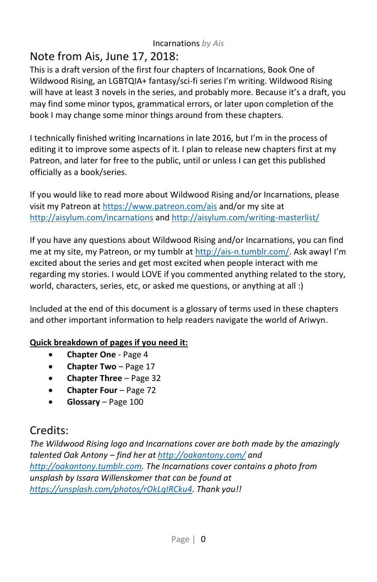# Note from Ais, June 17, 2018:

This is a draft version of the first four chapters of Incarnations, Book One of Wildwood Rising, an LGBTQIA+ fantasy/sci-fi series I'm writing. Wildwood Rising will have at least 3 novels in the series, and probably more. Because it's a draft, you may find some minor typos, grammatical errors, or later upon completion of the book I may change some minor things around from these chapters.

I technically finished writing Incarnations in late 2016, but I'm in the process of editing it to improve some aspects of it. I plan to release new chapters first at my Patreon, and later for free to the public, until or unless I can get this published officially as a book/series.

If you would like to read more about Wildwood Rising and/or Incarnations, please visit my Patreon a[t https://www.patreon.com/ais](https://www.patreon.com/ais) and/or my site at <http://aisylum.com/incarnations> an[d http://aisylum.com/writing-masterlist/](http://aisylum.com/writing-masterlist/)

If you have any questions about Wildwood Rising and/or Incarnations, you can find me at my site, my Patreon, or my tumblr a[t http://ais-n.tumblr.com/.](http://ais-n.tumblr.com/) Ask away! I'm excited about the series and get most excited when people interact with me regarding my stories. I would LOVE if you commented anything related to the story, world, characters, series, etc, or asked me questions, or anything at all :)

Included at the end of this document is a glossary of terms used in these chapters and other important information to help readers navigate the world of Ariwyn.

## **Quick breakdown of pages if you need it:**

- **Chapter One** Page 4
- **Chapter Two** Page 17
- **Chapter Three** Page 32
- **Chapter Four**  Page 72
- **Glossary** Page 100

# Credits:

*The Wildwood Rising logo and Incarnations cover are both made by the amazingly talented Oak Antony – find her a[t http://oakantony.com/](http://oakantony.com/) and [http://oakantony.tumblr.com.](http://oakantony.tumblr.com/) The Incarnations cover contains a photo from unsplash by Issara Willenskomer that can be found at [https://unsplash.com/photos/rOkLqIRCku4.](https://unsplash.com/photos/rOkLqIRCku4) Thank you!!*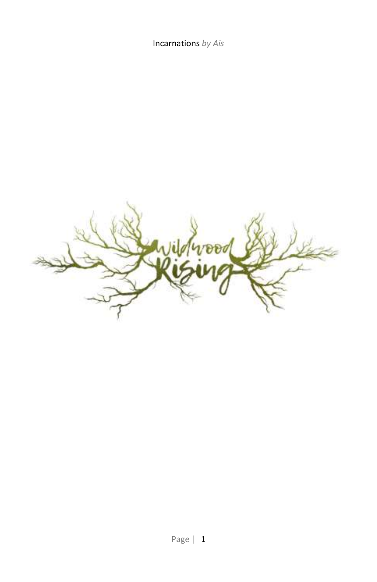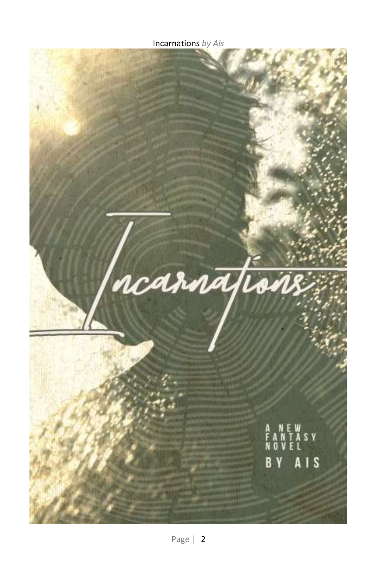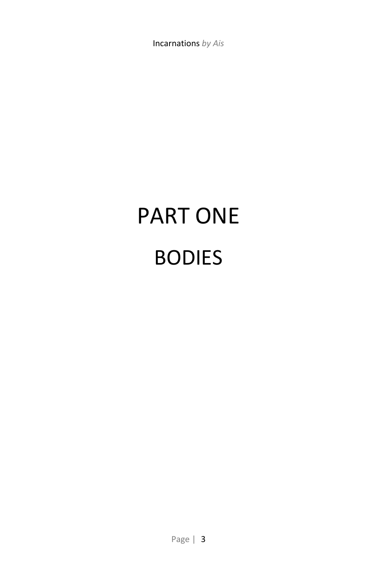# PART ONE BODIES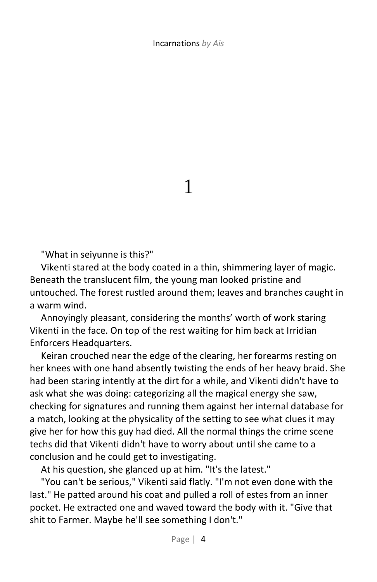1

"What in seiyunne is this?"

Vikenti stared at the body coated in a thin, shimmering layer of magic. Beneath the translucent film, the young man looked pristine and untouched. The forest rustled around them; leaves and branches caught in a warm wind.

Annoyingly pleasant, considering the months' worth of work staring Vikenti in the face. On top of the rest waiting for him back at Irridian Enforcers Headquarters.

Keiran crouched near the edge of the clearing, her forearms resting on her knees with one hand absently twisting the ends of her heavy braid. She had been staring intently at the dirt for a while, and Vikenti didn't have to ask what she was doing: categorizing all the magical energy she saw, checking for signatures and running them against her internal database for a match, looking at the physicality of the setting to see what clues it may give her for how this guy had died. All the normal things the crime scene techs did that Vikenti didn't have to worry about until she came to a conclusion and he could get to investigating.

At his question, she glanced up at him. "It's the latest."

"You can't be serious," Vikenti said flatly. "I'm not even done with the last." He patted around his coat and pulled a roll of estes from an inner pocket. He extracted one and waved toward the body with it. "Give that shit to Farmer. Maybe he'll see something I don't."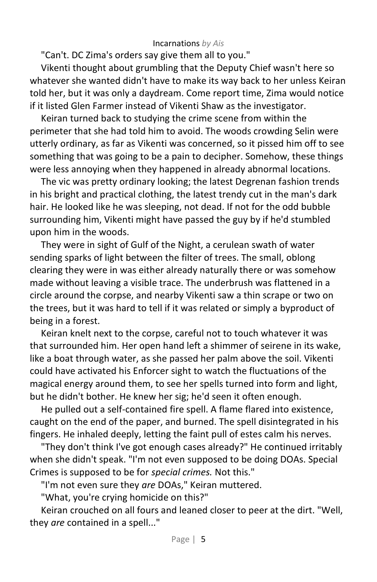"Can't. DC Zima's orders say give them all to you."

Vikenti thought about grumbling that the Deputy Chief wasn't here so whatever she wanted didn't have to make its way back to her unless Keiran told her, but it was only a daydream. Come report time, Zima would notice if it listed Glen Farmer instead of Vikenti Shaw as the investigator.

Keiran turned back to studying the crime scene from within the perimeter that she had told him to avoid. The woods crowding Selin were utterly ordinary, as far as Vikenti was concerned, so it pissed him off to see something that was going to be a pain to decipher. Somehow, these things were less annoying when they happened in already abnormal locations.

The vic was pretty ordinary looking; the latest Degrenan fashion trends in his bright and practical clothing, the latest trendy cut in the man's dark hair. He looked like he was sleeping, not dead. If not for the odd bubble surrounding him, Vikenti might have passed the guy by if he'd stumbled upon him in the woods.

They were in sight of Gulf of the Night, a cerulean swath of water sending sparks of light between the filter of trees. The small, oblong clearing they were in was either already naturally there or was somehow made without leaving a visible trace. The underbrush was flattened in a circle around the corpse, and nearby Vikenti saw a thin scrape or two on the trees, but it was hard to tell if it was related or simply a byproduct of being in a forest.

Keiran knelt next to the corpse, careful not to touch whatever it was that surrounded him. Her open hand left a shimmer of seirene in its wake, like a boat through water, as she passed her palm above the soil. Vikenti could have activated his Enforcer sight to watch the fluctuations of the magical energy around them, to see her spells turned into form and light, but he didn't bother. He knew her sig; he'd seen it often enough.

He pulled out a self-contained fire spell. A flame flared into existence, caught on the end of the paper, and burned. The spell disintegrated in his fingers. He inhaled deeply, letting the faint pull of estes calm his nerves.

"They don't think I've got enough cases already?" He continued irritably when she didn't speak. "I'm not even supposed to be doing DOAs. Special Crimes is supposed to be for *special crimes.* Not this."

"I'm not even sure they *are* DOAs," Keiran muttered.

"What, you're crying homicide on this?"

Keiran crouched on all fours and leaned closer to peer at the dirt. "Well, they *are* contained in a spell..."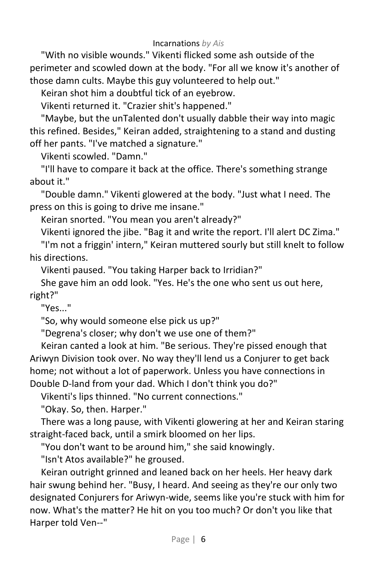"With no visible wounds." Vikenti flicked some ash outside of the perimeter and scowled down at the body. "For all we know it's another of those damn cults. Maybe this guy volunteered to help out."

Keiran shot him a doubtful tick of an eyebrow.

Vikenti returned it. "Crazier shit's happened."

"Maybe, but the unTalented don't usually dabble their way into magic this refined. Besides," Keiran added, straightening to a stand and dusting off her pants. "I've matched a signature."

Vikenti scowled. "Damn."

"I'll have to compare it back at the office. There's something strange about it."

"Double damn." Vikenti glowered at the body. "Just what I need. The press on this is going to drive me insane."

Keiran snorted. "You mean you aren't already?"

Vikenti ignored the jibe. "Bag it and write the report. I'll alert DC Zima."

"I'm not a friggin' intern," Keiran muttered sourly but still knelt to follow his directions.

Vikenti paused. "You taking Harper back to Irridian?"

She gave him an odd look. "Yes. He's the one who sent us out here, right?"

"Yes..."

"So, why would someone else pick us up?"

"Degrena's closer; why don't we use one of them?"

Keiran canted a look at him. "Be serious. They're pissed enough that Ariwyn Division took over. No way they'll lend us a Conjurer to get back home; not without a lot of paperwork. Unless you have connections in Double D-land from your dad. Which I don't think you do?"

Vikenti's lips thinned. "No current connections."

"Okay. So, then. Harper."

There was a long pause, with Vikenti glowering at her and Keiran staring straight-faced back, until a smirk bloomed on her lips.

"You don't want to be around him," she said knowingly.

"Isn't Atos available?" he groused.

Keiran outright grinned and leaned back on her heels. Her heavy dark hair swung behind her. "Busy, I heard. And seeing as they're our only two designated Conjurers for Ariwyn-wide, seems like you're stuck with him for now. What's the matter? He hit on you too much? Or don't you like that Harper told Ven--"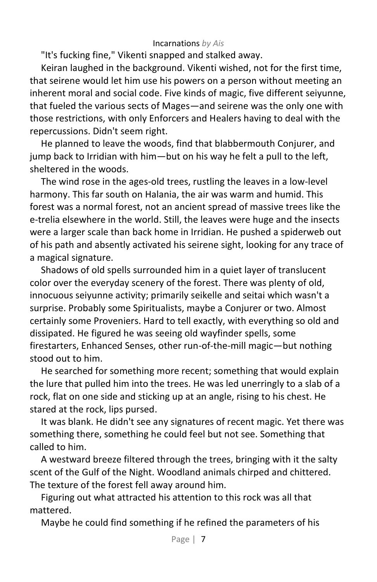"It's fucking fine," Vikenti snapped and stalked away.

Keiran laughed in the background. Vikenti wished, not for the first time, that seirene would let him use his powers on a person without meeting an inherent moral and social code. Five kinds of magic, five different seiyunne, that fueled the various sects of Mages—and seirene was the only one with those restrictions, with only Enforcers and Healers having to deal with the repercussions. Didn't seem right.

He planned to leave the woods, find that blabbermouth Conjurer, and jump back to Irridian with him—but on his way he felt a pull to the left, sheltered in the woods.

The wind rose in the ages-old trees, rustling the leaves in a low-level harmony. This far south on Halania, the air was warm and humid. This forest was a normal forest, not an ancient spread of massive trees like the e-trelia elsewhere in the world. Still, the leaves were huge and the insects were a larger scale than back home in Irridian. He pushed a spiderweb out of his path and absently activated his seirene sight, looking for any trace of a magical signature.

Shadows of old spells surrounded him in a quiet layer of translucent color over the everyday scenery of the forest. There was plenty of old, innocuous seiyunne activity; primarily seikelle and seitai which wasn't a surprise. Probably some Spiritualists, maybe a Conjurer or two. Almost certainly some Proveniers. Hard to tell exactly, with everything so old and dissipated. He figured he was seeing old wayfinder spells, some firestarters, Enhanced Senses, other run-of-the-mill magic—but nothing stood out to him.

He searched for something more recent; something that would explain the lure that pulled him into the trees. He was led unerringly to a slab of a rock, flat on one side and sticking up at an angle, rising to his chest. He stared at the rock, lips pursed.

It was blank. He didn't see any signatures of recent magic. Yet there was something there, something he could feel but not see. Something that called to him.

A westward breeze filtered through the trees, bringing with it the salty scent of the Gulf of the Night. Woodland animals chirped and chittered. The texture of the forest fell away around him.

Figuring out what attracted his attention to this rock was all that mattered.

Maybe he could find something if he refined the parameters of his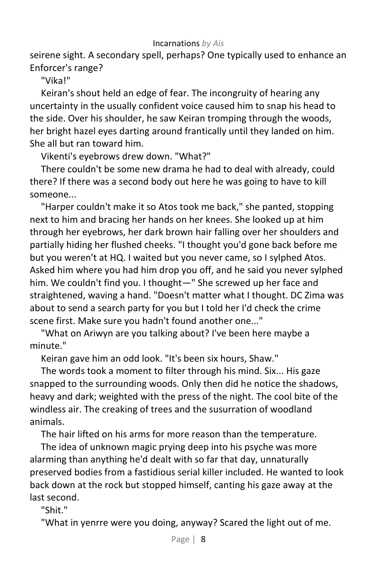seirene sight. A secondary spell, perhaps? One typically used to enhance an Enforcer's range?

"Vika!"

Keiran's shout held an edge of fear. The incongruity of hearing any uncertainty in the usually confident voice caused him to snap his head to the side. Over his shoulder, he saw Keiran tromping through the woods, her bright hazel eyes darting around frantically until they landed on him. She all but ran toward him.

Vikenti's eyebrows drew down. "What?"

There couldn't be some new drama he had to deal with already, could there? If there was a second body out here he was going to have to kill someone...

"Harper couldn't make it so Atos took me back," she panted, stopping next to him and bracing her hands on her knees. She looked up at him through her eyebrows, her dark brown hair falling over her shoulders and partially hiding her flushed cheeks. "I thought you'd gone back before me but you weren't at HQ. I waited but you never came, so I sylphed Atos. Asked him where you had him drop you off, and he said you never sylphed him. We couldn't find you. I thought—" She screwed up her face and straightened, waving a hand. "Doesn't matter what I thought. DC Zima was about to send a search party for you but I told her I'd check the crime scene first. Make sure you hadn't found another one..."

"What on Ariwyn are you talking about? I've been here maybe a minute."

Keiran gave him an odd look. "It's been six hours, Shaw."

The words took a moment to filter through his mind. Six... His gaze snapped to the surrounding woods. Only then did he notice the shadows, heavy and dark; weighted with the press of the night. The cool bite of the windless air. The creaking of trees and the susurration of woodland animals.

The hair lifted on his arms for more reason than the temperature.

The idea of unknown magic prying deep into his psyche was more alarming than anything he'd dealt with so far that day, unnaturally preserved bodies from a fastidious serial killer included. He wanted to look back down at the rock but stopped himself, canting his gaze away at the last second.

"Shit."

"What in yenrre were you doing, anyway? Scared the light out of me.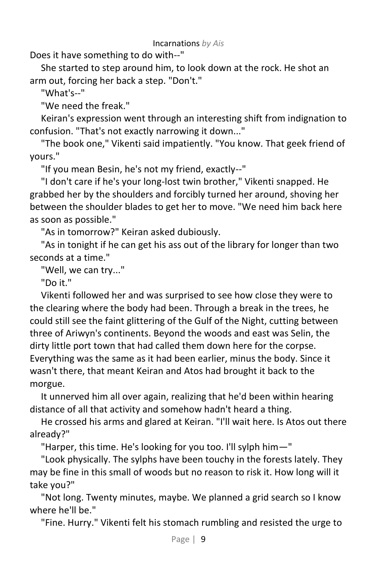Does it have something to do with--"

She started to step around him, to look down at the rock. He shot an arm out, forcing her back a step. "Don't."

"What's--"

"We need the freak."

Keiran's expression went through an interesting shift from indignation to confusion. "That's not exactly narrowing it down..."

"The book one," Vikenti said impatiently. "You know. That geek friend of yours."

"If you mean Besin, he's not my friend, exactly--"

"I don't care if he's your long-lost twin brother," Vikenti snapped. He grabbed her by the shoulders and forcibly turned her around, shoving her between the shoulder blades to get her to move. "We need him back here as soon as possible."

"As in tomorrow?" Keiran asked dubiously.

"As in tonight if he can get his ass out of the library for longer than two seconds at a time."

"Well, we can try..."

"Do it."

Vikenti followed her and was surprised to see how close they were to the clearing where the body had been. Through a break in the trees, he could still see the faint glittering of the Gulf of the Night, cutting between three of Ariwyn's continents. Beyond the woods and east was Selin, the dirty little port town that had called them down here for the corpse. Everything was the same as it had been earlier, minus the body. Since it wasn't there, that meant Keiran and Atos had brought it back to the morgue.

It unnerved him all over again, realizing that he'd been within hearing distance of all that activity and somehow hadn't heard a thing.

He crossed his arms and glared at Keiran. "I'll wait here. Is Atos out there already?"

"Harper, this time. He's looking for you too. I'll sylph him—"

"Look physically. The sylphs have been touchy in the forests lately. They may be fine in this small of woods but no reason to risk it. How long will it take you?"

"Not long. Twenty minutes, maybe. We planned a grid search so I know where he'll be."

"Fine. Hurry." Vikenti felt his stomach rumbling and resisted the urge to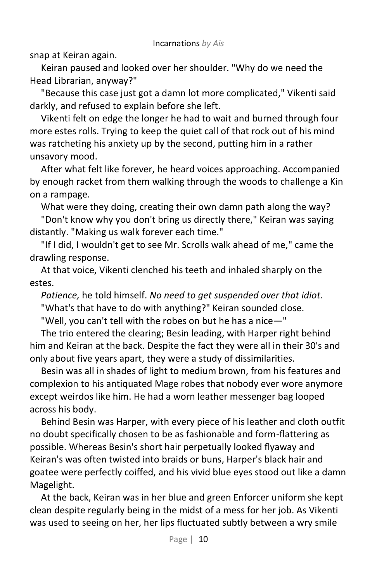snap at Keiran again.

Keiran paused and looked over her shoulder. "Why do we need the Head Librarian, anyway?"

"Because this case just got a damn lot more complicated," Vikenti said darkly, and refused to explain before she left.

Vikenti felt on edge the longer he had to wait and burned through four more estes rolls. Trying to keep the quiet call of that rock out of his mind was ratcheting his anxiety up by the second, putting him in a rather unsavory mood.

After what felt like forever, he heard voices approaching. Accompanied by enough racket from them walking through the woods to challenge a Kin on a rampage.

What were they doing, creating their own damn path along the way? "Don't know why you don't bring us directly there," Keiran was saying distantly. "Making us walk forever each time."

"If I did, I wouldn't get to see Mr. Scrolls walk ahead of me," came the drawling response.

At that voice, Vikenti clenched his teeth and inhaled sharply on the estes.

*Patience,* he told himself. *No need to get suspended over that idiot.* "What's that have to do with anything?" Keiran sounded close.

"Well, you can't tell with the robes on but he has a nice—"

The trio entered the clearing; Besin leading, with Harper right behind him and Keiran at the back. Despite the fact they were all in their 30's and only about five years apart, they were a study of dissimilarities.

Besin was all in shades of light to medium brown, from his features and complexion to his antiquated Mage robes that nobody ever wore anymore except weirdos like him. He had a worn leather messenger bag looped across his body.

Behind Besin was Harper, with every piece of his leather and cloth outfit no doubt specifically chosen to be as fashionable and form-flattering as possible. Whereas Besin's short hair perpetually looked flyaway and Keiran's was often twisted into braids or buns, Harper's black hair and goatee were perfectly coiffed, and his vivid blue eyes stood out like a damn Magelight.

At the back, Keiran was in her blue and green Enforcer uniform she kept clean despite regularly being in the midst of a mess for her job. As Vikenti was used to seeing on her, her lips fluctuated subtly between a wry smile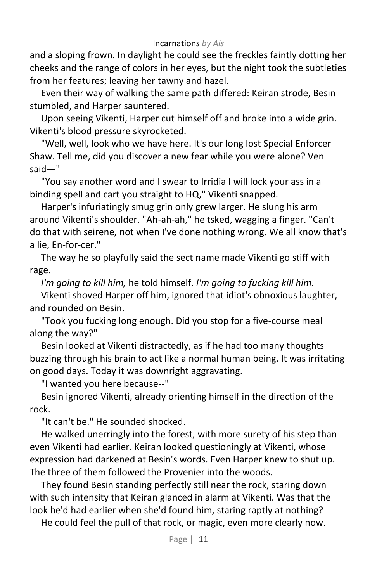and a sloping frown. In daylight he could see the freckles faintly dotting her cheeks and the range of colors in her eyes, but the night took the subtleties from her features; leaving her tawny and hazel.

Even their way of walking the same path differed: Keiran strode, Besin stumbled, and Harper sauntered.

Upon seeing Vikenti, Harper cut himself off and broke into a wide grin. Vikenti's blood pressure skyrocketed.

"Well, well, look who we have here. It's our long lost Special Enforcer Shaw. Tell me, did you discover a new fear while you were alone? Ven said—"

"You say another word and I swear to Irridia I will lock your ass in a binding spell and cart you straight to HQ," Vikenti snapped.

Harper's infuriatingly smug grin only grew larger. He slung his arm around Vikenti's shoulder. "Ah-ah-ah," he tsked, wagging a finger. "Can't do that with seirene*,* not when I've done nothing wrong. We all know that's a lie, En-for-cer."

The way he so playfully said the sect name made Vikenti go stiff with rage.

*I'm going to kill him,* he told himself. *I'm going to fucking kill him.*

Vikenti shoved Harper off him, ignored that idiot's obnoxious laughter, and rounded on Besin.

"Took you fucking long enough. Did you stop for a five-course meal along the way?"

Besin looked at Vikenti distractedly, as if he had too many thoughts buzzing through his brain to act like a normal human being. It was irritating on good days. Today it was downright aggravating.

"I wanted you here because--"

Besin ignored Vikenti, already orienting himself in the direction of the rock.

"It can't be." He sounded shocked.

He walked unerringly into the forest, with more surety of his step than even Vikenti had earlier. Keiran looked questioningly at Vikenti, whose expression had darkened at Besin's words. Even Harper knew to shut up. The three of them followed the Provenier into the woods.

They found Besin standing perfectly still near the rock, staring down with such intensity that Keiran glanced in alarm at Vikenti. Was that the look he'd had earlier when she'd found him, staring raptly at nothing?

He could feel the pull of that rock, or magic, even more clearly now.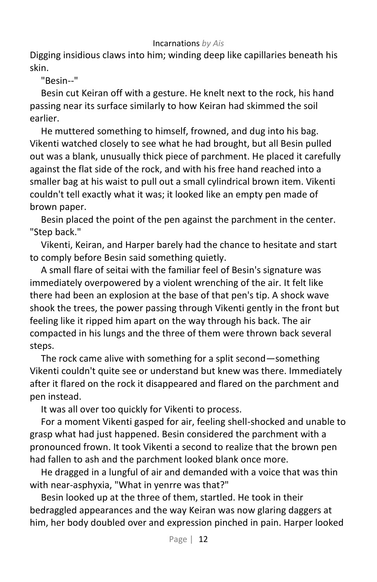Digging insidious claws into him; winding deep like capillaries beneath his skin.

"Besin--"

Besin cut Keiran off with a gesture. He knelt next to the rock, his hand passing near its surface similarly to how Keiran had skimmed the soil earlier.

He muttered something to himself, frowned, and dug into his bag. Vikenti watched closely to see what he had brought, but all Besin pulled out was a blank, unusually thick piece of parchment. He placed it carefully against the flat side of the rock, and with his free hand reached into a smaller bag at his waist to pull out a small cylindrical brown item. Vikenti couldn't tell exactly what it was; it looked like an empty pen made of brown paper.

Besin placed the point of the pen against the parchment in the center. "Step back."

Vikenti, Keiran, and Harper barely had the chance to hesitate and start to comply before Besin said something quietly.

A small flare of seitai with the familiar feel of Besin's signature was immediately overpowered by a violent wrenching of the air. It felt like there had been an explosion at the base of that pen's tip. A shock wave shook the trees, the power passing through Vikenti gently in the front but feeling like it ripped him apart on the way through his back. The air compacted in his lungs and the three of them were thrown back several steps.

The rock came alive with something for a split second—something Vikenti couldn't quite see or understand but knew was there. Immediately after it flared on the rock it disappeared and flared on the parchment and pen instead.

It was all over too quickly for Vikenti to process.

For a moment Vikenti gasped for air, feeling shell-shocked and unable to grasp what had just happened. Besin considered the parchment with a pronounced frown. It took Vikenti a second to realize that the brown pen had fallen to ash and the parchment looked blank once more.

He dragged in a lungful of air and demanded with a voice that was thin with near-asphyxia, "What in yenrre was that?"

Besin looked up at the three of them, startled. He took in their bedraggled appearances and the way Keiran was now glaring daggers at him, her body doubled over and expression pinched in pain. Harper looked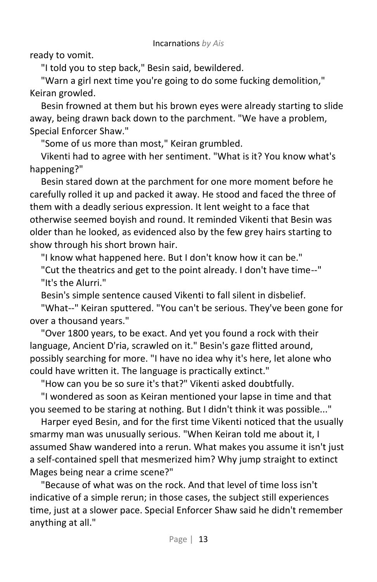ready to vomit.

"I told you to step back," Besin said, bewildered.

"Warn a girl next time you're going to do some fucking demolition," Keiran growled.

Besin frowned at them but his brown eyes were already starting to slide away, being drawn back down to the parchment. "We have a problem, Special Enforcer Shaw."

"Some of us more than most," Keiran grumbled.

Vikenti had to agree with her sentiment. "What is it? You know what's happening?"

Besin stared down at the parchment for one more moment before he carefully rolled it up and packed it away. He stood and faced the three of them with a deadly serious expression. It lent weight to a face that otherwise seemed boyish and round. It reminded Vikenti that Besin was older than he looked, as evidenced also by the few grey hairs starting to show through his short brown hair.

"I know what happened here. But I don't know how it can be."

"Cut the theatrics and get to the point already. I don't have time--" "It's the Alurri."

Besin's simple sentence caused Vikenti to fall silent in disbelief.

"What--" Keiran sputtered. "You can't be serious. They've been gone for over a thousand years."

"Over 1800 years, to be exact. And yet you found a rock with their language, Ancient D'ria, scrawled on it." Besin's gaze flitted around, possibly searching for more. "I have no idea why it's here, let alone who could have written it. The language is practically extinct."

"How can you be so sure it's that?" Vikenti asked doubtfully.

"I wondered as soon as Keiran mentioned your lapse in time and that you seemed to be staring at nothing. But I didn't think it was possible..."

Harper eyed Besin, and for the first time Vikenti noticed that the usually smarmy man was unusually serious. "When Keiran told me about it, I assumed Shaw wandered into a rerun. What makes you assume it isn't just a self-contained spell that mesmerized him? Why jump straight to extinct Mages being near a crime scene?"

"Because of what was on the rock. And that level of time loss isn't indicative of a simple rerun; in those cases, the subject still experiences time, just at a slower pace. Special Enforcer Shaw said he didn't remember anything at all."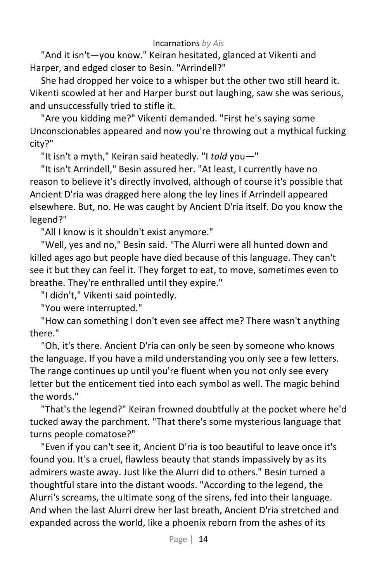"And it isn't—you know." Keiran hesitated, glanced at Vikenti and Harper, and edged closer to Besin. "Arrindell?"

She had dropped her voice to a whisper but the other two still heard it. Vikenti scowled at her and Harper burst out laughing, saw she was serious, and unsuccessfully tried to stifle it.

"Are you kidding me?" Vikenti demanded. "First he's saying some Unconscionables appeared and now you're throwing out a mythical fucking city?"

"It isn't a myth," Keiran said heatedly. "I *told* you—"

"It isn't Arrindell," Besin assured her. "At least, I currently have no reason to believe it's directly involved, although of course it's possible that Ancient D'ria was dragged here along the ley lines if Arrindell appeared elsewhere. But, no. He was caught by Ancient D'ria itself. Do you know the legend?"

"All I know is it shouldn't exist anymore."

"Well, yes and no," Besin said. "The Alurri were all hunted down and killed ages ago but people have died because of this language. They can't see it but they can feel it. They forget to eat, to move, sometimes even to breathe. They're enthralled until they expire."

"I didn't," Vikenti said pointedly.

"You were interrupted."

"How can something I don't even see affect me? There wasn't anything there."

"Oh, it's there. Ancient D'ria can only be seen by someone who knows the language. If you have a mild understanding you only see a few letters. The range continues up until you're fluent when you not only see every letter but the enticement tied into each symbol as well. The magic behind the words."

"That's the legend?" Keiran frowned doubtfully at the pocket where he'd tucked away the parchment. "That there's some mysterious language that turns people comatose?"

"Even if you can't see it, Ancient D'ria is too beautiful to leave once it's found you. It's a cruel, flawless beauty that stands impassively by as its admirers waste away. Just like the Alurri did to others." Besin turned a thoughtful stare into the distant woods. "According to the legend, the Alurri's screams, the ultimate song of the sirens, fed into their language. And when the last Alurri drew her last breath, Ancient D'ria stretched and expanded across the world, like a phoenix reborn from the ashes of its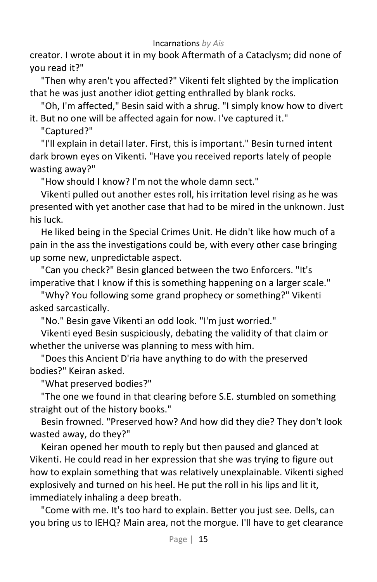creator. I wrote about it in my book Aftermath of a Cataclysm; did none of you read it?"

"Then why aren't you affected?" Vikenti felt slighted by the implication that he was just another idiot getting enthralled by blank rocks.

"Oh, I'm affected," Besin said with a shrug. "I simply know how to divert it. But no one will be affected again for now. I've captured it."

"Captured?"

"I'll explain in detail later. First, this is important." Besin turned intent dark brown eyes on Vikenti. "Have you received reports lately of people wasting away?"

"How should I know? I'm not the whole damn sect."

Vikenti pulled out another estes roll, his irritation level rising as he was presented with yet another case that had to be mired in the unknown. Just his luck.

He liked being in the Special Crimes Unit. He didn't like how much of a pain in the ass the investigations could be, with every other case bringing up some new, unpredictable aspect.

"Can you check?" Besin glanced between the two Enforcers. "It's imperative that I know if this is something happening on a larger scale."

"Why? You following some grand prophecy or something?" Vikenti asked sarcastically.

"No." Besin gave Vikenti an odd look. "I'm just worried."

Vikenti eyed Besin suspiciously, debating the validity of that claim or whether the universe was planning to mess with him.

"Does this Ancient D'ria have anything to do with the preserved bodies?" Keiran asked.

"What preserved bodies?"

"The one we found in that clearing before S.E. stumbled on something straight out of the history books."

Besin frowned. "Preserved how? And how did they die? They don't look wasted away, do they?"

Keiran opened her mouth to reply but then paused and glanced at Vikenti. He could read in her expression that she was trying to figure out how to explain something that was relatively unexplainable. Vikenti sighed explosively and turned on his heel. He put the roll in his lips and lit it, immediately inhaling a deep breath.

"Come with me. It's too hard to explain. Better you just see. Dells, can you bring us to IEHQ? Main area, not the morgue. I'll have to get clearance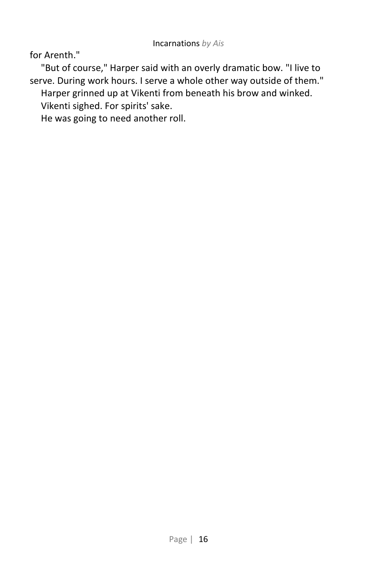for Arenth."

"But of course," Harper said with an overly dramatic bow. "I live to serve. During work hours. I serve a whole other way outside of them."

Harper grinned up at Vikenti from beneath his brow and winked.

Vikenti sighed. For spirits' sake.

He was going to need another roll.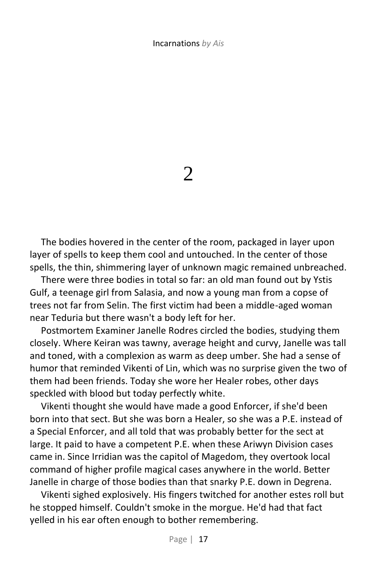2

The bodies hovered in the center of the room, packaged in layer upon layer of spells to keep them cool and untouched. In the center of those spells, the thin, shimmering layer of unknown magic remained unbreached.

There were three bodies in total so far: an old man found out by Ystis Gulf, a teenage girl from Salasia, and now a young man from a copse of trees not far from Selin. The first victim had been a middle-aged woman near Teduria but there wasn't a body left for her.

Postmortem Examiner Janelle Rodres circled the bodies, studying them closely. Where Keiran was tawny, average height and curvy, Janelle was tall and toned, with a complexion as warm as deep umber. She had a sense of humor that reminded Vikenti of Lin, which was no surprise given the two of them had been friends. Today she wore her Healer robes, other days speckled with blood but today perfectly white.

Vikenti thought she would have made a good Enforcer, if she'd been born into that sect. But she was born a Healer, so she was a P.E. instead of a Special Enforcer, and all told that was probably better for the sect at large. It paid to have a competent P.E. when these Ariwyn Division cases came in. Since Irridian was the capitol of Magedom, they overtook local command of higher profile magical cases anywhere in the world. Better Janelle in charge of those bodies than that snarky P.E. down in Degrena.

Vikenti sighed explosively. His fingers twitched for another estes roll but he stopped himself. Couldn't smoke in the morgue. He'd had that fact yelled in his ear often enough to bother remembering.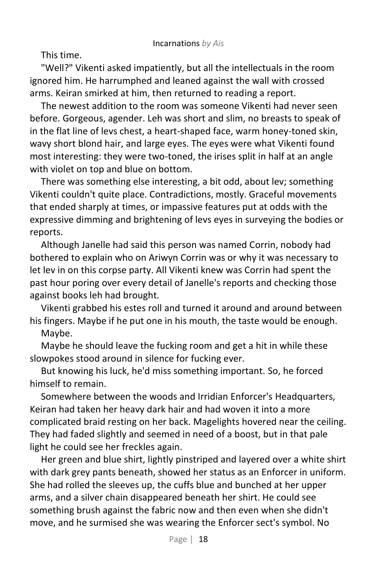This time.

"Well?" Vikenti asked impatiently, but all the intellectuals in the room ignored him. He harrumphed and leaned against the wall with crossed arms. Keiran smirked at him, then returned to reading a report.

The newest addition to the room was someone Vikenti had never seen before. Gorgeous, agender. Leh was short and slim, no breasts to speak of in the flat line of levs chest, a heart-shaped face, warm honey-toned skin, wavy short blond hair, and large eyes. The eyes were what Vikenti found most interesting: they were two-toned, the irises split in half at an angle with violet on top and blue on bottom.

There was something else interesting, a bit odd, about lev; something Vikenti couldn't quite place. Contradictions, mostly. Graceful movements that ended sharply at times, or impassive features put at odds with the expressive dimming and brightening of levs eyes in surveying the bodies or reports.

Although Janelle had said this person was named Corrin, nobody had bothered to explain who on Ariwyn Corrin was or why it was necessary to let lev in on this corpse party. All Vikenti knew was Corrin had spent the past hour poring over every detail of Janelle's reports and checking those against books leh had brought.

Vikenti grabbed his estes roll and turned it around and around between his fingers. Maybe if he put one in his mouth, the taste would be enough.

Maybe.

Maybe he should leave the fucking room and get a hit in while these slowpokes stood around in silence for fucking ever.

But knowing his luck, he'd miss something important. So, he forced himself to remain.

Somewhere between the woods and Irridian Enforcer's Headquarters, Keiran had taken her heavy dark hair and had woven it into a more complicated braid resting on her back. Magelights hovered near the ceiling. They had faded slightly and seemed in need of a boost, but in that pale light he could see her freckles again.

Her green and blue shirt, lightly pinstriped and layered over a white shirt with dark grey pants beneath, showed her status as an Enforcer in uniform. She had rolled the sleeves up, the cuffs blue and bunched at her upper arms, and a silver chain disappeared beneath her shirt. He could see something brush against the fabric now and then even when she didn't move, and he surmised she was wearing the Enforcer sect's symbol. No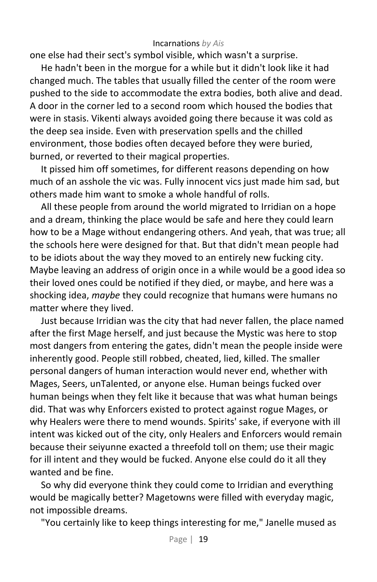one else had their sect's symbol visible, which wasn't a surprise.

He hadn't been in the morgue for a while but it didn't look like it had changed much. The tables that usually filled the center of the room were pushed to the side to accommodate the extra bodies, both alive and dead. A door in the corner led to a second room which housed the bodies that were in stasis. Vikenti always avoided going there because it was cold as the deep sea inside. Even with preservation spells and the chilled environment, those bodies often decayed before they were buried, burned, or reverted to their magical properties.

It pissed him off sometimes, for different reasons depending on how much of an asshole the vic was. Fully innocent vics just made him sad, but others made him want to smoke a whole handful of rolls.

All these people from around the world migrated to Irridian on a hope and a dream, thinking the place would be safe and here they could learn how to be a Mage without endangering others. And yeah, that was true; all the schools here were designed for that. But that didn't mean people had to be idiots about the way they moved to an entirely new fucking city. Maybe leaving an address of origin once in a while would be a good idea so their loved ones could be notified if they died, or maybe, and here was a shocking idea, *maybe* they could recognize that humans were humans no matter where they lived.

Just because Irridian was the city that had never fallen, the place named after the first Mage herself, and just because the Mystic was here to stop most dangers from entering the gates, didn't mean the people inside were inherently good. People still robbed, cheated, lied, killed. The smaller personal dangers of human interaction would never end, whether with Mages, Seers, unTalented, or anyone else. Human beings fucked over human beings when they felt like it because that was what human beings did. That was why Enforcers existed to protect against rogue Mages, or why Healers were there to mend wounds. Spirits' sake, if everyone with ill intent was kicked out of the city, only Healers and Enforcers would remain because their seiyunne exacted a threefold toll on them; use their magic for ill intent and they would be fucked. Anyone else could do it all they wanted and be fine.

So why did everyone think they could come to Irridian and everything would be magically better? Magetowns were filled with everyday magic, not impossible dreams.

"You certainly like to keep things interesting for me," Janelle mused as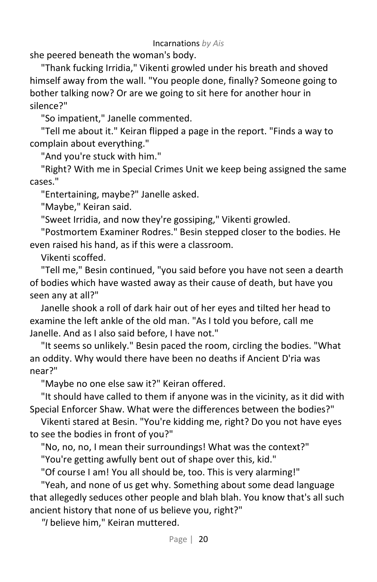she peered beneath the woman's body.

"Thank fucking Irridia," Vikenti growled under his breath and shoved himself away from the wall. "You people done, finally? Someone going to bother talking now? Or are we going to sit here for another hour in silence?"

"So impatient," Janelle commented.

"Tell me about it." Keiran flipped a page in the report. "Finds a way to complain about everything."

"And you're stuck with him."

"Right? With me in Special Crimes Unit we keep being assigned the same cases."

"Entertaining, maybe?" Janelle asked.

"Maybe," Keiran said.

"Sweet Irridia, and now they're gossiping," Vikenti growled.

"Postmortem Examiner Rodres." Besin stepped closer to the bodies. He even raised his hand, as if this were a classroom.

Vikenti scoffed.

"Tell me," Besin continued, "you said before you have not seen a dearth of bodies which have wasted away as their cause of death, but have you seen any at all?"

Janelle shook a roll of dark hair out of her eyes and tilted her head to examine the left ankle of the old man. "As I told you before, call me Janelle. And as I also said before, I have not."

"It seems so unlikely." Besin paced the room, circling the bodies. "What an oddity. Why would there have been no deaths if Ancient D'ria was near?"

"Maybe no one else saw it?" Keiran offered.

"It should have called to them if anyone was in the vicinity, as it did with Special Enforcer Shaw. What were the differences between the bodies?"

Vikenti stared at Besin. "You're kidding me, right? Do you not have eyes to see the bodies in front of you?"

"No, no, no, I mean their surroundings! What was the context?"

"You're getting awfully bent out of shape over this, kid."

"Of course I am! You all should be, too. This is very alarming!"

"Yeah, and none of us get why. Something about some dead language that allegedly seduces other people and blah blah. You know that's all such ancient history that none of us believe you, right?"

*"I* believe him," Keiran muttered.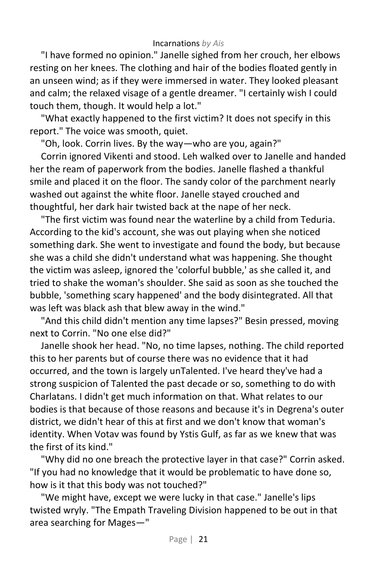"I have formed no opinion." Janelle sighed from her crouch, her elbows resting on her knees. The clothing and hair of the bodies floated gently in an unseen wind; as if they were immersed in water. They looked pleasant and calm; the relaxed visage of a gentle dreamer. "I certainly wish I could touch them, though. It would help a lot."

"What exactly happened to the first victim? It does not specify in this report." The voice was smooth, quiet.

"Oh, look. Corrin lives. By the way—who are you, again?"

Corrin ignored Vikenti and stood. Leh walked over to Janelle and handed her the ream of paperwork from the bodies. Janelle flashed a thankful smile and placed it on the floor. The sandy color of the parchment nearly washed out against the white floor. Janelle stayed crouched and thoughtful, her dark hair twisted back at the nape of her neck.

"The first victim was found near the waterline by a child from Teduria. According to the kid's account, she was out playing when she noticed something dark. She went to investigate and found the body, but because she was a child she didn't understand what was happening. She thought the victim was asleep, ignored the 'colorful bubble,' as she called it, and tried to shake the woman's shoulder. She said as soon as she touched the bubble, 'something scary happened' and the body disintegrated. All that was left was black ash that blew away in the wind."

"And this child didn't mention any time lapses?" Besin pressed, moving next to Corrin. "No one else did?"

Janelle shook her head. "No, no time lapses, nothing. The child reported this to her parents but of course there was no evidence that it had occurred, and the town is largely unTalented. I've heard they've had a strong suspicion of Talented the past decade or so, something to do with Charlatans. I didn't get much information on that. What relates to our bodies is that because of those reasons and because it's in Degrena's outer district, we didn't hear of this at first and we don't know that woman's identity. When Votav was found by Ystis Gulf, as far as we knew that was the first of its kind."

"Why did no one breach the protective layer in that case?" Corrin asked. "If you had no knowledge that it would be problematic to have done so, how is it that this body was not touched?"

"We might have, except we were lucky in that case." Janelle's lips twisted wryly. "The Empath Traveling Division happened to be out in that area searching for Mages—"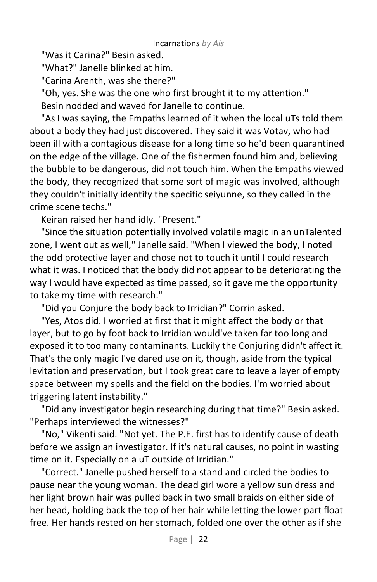"Was it Carina?" Besin asked.

"What?" Janelle blinked at him.

"Carina Arenth, was she there?"

"Oh, yes. She was the one who first brought it to my attention."

Besin nodded and waved for Janelle to continue.

"As I was saying, the Empaths learned of it when the local uTs told them about a body they had just discovered. They said it was Votav, who had been ill with a contagious disease for a long time so he'd been quarantined on the edge of the village. One of the fishermen found him and, believing the bubble to be dangerous, did not touch him. When the Empaths viewed the body, they recognized that some sort of magic was involved, although they couldn't initially identify the specific seiyunne, so they called in the crime scene techs."

Keiran raised her hand idly. "Present."

"Since the situation potentially involved volatile magic in an unTalented zone, I went out as well," Janelle said. "When I viewed the body, I noted the odd protective layer and chose not to touch it until I could research what it was. I noticed that the body did not appear to be deteriorating the way I would have expected as time passed, so it gave me the opportunity to take my time with research."

"Did you Conjure the body back to Irridian?" Corrin asked.

"Yes, Atos did. I worried at first that it might affect the body or that layer, but to go by foot back to Irridian would've taken far too long and exposed it to too many contaminants. Luckily the Conjuring didn't affect it. That's the only magic I've dared use on it, though, aside from the typical levitation and preservation, but I took great care to leave a layer of empty space between my spells and the field on the bodies. I'm worried about triggering latent instability."

"Did any investigator begin researching during that time?" Besin asked. "Perhaps interviewed the witnesses?"

"No," Vikenti said. "Not yet. The P.E. first has to identify cause of death before we assign an investigator. If it's natural causes, no point in wasting time on it. Especially on a uT outside of Irridian."

"Correct." Janelle pushed herself to a stand and circled the bodies to pause near the young woman. The dead girl wore a yellow sun dress and her light brown hair was pulled back in two small braids on either side of her head, holding back the top of her hair while letting the lower part float free. Her hands rested on her stomach, folded one over the other as if she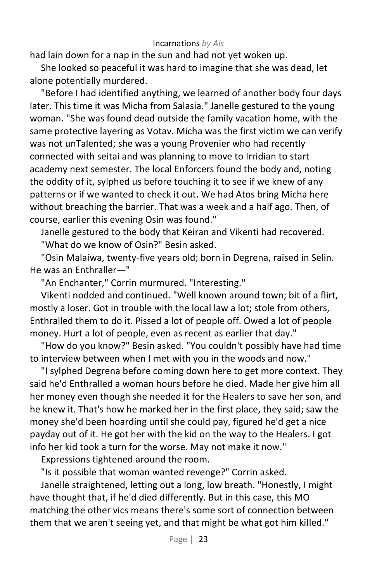had lain down for a nap in the sun and had not yet woken up.

She looked so peaceful it was hard to imagine that she was dead, let alone potentially murdered.

"Before I had identified anything, we learned of another body four days later. This time it was Micha from Salasia." Janelle gestured to the young woman. "She was found dead outside the family vacation home, with the same protective layering as Votav. Micha was the first victim we can verify was not unTalented; she was a young Provenier who had recently connected with seitai and was planning to move to Irridian to start academy next semester. The local Enforcers found the body and, noting the oddity of it, sylphed us before touching it to see if we knew of any patterns or if we wanted to check it out. We had Atos bring Micha here without breaching the barrier. That was a week and a half ago. Then, of course, earlier this evening Osin was found."

Janelle gestured to the body that Keiran and Vikenti had recovered.

"What do we know of Osin?" Besin asked.

"Osin Malaiwa, twenty-five years old; born in Degrena, raised in Selin. He was an Enthraller—"

"An Enchanter," Corrin murmured. "Interesting."

Vikenti nodded and continued. "Well known around town; bit of a flirt, mostly a loser. Got in trouble with the local law a lot; stole from others, Enthralled them to do it. Pissed a lot of people off. Owed a lot of people money. Hurt a lot of people, even as recent as earlier that day."

"How do you know?" Besin asked. "You couldn't possibly have had time to interview between when I met with you in the woods and now."

"I sylphed Degrena before coming down here to get more context. They said he'd Enthralled a woman hours before he died. Made her give him all her money even though she needed it for the Healers to save her son, and he knew it. That's how he marked her in the first place, they said; saw the money she'd been hoarding until she could pay, figured he'd get a nice payday out of it. He got her with the kid on the way to the Healers. I got info her kid took a turn for the worse. May not make it now."

Expressions tightened around the room.

"Is it possible that woman wanted revenge?" Corrin asked.

Janelle straightened, letting out a long, low breath. "Honestly, I might have thought that, if he'd died differently. But in this case, this MO matching the other vics means there's some sort of connection between them that we aren't seeing yet, and that might be what got him killed."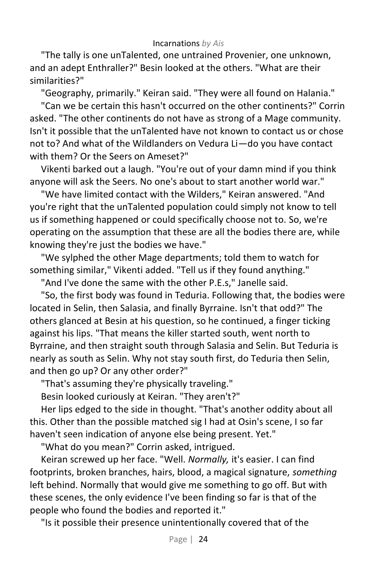"The tally is one unTalented, one untrained Provenier, one unknown, and an adept Enthraller?" Besin looked at the others. "What are their similarities?"

"Geography, primarily." Keiran said. "They were all found on Halania."

"Can we be certain this hasn't occurred on the other continents?" Corrin asked. "The other continents do not have as strong of a Mage community. Isn't it possible that the unTalented have not known to contact us or chose not to? And what of the Wildlanders on Vedura Li—do you have contact with them? Or the Seers on Ameset?"

Vikenti barked out a laugh. "You're out of your damn mind if you think anyone will ask the Seers. No one's about to start another world war."

"We have limited contact with the Wilders," Keiran answered. "And you're right that the unTalented population could simply not know to tell us if something happened or could specifically choose not to. So, we're operating on the assumption that these are all the bodies there are, while knowing they're just the bodies we have."

"We sylphed the other Mage departments; told them to watch for something similar," Vikenti added. "Tell us if they found anything."

"And I've done the same with the other P.E.s," Janelle said.

"So, the first body was found in Teduria. Following that, the bodies were located in Selin, then Salasia, and finally Byrraine. Isn't that odd?" The others glanced at Besin at his question, so he continued, a finger ticking against his lips. "That means the killer started south, went north to Byrraine, and then straight south through Salasia and Selin. But Teduria is nearly as south as Selin. Why not stay south first, do Teduria then Selin, and then go up? Or any other order?"

"That's assuming they're physically traveling."

Besin looked curiously at Keiran. "They aren't?"

Her lips edged to the side in thought. "That's another oddity about all this. Other than the possible matched sig I had at Osin's scene, I so far haven't seen indication of anyone else being present. Yet."

"What do you mean?" Corrin asked, intrigued.

Keiran screwed up her face. "Well. *Normally,* it's easier. I can find footprints, broken branches, hairs, blood, a magical signature, *something* left behind. Normally that would give me something to go off. But with these scenes, the only evidence I've been finding so far is that of the people who found the bodies and reported it."

"Is it possible their presence unintentionally covered that of the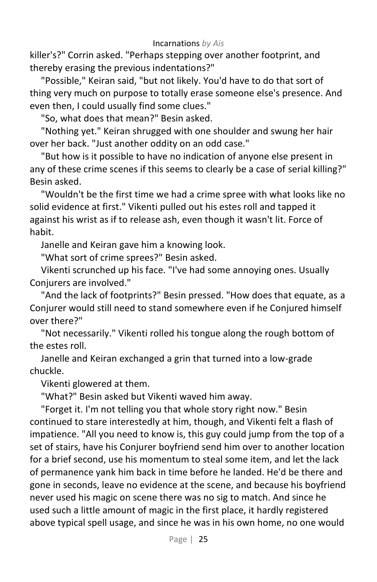killer's?" Corrin asked. "Perhaps stepping over another footprint, and thereby erasing the previous indentations?"

"Possible," Keiran said, "but not likely. You'd have to do that sort of thing very much on purpose to totally erase someone else's presence. And even then, I could usually find some clues."

"So, what does that mean?" Besin asked.

"Nothing yet." Keiran shrugged with one shoulder and swung her hair over her back. "Just another oddity on an odd case."

"But how is it possible to have no indication of anyone else present in any of these crime scenes if this seems to clearly be a case of serial killing?" Besin asked.

"Wouldn't be the first time we had a crime spree with what looks like no solid evidence at first." Vikenti pulled out his estes roll and tapped it against his wrist as if to release ash, even though it wasn't lit. Force of habit.

Janelle and Keiran gave him a knowing look.

"What sort of crime sprees?" Besin asked.

Vikenti scrunched up his face. "I've had some annoying ones. Usually Conjurers are involved."

"And the lack of footprints?" Besin pressed. "How does that equate, as a Conjurer would still need to stand somewhere even if he Conjured himself over there?"

"Not necessarily." Vikenti rolled his tongue along the rough bottom of the estes roll.

Janelle and Keiran exchanged a grin that turned into a low-grade chuckle.

Vikenti glowered at them.

"What?" Besin asked but Vikenti waved him away.

"Forget it. I'm not telling you that whole story right now." Besin continued to stare interestedly at him, though, and Vikenti felt a flash of impatience. "All you need to know is, this guy could jump from the top of a set of stairs, have his Conjurer boyfriend send him over to another location for a brief second, use his momentum to steal some item, and let the lack of permanence yank him back in time before he landed. He'd be there and gone in seconds, leave no evidence at the scene, and because his boyfriend never used his magic on scene there was no sig to match. And since he used such a little amount of magic in the first place, it hardly registered above typical spell usage, and since he was in his own home, no one would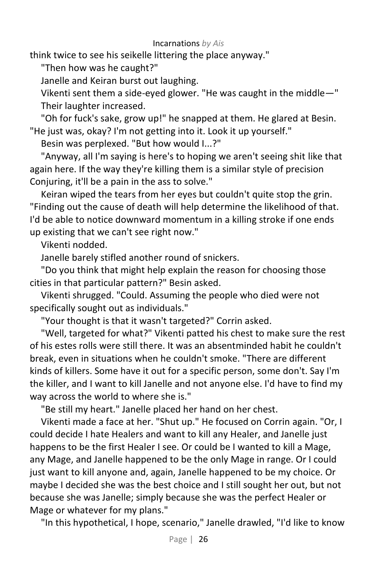think twice to see his seikelle littering the place anyway."

"Then how was he caught?"

Janelle and Keiran burst out laughing.

Vikenti sent them a side-eyed glower. "He was caught in the middle—" Their laughter increased.

"Oh for fuck's sake, grow up!" he snapped at them. He glared at Besin. "He just was, okay? I'm not getting into it. Look it up yourself."

Besin was perplexed. "But how would I...?"

"Anyway, all I'm saying is here's to hoping we aren't seeing shit like that again here. If the way they're killing them is a similar style of precision Conjuring, it'll be a pain in the ass to solve."

Keiran wiped the tears from her eyes but couldn't quite stop the grin. "Finding out the cause of death will help determine the likelihood of that. I'd be able to notice downward momentum in a killing stroke if one ends up existing that we can't see right now."

Vikenti nodded.

Janelle barely stifled another round of snickers.

"Do you think that might help explain the reason for choosing those cities in that particular pattern?" Besin asked.

Vikenti shrugged. "Could. Assuming the people who died were not specifically sought out as individuals."

"Your thought is that it wasn't targeted?" Corrin asked.

"Well, targeted for what?" Vikenti patted his chest to make sure the rest of his estes rolls were still there. It was an absentminded habit he couldn't break, even in situations when he couldn't smoke. "There are different kinds of killers. Some have it out for a specific person, some don't. Say I'm the killer, and I want to kill Janelle and not anyone else. I'd have to find my way across the world to where she is."

"Be still my heart." Janelle placed her hand on her chest.

Vikenti made a face at her. "Shut up." He focused on Corrin again. "Or, I could decide I hate Healers and want to kill any Healer, and Janelle just happens to be the first Healer I see. Or could be I wanted to kill a Mage, any Mage, and Janelle happened to be the only Mage in range. Or I could just want to kill anyone and, again, Janelle happened to be my choice. Or maybe I decided she was the best choice and I still sought her out, but not because she was Janelle; simply because she was the perfect Healer or Mage or whatever for my plans."

"In this hypothetical, I hope, scenario," Janelle drawled, "I'd like to know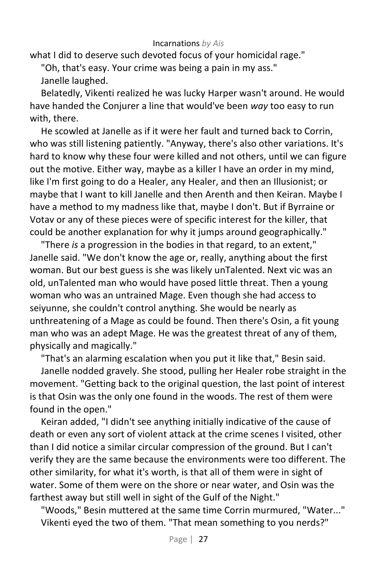what I did to deserve such devoted focus of your homicidal rage."

"Oh, that's easy. Your crime was being a pain in my ass."

Janelle laughed.

Belatedly, Vikenti realized he was lucky Harper wasn't around. He would have handed the Conjurer a line that would've been *way* too easy to run with, there.

He scowled at Janelle as if it were her fault and turned back to Corrin, who was still listening patiently. "Anyway, there's also other variations. It's hard to know why these four were killed and not others, until we can figure out the motive. Either way, maybe as a killer I have an order in my mind, like I'm first going to do a Healer, any Healer, and then an Illusionist; or maybe that I want to kill Janelle and then Arenth and then Keiran. Maybe I have a method to my madness like that, maybe I don't. But if Byrraine or Votav or any of these pieces were of specific interest for the killer, that could be another explanation for why it jumps around geographically."

"There *is* a progression in the bodies in that regard, to an extent," Janelle said. "We don't know the age or, really, anything about the first woman. But our best guess is she was likely unTalented. Next vic was an old, unTalented man who would have posed little threat. Then a young woman who was an untrained Mage. Even though she had access to seiyunne, she couldn't control anything. She would be nearly as unthreatening of a Mage as could be found. Then there's Osin, a fit young man who was an adept Mage. He was the greatest threat of any of them, physically and magically."

"That's an alarming escalation when you put it like that," Besin said.

Janelle nodded gravely. She stood, pulling her Healer robe straight in the movement. "Getting back to the original question, the last point of interest is that Osin was the only one found in the woods. The rest of them were found in the open."

Keiran added, "I didn't see anything initially indicative of the cause of death or even any sort of violent attack at the crime scenes I visited, other than I did notice a similar circular compression of the ground. But I can't verify they are the same because the environments were too different. The other similarity, for what it's worth, is that all of them were in sight of water. Some of them were on the shore or near water, and Osin was the farthest away but still well in sight of the Gulf of the Night."

"Woods," Besin muttered at the same time Corrin murmured, "Water..." Vikenti eyed the two of them. "That mean something to you nerds?"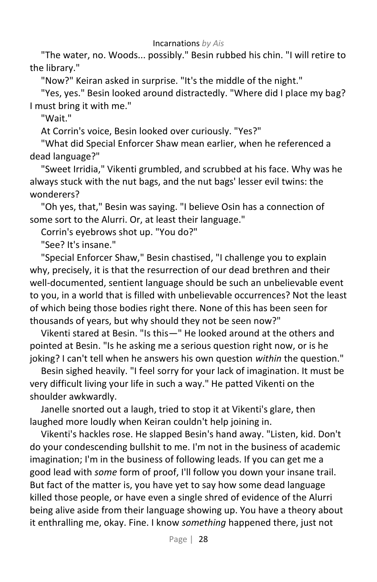"The water, no. Woods... possibly." Besin rubbed his chin. "I will retire to the library."

"Now?" Keiran asked in surprise. "It's the middle of the night."

"Yes, yes." Besin looked around distractedly. "Where did I place my bag? I must bring it with me."

"Wait."

At Corrin's voice, Besin looked over curiously. "Yes?"

"What did Special Enforcer Shaw mean earlier, when he referenced a dead language?"

"Sweet Irridia," Vikenti grumbled, and scrubbed at his face. Why was he always stuck with the nut bags, and the nut bags' lesser evil twins: the wonderers?

"Oh yes, that," Besin was saying. "I believe Osin has a connection of some sort to the Alurri. Or, at least their language."

Corrin's eyebrows shot up. "You do?"

"See? It's insane."

"Special Enforcer Shaw," Besin chastised, "I challenge you to explain why, precisely, it is that the resurrection of our dead brethren and their well-documented, sentient language should be such an unbelievable event to you, in a world that is filled with unbelievable occurrences? Not the least of which being those bodies right there. None of this has been seen for thousands of years, but why should they not be seen now?"

Vikenti stared at Besin. "Is this—" He looked around at the others and pointed at Besin. "Is he asking me a serious question right now, or is he joking? I can't tell when he answers his own question *within* the question."

Besin sighed heavily. "I feel sorry for your lack of imagination. It must be very difficult living your life in such a way." He patted Vikenti on the shoulder awkwardly.

Janelle snorted out a laugh, tried to stop it at Vikenti's glare, then laughed more loudly when Keiran couldn't help joining in.

Vikenti's hackles rose. He slapped Besin's hand away. "Listen, kid. Don't do your condescending bullshit to me. I'm not in the business of academic imagination; I'm in the business of following leads. If you can get me a good lead with *some* form of proof, I'll follow you down your insane trail. But fact of the matter is, you have yet to say how some dead language killed those people, or have even a single shred of evidence of the Alurri being alive aside from their language showing up. You have a theory about it enthralling me, okay. Fine. I know *something* happened there, just not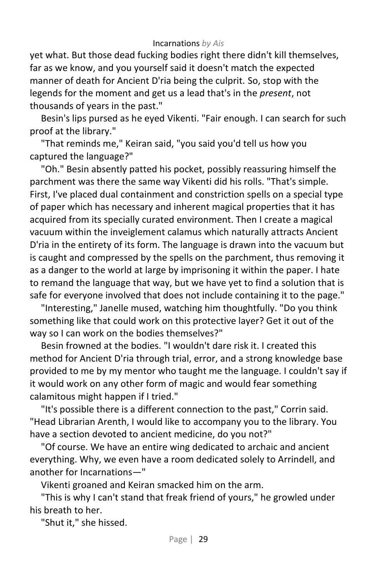yet what. But those dead fucking bodies right there didn't kill themselves, far as we know, and you yourself said it doesn't match the expected manner of death for Ancient D'ria being the culprit. So, stop with the legends for the moment and get us a lead that's in the *present*, not thousands of years in the past."

Besin's lips pursed as he eyed Vikenti. "Fair enough. I can search for such proof at the library."

"That reminds me," Keiran said, "you said you'd tell us how you captured the language?"

"Oh." Besin absently patted his pocket, possibly reassuring himself the parchment was there the same way Vikenti did his rolls. "That's simple. First, I've placed dual containment and constriction spells on a special type of paper which has necessary and inherent magical properties that it has acquired from its specially curated environment. Then I create a magical vacuum within the inveiglement calamus which naturally attracts Ancient D'ria in the entirety of its form. The language is drawn into the vacuum but is caught and compressed by the spells on the parchment, thus removing it as a danger to the world at large by imprisoning it within the paper. I hate to remand the language that way, but we have yet to find a solution that is safe for everyone involved that does not include containing it to the page."

"Interesting," Janelle mused, watching him thoughtfully. "Do you think something like that could work on this protective layer? Get it out of the way so I can work on the bodies themselves?"

Besin frowned at the bodies. "I wouldn't dare risk it. I created this method for Ancient D'ria through trial, error, and a strong knowledge base provided to me by my mentor who taught me the language. I couldn't say if it would work on any other form of magic and would fear something calamitous might happen if I tried."

"It's possible there is a different connection to the past," Corrin said. "Head Librarian Arenth, I would like to accompany you to the library. You have a section devoted to ancient medicine, do you not?"

"Of course. We have an entire wing dedicated to archaic and ancient everything. Why, we even have a room dedicated solely to Arrindell, and another for Incarnations—"

Vikenti groaned and Keiran smacked him on the arm.

"This is why I can't stand that freak friend of yours," he growled under his breath to her.

"Shut it," she hissed.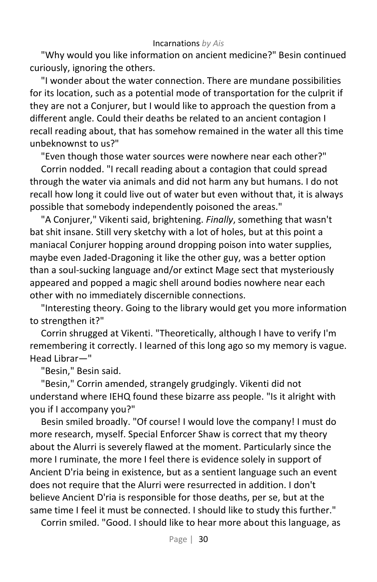"Why would you like information on ancient medicine?" Besin continued curiously, ignoring the others.

"I wonder about the water connection. There are mundane possibilities for its location, such as a potential mode of transportation for the culprit if they are not a Conjurer, but I would like to approach the question from a different angle. Could their deaths be related to an ancient contagion I recall reading about, that has somehow remained in the water all this time unbeknownst to us?"

"Even though those water sources were nowhere near each other?"

Corrin nodded. "I recall reading about a contagion that could spread through the water via animals and did not harm any but humans. I do not recall how long it could live out of water but even without that, it is always possible that somebody independently poisoned the areas."

"A Conjurer," Vikenti said, brightening. *Finally*, something that wasn't bat shit insane. Still very sketchy with a lot of holes, but at this point a maniacal Conjurer hopping around dropping poison into water supplies, maybe even Jaded-Dragoning it like the other guy, was a better option than a soul-sucking language and/or extinct Mage sect that mysteriously appeared and popped a magic shell around bodies nowhere near each other with no immediately discernible connections.

"Interesting theory. Going to the library would get you more information to strengthen it?"

Corrin shrugged at Vikenti. "Theoretically, although I have to verify I'm remembering it correctly. I learned of this long ago so my memory is vague. Head Librar—"

"Besin," Besin said.

"Besin," Corrin amended, strangely grudgingly. Vikenti did not understand where IEHQ found these bizarre ass people. "Is it alright with you if I accompany you?"

Besin smiled broadly. "Of course! I would love the company! I must do more research, myself. Special Enforcer Shaw is correct that my theory about the Alurri is severely flawed at the moment. Particularly since the more I ruminate, the more I feel there is evidence solely in support of Ancient D'ria being in existence, but as a sentient language such an event does not require that the Alurri were resurrected in addition. I don't believe Ancient D'ria is responsible for those deaths, per se, but at the same time I feel it must be connected. I should like to study this further."

Corrin smiled. "Good. I should like to hear more about this language, as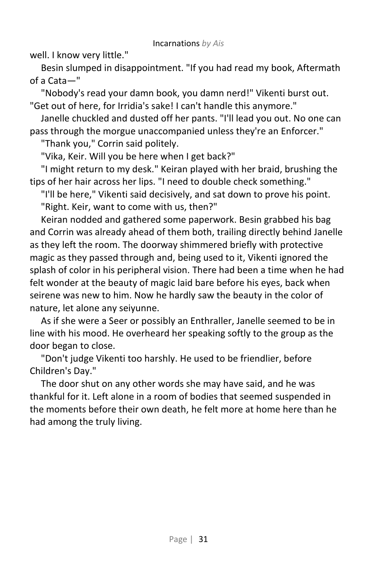well. I know very little."

Besin slumped in disappointment. "If you had read my book, Aftermath of a Cata—"

"Nobody's read your damn book, you damn nerd!" Vikenti burst out. "Get out of here, for Irridia's sake! I can't handle this anymore."

Janelle chuckled and dusted off her pants. "I'll lead you out. No one can pass through the morgue unaccompanied unless they're an Enforcer."

"Thank you," Corrin said politely.

"Vika, Keir. Will you be here when I get back?"

"I might return to my desk." Keiran played with her braid, brushing the tips of her hair across her lips. "I need to double check something."

"I'll be here," Vikenti said decisively, and sat down to prove his point. "Right. Keir, want to come with us, then?"

Keiran nodded and gathered some paperwork. Besin grabbed his bag and Corrin was already ahead of them both, trailing directly behind Janelle as they left the room. The doorway shimmered briefly with protective magic as they passed through and, being used to it, Vikenti ignored the splash of color in his peripheral vision. There had been a time when he had felt wonder at the beauty of magic laid bare before his eyes, back when seirene was new to him. Now he hardly saw the beauty in the color of nature, let alone any seiyunne.

As if she were a Seer or possibly an Enthraller, Janelle seemed to be in line with his mood. He overheard her speaking softly to the group as the door began to close.

"Don't judge Vikenti too harshly. He used to be friendlier, before Children's Day."

The door shut on any other words she may have said, and he was thankful for it. Left alone in a room of bodies that seemed suspended in the moments before their own death, he felt more at home here than he had among the truly living.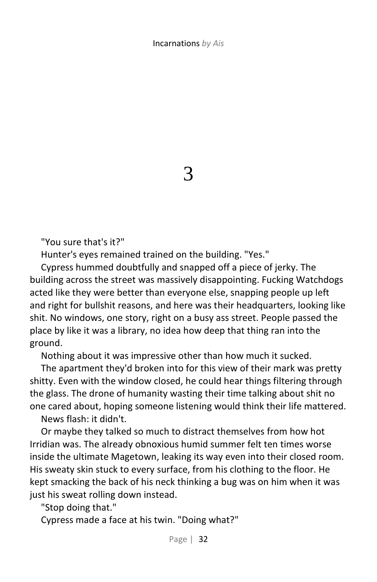3

"You sure that's it?"

Hunter's eyes remained trained on the building. "Yes."

Cypress hummed doubtfully and snapped off a piece of jerky. The building across the street was massively disappointing. Fucking Watchdogs acted like they were better than everyone else, snapping people up left and right for bullshit reasons, and here was their headquarters, looking like shit. No windows, one story, right on a busy ass street. People passed the place by like it was a library, no idea how deep that thing ran into the ground.

Nothing about it was impressive other than how much it sucked.

The apartment they'd broken into for this view of their mark was pretty shitty. Even with the window closed, he could hear things filtering through the glass. The drone of humanity wasting their time talking about shit no one cared about, hoping someone listening would think their life mattered.

News flash: it didn't.

Or maybe they talked so much to distract themselves from how hot Irridian was. The already obnoxious humid summer felt ten times worse inside the ultimate Magetown, leaking its way even into their closed room. His sweaty skin stuck to every surface, from his clothing to the floor. He kept smacking the back of his neck thinking a bug was on him when it was just his sweat rolling down instead.

"Stop doing that."

Cypress made a face at his twin. "Doing what?"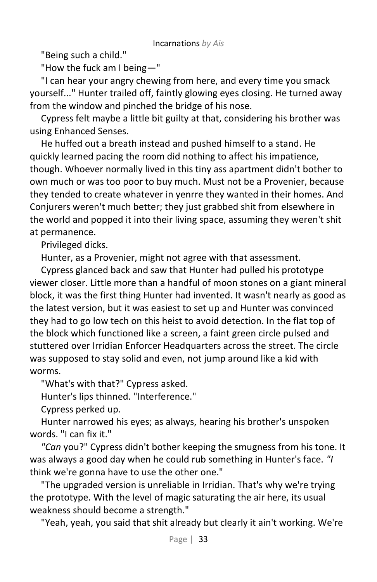"Being such a child."

"How the fuck am I being—"

"I can hear your angry chewing from here, and every time you smack yourself..." Hunter trailed off, faintly glowing eyes closing. He turned away from the window and pinched the bridge of his nose.

Cypress felt maybe a little bit guilty at that, considering his brother was using Enhanced Senses.

He huffed out a breath instead and pushed himself to a stand. He quickly learned pacing the room did nothing to affect his impatience, though. Whoever normally lived in this tiny ass apartment didn't bother to own much or was too poor to buy much. Must not be a Provenier, because they tended to create whatever in yenrre they wanted in their homes. And Conjurers weren't much better; they just grabbed shit from elsewhere in the world and popped it into their living space, assuming they weren't shit at permanence.

Privileged dicks.

Hunter, as a Provenier, might not agree with that assessment.

Cypress glanced back and saw that Hunter had pulled his prototype viewer closer. Little more than a handful of moon stones on a giant mineral block, it was the first thing Hunter had invented. It wasn't nearly as good as the latest version, but it was easiest to set up and Hunter was convinced they had to go low tech on this heist to avoid detection. In the flat top of the block which functioned like a screen, a faint green circle pulsed and stuttered over Irridian Enforcer Headquarters across the street. The circle was supposed to stay solid and even, not jump around like a kid with worms.

"What's with that?" Cypress asked.

Hunter's lips thinned. "Interference."

Cypress perked up.

Hunter narrowed his eyes; as always, hearing his brother's unspoken words. "I can fix it."

*"Can* you?" Cypress didn't bother keeping the smugness from his tone. It was always a good day when he could rub something in Hunter's face. *"I*  think we're gonna have to use the other one."

"The upgraded version is unreliable in Irridian. That's why we're trying the prototype. With the level of magic saturating the air here, its usual weakness should become a strength."

"Yeah, yeah, you said that shit already but clearly it ain't working. We're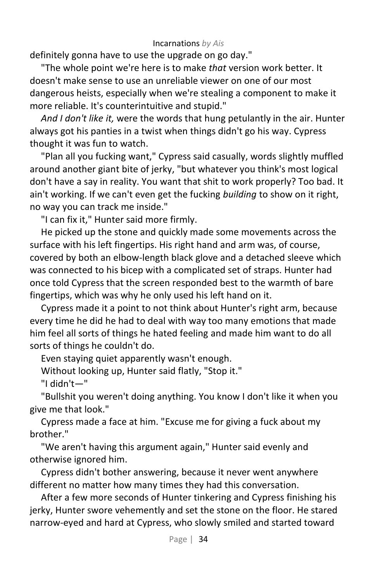definitely gonna have to use the upgrade on go day."

"The whole point we're here is to make *that* version work better. It doesn't make sense to use an unreliable viewer on one of our most dangerous heists, especially when we're stealing a component to make it more reliable. It's counterintuitive and stupid."

*And I don't like it,* were the words that hung petulantly in the air. Hunter always got his panties in a twist when things didn't go his way. Cypress thought it was fun to watch.

"Plan all you fucking want," Cypress said casually, words slightly muffled around another giant bite of jerky, "but whatever you think's most logical don't have a say in reality. You want that shit to work properly? Too bad. It ain't working. If we can't even get the fucking *building* to show on it right, no way you can track me inside."

"I can fix it," Hunter said more firmly.

He picked up the stone and quickly made some movements across the surface with his left fingertips. His right hand and arm was, of course, covered by both an elbow-length black glove and a detached sleeve which was connected to his bicep with a complicated set of straps. Hunter had once told Cypress that the screen responded best to the warmth of bare fingertips, which was why he only used his left hand on it.

Cypress made it a point to not think about Hunter's right arm, because every time he did he had to deal with way too many emotions that made him feel all sorts of things he hated feeling and made him want to do all sorts of things he couldn't do.

Even staying quiet apparently wasn't enough.

Without looking up, Hunter said flatly, "Stop it."

"I didn't—"

"Bullshit you weren't doing anything. You know I don't like it when you give me that look."

Cypress made a face at him. "Excuse me for giving a fuck about my brother."

"We aren't having this argument again," Hunter said evenly and otherwise ignored him.

Cypress didn't bother answering, because it never went anywhere different no matter how many times they had this conversation.

After a few more seconds of Hunter tinkering and Cypress finishing his jerky, Hunter swore vehemently and set the stone on the floor. He stared narrow-eyed and hard at Cypress, who slowly smiled and started toward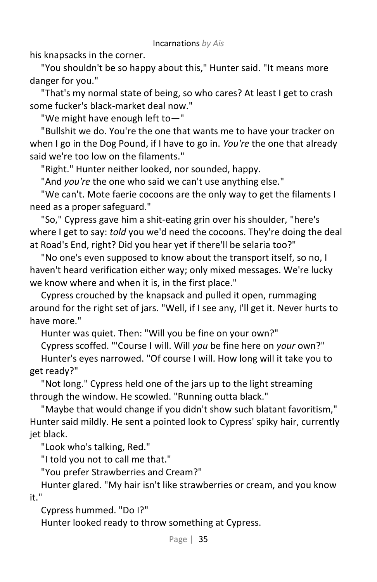his knapsacks in the corner.

"You shouldn't be so happy about this," Hunter said. "It means more danger for you."

"That's my normal state of being, so who cares? At least I get to crash some fucker's black-market deal now."

"We might have enough left to—"

"Bullshit we do. You're the one that wants me to have your tracker on when I go in the Dog Pound, if I have to go in. *You're* the one that already said we're too low on the filaments."

"Right." Hunter neither looked, nor sounded, happy.

"And *you're* the one who said we can't use anything else."

"We can't. Mote faerie cocoons are the only way to get the filaments I need as a proper safeguard."

"So," Cypress gave him a shit-eating grin over his shoulder, "here's where I get to say: *told* you we'd need the cocoons. They're doing the deal at Road's End, right? Did you hear yet if there'll be selaria too?"

"No one's even supposed to know about the transport itself, so no, I haven't heard verification either way; only mixed messages. We're lucky we know where and when it is, in the first place."

Cypress crouched by the knapsack and pulled it open, rummaging around for the right set of jars. "Well, if I see any, I'll get it. Never hurts to have more."

Hunter was quiet. Then: "Will you be fine on your own?"

Cypress scoffed. "'Course I will. Will *you* be fine here on *your* own?" Hunter's eyes narrowed. "Of course I will. How long will it take you to get ready?"

"Not long." Cypress held one of the jars up to the light streaming through the window. He scowled. "Running outta black."

"Maybe that would change if you didn't show such blatant favoritism," Hunter said mildly. He sent a pointed look to Cypress' spiky hair, currently jet black.

"Look who's talking, Red."

"I told you not to call me that."

"You prefer Strawberries and Cream?"

Hunter glared. "My hair isn't like strawberries or cream, and you know it."

Cypress hummed. "Do I?"

Hunter looked ready to throw something at Cypress.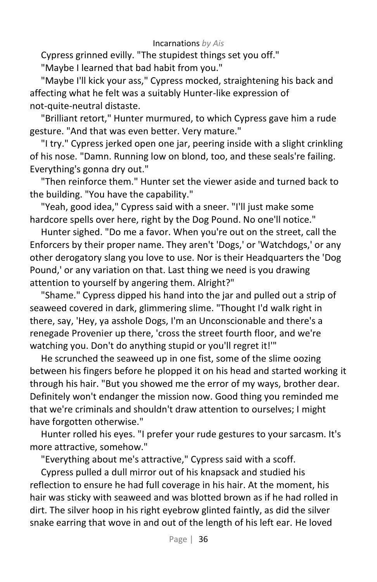Cypress grinned evilly. "The stupidest things set you off."

"Maybe I learned that bad habit from you."

"Maybe I'll kick your ass," Cypress mocked, straightening his back and affecting what he felt was a suitably Hunter-like expression of not-quite-neutral distaste.

"Brilliant retort," Hunter murmured, to which Cypress gave him a rude gesture. "And that was even better. Very mature."

"I try." Cypress jerked open one jar, peering inside with a slight crinkling of his nose. "Damn. Running low on blond, too, and these seals're failing. Everything's gonna dry out."

"Then reinforce them." Hunter set the viewer aside and turned back to the building. "You have the capability."

"Yeah, good idea," Cypress said with a sneer. "I'll just make some hardcore spells over here, right by the Dog Pound. No one'll notice."

Hunter sighed. "Do me a favor. When you're out on the street, call the Enforcers by their proper name. They aren't 'Dogs,' or 'Watchdogs,' or any other derogatory slang you love to use. Nor is their Headquarters the 'Dog Pound,' or any variation on that. Last thing we need is you drawing attention to yourself by angering them. Alright?"

"Shame." Cypress dipped his hand into the jar and pulled out a strip of seaweed covered in dark, glimmering slime. "Thought I'd walk right in there, say, 'Hey, ya asshole Dogs, I'm an Unconscionable and there's a renegade Provenier up there, 'cross the street fourth floor, and we're watching you. Don't do anything stupid or you'll regret it!'"

He scrunched the seaweed up in one fist, some of the slime oozing between his fingers before he plopped it on his head and started working it through his hair. "But you showed me the error of my ways, brother dear. Definitely won't endanger the mission now. Good thing you reminded me that we're criminals and shouldn't draw attention to ourselves; I might have forgotten otherwise."

Hunter rolled his eyes. "I prefer your rude gestures to your sarcasm. It's more attractive, somehow."

"Everything about me's attractive," Cypress said with a scoff.

Cypress pulled a dull mirror out of his knapsack and studied his reflection to ensure he had full coverage in his hair. At the moment, his hair was sticky with seaweed and was blotted brown as if he had rolled in dirt. The silver hoop in his right eyebrow glinted faintly, as did the silver snake earring that wove in and out of the length of his left ear. He loved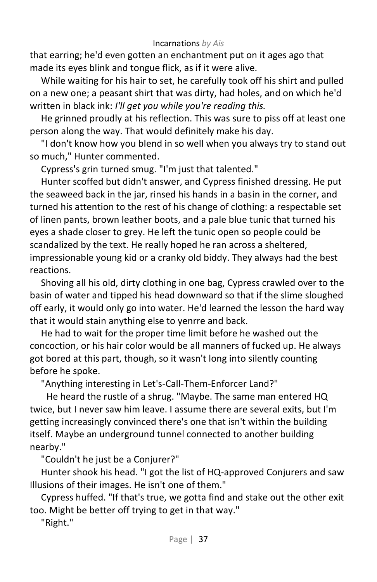that earring; he'd even gotten an enchantment put on it ages ago that made its eyes blink and tongue flick, as if it were alive.

While waiting for his hair to set, he carefully took off his shirt and pulled on a new one; a peasant shirt that was dirty, had holes, and on which he'd written in black ink: *I'll get you while you're reading this.*

He grinned proudly at his reflection. This was sure to piss off at least one person along the way. That would definitely make his day.

"I don't know how you blend in so well when you always try to stand out so much," Hunter commented.

Cypress's grin turned smug. "I'm just that talented."

Hunter scoffed but didn't answer, and Cypress finished dressing. He put the seaweed back in the jar, rinsed his hands in a basin in the corner, and turned his attention to the rest of his change of clothing: a respectable set of linen pants, brown leather boots, and a pale blue tunic that turned his eyes a shade closer to grey. He left the tunic open so people could be scandalized by the text. He really hoped he ran across a sheltered, impressionable young kid or a cranky old biddy. They always had the best reactions.

Shoving all his old, dirty clothing in one bag, Cypress crawled over to the basin of water and tipped his head downward so that if the slime sloughed off early, it would only go into water. He'd learned the lesson the hard way that it would stain anything else to yenrre and back.

He had to wait for the proper time limit before he washed out the concoction, or his hair color would be all manners of fucked up. He always got bored at this part, though, so it wasn't long into silently counting before he spoke.

"Anything interesting in Let's-Call-Them-Enforcer Land?"

He heard the rustle of a shrug. "Maybe. The same man entered HQ twice, but I never saw him leave. I assume there are several exits, but I'm getting increasingly convinced there's one that isn't within the building itself. Maybe an underground tunnel connected to another building nearby."

"Couldn't he just be a Conjurer?"

Hunter shook his head. "I got the list of HQ-approved Conjurers and saw Illusions of their images. He isn't one of them."

Cypress huffed. "If that's true, we gotta find and stake out the other exit too. Might be better off trying to get in that way."

"Right."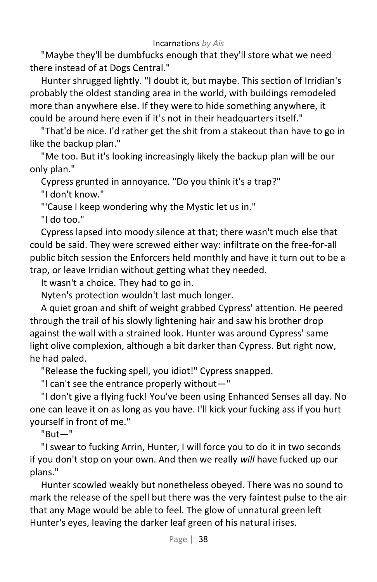"Maybe they'll be dumbfucks enough that they'll store what we need there instead of at Dogs Central."

Hunter shrugged lightly. "I doubt it, but maybe. This section of Irridian's probably the oldest standing area in the world, with buildings remodeled more than anywhere else. If they were to hide something anywhere, it could be around here even if it's not in their headquarters itself."

"That'd be nice. I'd rather get the shit from a stakeout than have to go in like the backup plan."

"Me too. But it's looking increasingly likely the backup plan will be our only plan."

Cypress grunted in annoyance. "Do you think it's a trap?"

"I don't know."

"'Cause I keep wondering why the Mystic let us in."

"I do too."

Cypress lapsed into moody silence at that; there wasn't much else that could be said. They were screwed either way: infiltrate on the free-for-all public bitch session the Enforcers held monthly and have it turn out to be a trap, or leave Irridian without getting what they needed.

It wasn't a choice. They had to go in.

Nyten's protection wouldn't last much longer.

A quiet groan and shift of weight grabbed Cypress' attention. He peered through the trail of his slowly lightening hair and saw his brother drop against the wall with a strained look. Hunter was around Cypress' same light olive complexion, although a bit darker than Cypress. But right now, he had paled.

"Release the fucking spell, you idiot!" Cypress snapped.

"I can't see the entrance properly without—"

"I don't give a flying fuck! You've been using Enhanced Senses all day. No one can leave it on as long as you have. I'll kick your fucking ass if you hurt yourself in front of me."

"But—"

"I swear to fucking Arrin, Hunter, I will force you to do it in two seconds if you don't stop on your own. And then we really *will* have fucked up our plans."

Hunter scowled weakly but nonetheless obeyed. There was no sound to mark the release of the spell but there was the very faintest pulse to the air that any Mage would be able to feel. The glow of unnatural green left Hunter's eyes, leaving the darker leaf green of his natural irises.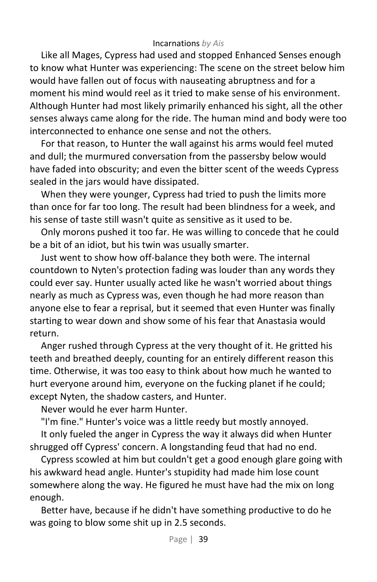Like all Mages, Cypress had used and stopped Enhanced Senses enough to know what Hunter was experiencing: The scene on the street below him would have fallen out of focus with nauseating abruptness and for a moment his mind would reel as it tried to make sense of his environment. Although Hunter had most likely primarily enhanced his sight, all the other senses always came along for the ride. The human mind and body were too interconnected to enhance one sense and not the others.

For that reason, to Hunter the wall against his arms would feel muted and dull; the murmured conversation from the passersby below would have faded into obscurity; and even the bitter scent of the weeds Cypress sealed in the jars would have dissipated.

When they were younger, Cypress had tried to push the limits more than once for far too long. The result had been blindness for a week, and his sense of taste still wasn't quite as sensitive as it used to be.

Only morons pushed it too far. He was willing to concede that he could be a bit of an idiot, but his twin was usually smarter.

Just went to show how off-balance they both were. The internal countdown to Nyten's protection fading was louder than any words they could ever say. Hunter usually acted like he wasn't worried about things nearly as much as Cypress was, even though he had more reason than anyone else to fear a reprisal, but it seemed that even Hunter was finally starting to wear down and show some of his fear that Anastasia would return.

Anger rushed through Cypress at the very thought of it. He gritted his teeth and breathed deeply, counting for an entirely different reason this time. Otherwise, it was too easy to think about how much he wanted to hurt everyone around him, everyone on the fucking planet if he could; except Nyten, the shadow casters, and Hunter.

Never would he ever harm Hunter.

"I'm fine." Hunter's voice was a little reedy but mostly annoyed.

It only fueled the anger in Cypress the way it always did when Hunter shrugged off Cypress' concern. A longstanding feud that had no end.

Cypress scowled at him but couldn't get a good enough glare going with his awkward head angle. Hunter's stupidity had made him lose count somewhere along the way. He figured he must have had the mix on long enough.

Better have, because if he didn't have something productive to do he was going to blow some shit up in 2.5 seconds.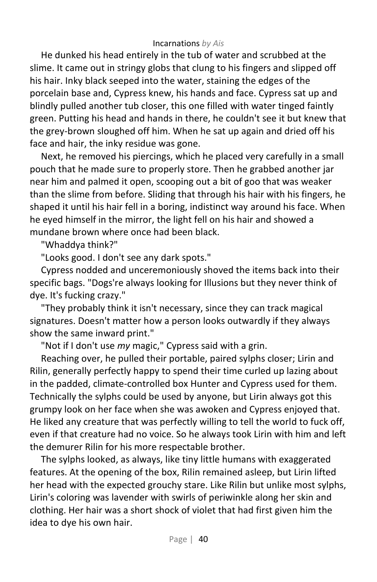He dunked his head entirely in the tub of water and scrubbed at the slime. It came out in stringy globs that clung to his fingers and slipped off his hair. Inky black seeped into the water, staining the edges of the porcelain base and, Cypress knew, his hands and face. Cypress sat up and blindly pulled another tub closer, this one filled with water tinged faintly green. Putting his head and hands in there, he couldn't see it but knew that the grey-brown sloughed off him. When he sat up again and dried off his face and hair, the inky residue was gone.

Next, he removed his piercings, which he placed very carefully in a small pouch that he made sure to properly store. Then he grabbed another jar near him and palmed it open, scooping out a bit of goo that was weaker than the slime from before. Sliding that through his hair with his fingers, he shaped it until his hair fell in a boring, indistinct way around his face. When he eyed himself in the mirror, the light fell on his hair and showed a mundane brown where once had been black.

"Whaddya think?"

"Looks good. I don't see any dark spots."

Cypress nodded and unceremoniously shoved the items back into their specific bags. "Dogs're always looking for Illusions but they never think of dye. It's fucking crazy."

"They probably think it isn't necessary, since they can track magical signatures. Doesn't matter how a person looks outwardly if they always show the same inward print."

"Not if I don't use *my* magic," Cypress said with a grin.

Reaching over, he pulled their portable, paired sylphs closer; Lirin and Rilin, generally perfectly happy to spend their time curled up lazing about in the padded, climate-controlled box Hunter and Cypress used for them. Technically the sylphs could be used by anyone, but Lirin always got this grumpy look on her face when she was awoken and Cypress enjoyed that. He liked any creature that was perfectly willing to tell the world to fuck off, even if that creature had no voice. So he always took Lirin with him and left the demurer Rilin for his more respectable brother.

The sylphs looked, as always, like tiny little humans with exaggerated features. At the opening of the box, Rilin remained asleep, but Lirin lifted her head with the expected grouchy stare. Like Rilin but unlike most sylphs, Lirin's coloring was lavender with swirls of periwinkle along her skin and clothing. Her hair was a short shock of violet that had first given him the idea to dye his own hair.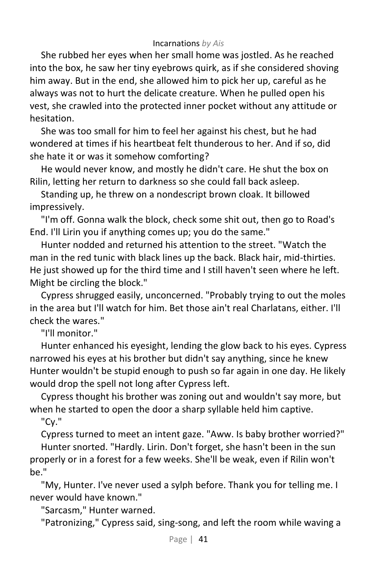She rubbed her eyes when her small home was jostled. As he reached into the box, he saw her tiny eyebrows quirk, as if she considered shoving him away. But in the end, she allowed him to pick her up, careful as he always was not to hurt the delicate creature. When he pulled open his vest, she crawled into the protected inner pocket without any attitude or hesitation.

She was too small for him to feel her against his chest, but he had wondered at times if his heartbeat felt thunderous to her. And if so, did she hate it or was it somehow comforting?

He would never know, and mostly he didn't care. He shut the box on Rilin, letting her return to darkness so she could fall back asleep.

Standing up, he threw on a nondescript brown cloak. It billowed impressively.

"I'm off. Gonna walk the block, check some shit out, then go to Road's End. I'll Lirin you if anything comes up; you do the same."

Hunter nodded and returned his attention to the street. "Watch the man in the red tunic with black lines up the back. Black hair, mid-thirties. He just showed up for the third time and I still haven't seen where he left. Might be circling the block."

Cypress shrugged easily, unconcerned. "Probably trying to out the moles in the area but I'll watch for him. Bet those ain't real Charlatans, either. I'll check the wares."

"I'll monitor."

Hunter enhanced his eyesight, lending the glow back to his eyes. Cypress narrowed his eyes at his brother but didn't say anything, since he knew Hunter wouldn't be stupid enough to push so far again in one day. He likely would drop the spell not long after Cypress left.

Cypress thought his brother was zoning out and wouldn't say more, but when he started to open the door a sharp syllable held him captive.

"Cy."

Cypress turned to meet an intent gaze. "Aww. Is baby brother worried?" Hunter snorted. "Hardly. Lirin. Don't forget, she hasn't been in the sun properly or in a forest for a few weeks. She'll be weak, even if Rilin won't be."

"My, Hunter. I've never used a sylph before. Thank you for telling me. I never would have known."

"Sarcasm," Hunter warned.

"Patronizing," Cypress said, sing-song, and left the room while waving a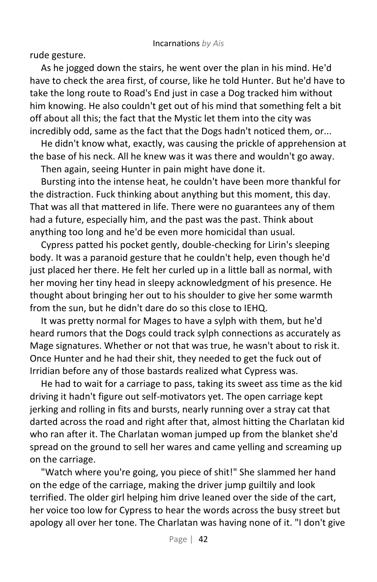rude gesture.

As he jogged down the stairs, he went over the plan in his mind. He'd have to check the area first, of course, like he told Hunter. But he'd have to take the long route to Road's End just in case a Dog tracked him without him knowing. He also couldn't get out of his mind that something felt a bit off about all this; the fact that the Mystic let them into the city was incredibly odd, same as the fact that the Dogs hadn't noticed them, or...

He didn't know what, exactly, was causing the prickle of apprehension at the base of his neck. All he knew was it was there and wouldn't go away.

Then again, seeing Hunter in pain might have done it.

Bursting into the intense heat, he couldn't have been more thankful for the distraction. Fuck thinking about anything but this moment, this day. That was all that mattered in life. There were no guarantees any of them had a future, especially him, and the past was the past. Think about anything too long and he'd be even more homicidal than usual.

Cypress patted his pocket gently, double-checking for Lirin's sleeping body. It was a paranoid gesture that he couldn't help, even though he'd just placed her there. He felt her curled up in a little ball as normal, with her moving her tiny head in sleepy acknowledgment of his presence. He thought about bringing her out to his shoulder to give her some warmth from the sun, but he didn't dare do so this close to IEHQ.

It was pretty normal for Mages to have a sylph with them, but he'd heard rumors that the Dogs could track sylph connections as accurately as Mage signatures. Whether or not that was true, he wasn't about to risk it. Once Hunter and he had their shit, they needed to get the fuck out of Irridian before any of those bastards realized what Cypress was.

He had to wait for a carriage to pass, taking its sweet ass time as the kid driving it hadn't figure out self-motivators yet. The open carriage kept jerking and rolling in fits and bursts, nearly running over a stray cat that darted across the road and right after that, almost hitting the Charlatan kid who ran after it. The Charlatan woman jumped up from the blanket she'd spread on the ground to sell her wares and came yelling and screaming up on the carriage.

"Watch where you're going, you piece of shit!" She slammed her hand on the edge of the carriage, making the driver jump guiltily and look terrified. The older girl helping him drive leaned over the side of the cart, her voice too low for Cypress to hear the words across the busy street but apology all over her tone. The Charlatan was having none of it. "I don't give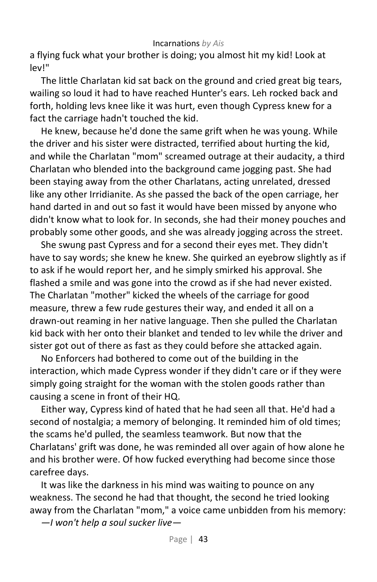a flying fuck what your brother is doing; you almost hit my kid! Look at lev!"

The little Charlatan kid sat back on the ground and cried great big tears, wailing so loud it had to have reached Hunter's ears. Leh rocked back and forth, holding levs knee like it was hurt, even though Cypress knew for a fact the carriage hadn't touched the kid.

He knew, because he'd done the same grift when he was young. While the driver and his sister were distracted, terrified about hurting the kid, and while the Charlatan "mom" screamed outrage at their audacity, a third Charlatan who blended into the background came jogging past. She had been staying away from the other Charlatans, acting unrelated, dressed like any other Irridianite. As she passed the back of the open carriage, her hand darted in and out so fast it would have been missed by anyone who didn't know what to look for. In seconds, she had their money pouches and probably some other goods, and she was already jogging across the street.

She swung past Cypress and for a second their eyes met. They didn't have to say words; she knew he knew. She quirked an eyebrow slightly as if to ask if he would report her, and he simply smirked his approval. She flashed a smile and was gone into the crowd as if she had never existed. The Charlatan "mother" kicked the wheels of the carriage for good measure, threw a few rude gestures their way, and ended it all on a drawn-out reaming in her native language. Then she pulled the Charlatan kid back with her onto their blanket and tended to lev while the driver and sister got out of there as fast as they could before she attacked again.

No Enforcers had bothered to come out of the building in the interaction, which made Cypress wonder if they didn't care or if they were simply going straight for the woman with the stolen goods rather than causing a scene in front of their HQ.

Either way, Cypress kind of hated that he had seen all that. He'd had a second of nostalgia; a memory of belonging. It reminded him of old times; the scams he'd pulled, the seamless teamwork. But now that the Charlatans' grift was done, he was reminded all over again of how alone he and his brother were. Of how fucked everything had become since those carefree days.

It was like the darkness in his mind was waiting to pounce on any weakness. The second he had that thought, the second he tried looking away from the Charlatan "mom," a voice came unbidden from his memory:

*—I won't help a soul sucker live—*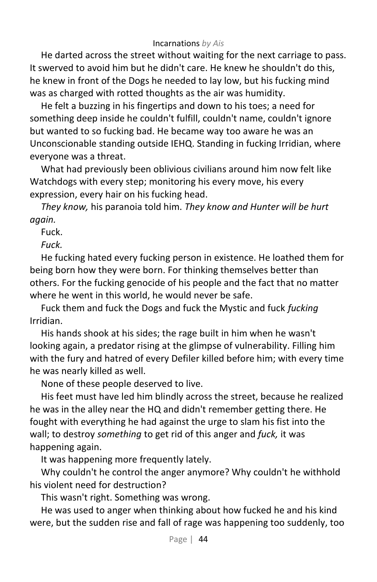He darted across the street without waiting for the next carriage to pass. It swerved to avoid him but he didn't care. He knew he shouldn't do this, he knew in front of the Dogs he needed to lay low, but his fucking mind was as charged with rotted thoughts as the air was humidity.

He felt a buzzing in his fingertips and down to his toes; a need for something deep inside he couldn't fulfill, couldn't name, couldn't ignore but wanted to so fucking bad. He became way too aware he was an Unconscionable standing outside IEHQ. Standing in fucking Irridian, where everyone was a threat.

What had previously been oblivious civilians around him now felt like Watchdogs with every step; monitoring his every move, his every expression, every hair on his fucking head.

*They know,* his paranoia told him. *They know and Hunter will be hurt again.*

Fuck.

*Fuck.*

He fucking hated every fucking person in existence. He loathed them for being born how they were born. For thinking themselves better than others. For the fucking genocide of his people and the fact that no matter where he went in this world, he would never be safe.

Fuck them and fuck the Dogs and fuck the Mystic and fuck *fucking* Irridian.

His hands shook at his sides; the rage built in him when he wasn't looking again, a predator rising at the glimpse of vulnerability. Filling him with the fury and hatred of every Defiler killed before him; with every time he was nearly killed as well.

None of these people deserved to live.

His feet must have led him blindly across the street, because he realized he was in the alley near the HQ and didn't remember getting there. He fought with everything he had against the urge to slam his fist into the wall; to destroy *something* to get rid of this anger and *fuck,* it was happening again.

It was happening more frequently lately.

Why couldn't he control the anger anymore? Why couldn't he withhold his violent need for destruction?

This wasn't right. Something was wrong.

He was used to anger when thinking about how fucked he and his kind were, but the sudden rise and fall of rage was happening too suddenly, too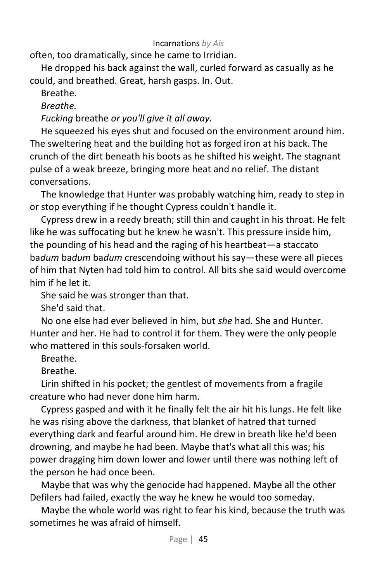often, too dramatically, since he came to Irridian.

He dropped his back against the wall, curled forward as casually as he could, and breathed. Great, harsh gasps. In. Out.

Breathe.

*Breathe.* 

*Fucking* breathe *or you'll give it all away.*

He squeezed his eyes shut and focused on the environment around him. The sweltering heat and the building hot as forged iron at his back. The crunch of the dirt beneath his boots as he shifted his weight. The stagnant pulse of a weak breeze, bringing more heat and no relief. The distant conversations.

The knowledge that Hunter was probably watching him, ready to step in or stop everything if he thought Cypress couldn't handle it.

Cypress drew in a reedy breath; still thin and caught in his throat. He felt like he was suffocating but he knew he wasn't. This pressure inside him, the pounding of his head and the raging of his heartbeat—a staccato ba*dum* ba*dum* ba*dum* crescendoing without his say—these were all pieces of him that Nyten had told him to control. All bits she said would overcome him if he let it.

She said he was stronger than that.

She'd said that.

No one else had ever believed in him, but *she* had. She and Hunter. Hunter and her. He had to control it for them. They were the only people who mattered in this souls-forsaken world.

Breathe.

Breathe.

Lirin shifted in his pocket; the gentlest of movements from a fragile creature who had never done him harm.

Cypress gasped and with it he finally felt the air hit his lungs. He felt like he was rising above the darkness, that blanket of hatred that turned everything dark and fearful around him. He drew in breath like he'd been drowning, and maybe he had been. Maybe that's what all this was; his power dragging him down lower and lower until there was nothing left of the person he had once been.

Maybe that was why the genocide had happened. Maybe all the other Defilers had failed, exactly the way he knew he would too someday.

Maybe the whole world was right to fear his kind, because the truth was sometimes he was afraid of himself.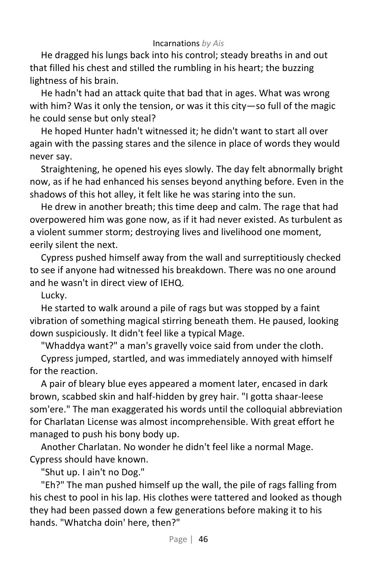He dragged his lungs back into his control; steady breaths in and out that filled his chest and stilled the rumbling in his heart; the buzzing lightness of his brain.

He hadn't had an attack quite that bad that in ages. What was wrong with him? Was it only the tension, or was it this city—so full of the magic he could sense but only steal?

He hoped Hunter hadn't witnessed it; he didn't want to start all over again with the passing stares and the silence in place of words they would never say.

Straightening, he opened his eyes slowly. The day felt abnormally bright now, as if he had enhanced his senses beyond anything before. Even in the shadows of this hot alley, it felt like he was staring into the sun.

He drew in another breath; this time deep and calm. The rage that had overpowered him was gone now, as if it had never existed. As turbulent as a violent summer storm; destroying lives and livelihood one moment, eerily silent the next.

Cypress pushed himself away from the wall and surreptitiously checked to see if anyone had witnessed his breakdown. There was no one around and he wasn't in direct view of IEHQ.

Lucky.

He started to walk around a pile of rags but was stopped by a faint vibration of something magical stirring beneath them. He paused, looking down suspiciously. It didn't feel like a typical Mage.

"Whaddya want?" a man's gravelly voice said from under the cloth.

Cypress jumped, startled, and was immediately annoyed with himself for the reaction.

A pair of bleary blue eyes appeared a moment later, encased in dark brown, scabbed skin and half-hidden by grey hair. "I gotta shaar-leese som'ere." The man exaggerated his words until the colloquial abbreviation for Charlatan License was almost incomprehensible. With great effort he managed to push his bony body up.

Another Charlatan. No wonder he didn't feel like a normal Mage. Cypress should have known.

"Shut up. I ain't no Dog."

"Eh?" The man pushed himself up the wall, the pile of rags falling from his chest to pool in his lap. His clothes were tattered and looked as though they had been passed down a few generations before making it to his hands. "Whatcha doin' here, then?"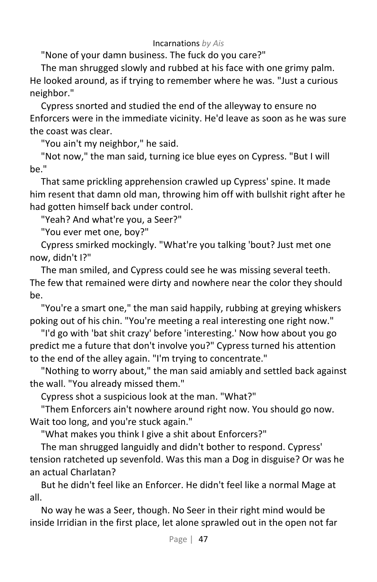"None of your damn business. The fuck do you care?"

The man shrugged slowly and rubbed at his face with one grimy palm. He looked around, as if trying to remember where he was. "Just a curious neighbor."

Cypress snorted and studied the end of the alleyway to ensure no Enforcers were in the immediate vicinity. He'd leave as soon as he was sure the coast was clear.

"You ain't my neighbor," he said.

"Not now," the man said, turning ice blue eyes on Cypress. "But I will be."

That same prickling apprehension crawled up Cypress' spine. It made him resent that damn old man, throwing him off with bullshit right after he had gotten himself back under control.

"Yeah? And what're you, a Seer?"

"You ever met one, boy?"

Cypress smirked mockingly. "What're you talking 'bout? Just met one now, didn't I?"

The man smiled, and Cypress could see he was missing several teeth. The few that remained were dirty and nowhere near the color they should be.

"You're a smart one," the man said happily, rubbing at greying whiskers poking out of his chin. "You're meeting a real interesting one right now."

"I'd go with 'bat shit crazy' before 'interesting.' Now how about you go predict me a future that don't involve you?" Cypress turned his attention to the end of the alley again. "I'm trying to concentrate."

"Nothing to worry about," the man said amiably and settled back against the wall. "You already missed them."

Cypress shot a suspicious look at the man. "What?"

"Them Enforcers ain't nowhere around right now. You should go now. Wait too long, and you're stuck again."

"What makes you think I give a shit about Enforcers?"

The man shrugged languidly and didn't bother to respond. Cypress' tension ratcheted up sevenfold. Was this man a Dog in disguise? Or was he an actual Charlatan?

But he didn't feel like an Enforcer. He didn't feel like a normal Mage at all.

No way he was a Seer, though. No Seer in their right mind would be inside Irridian in the first place, let alone sprawled out in the open not far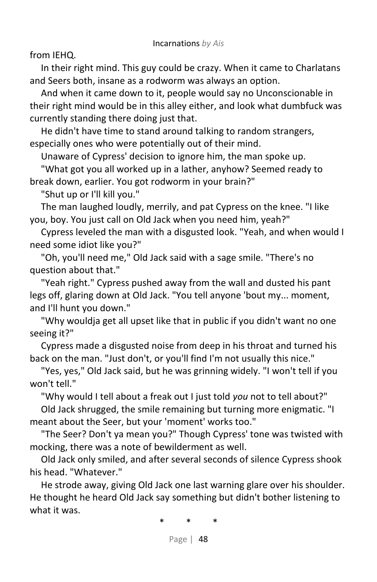from IEHQ.

In their right mind. This guy could be crazy. When it came to Charlatans and Seers both, insane as a rodworm was always an option.

And when it came down to it, people would say no Unconscionable in their right mind would be in this alley either, and look what dumbfuck was currently standing there doing just that.

He didn't have time to stand around talking to random strangers, especially ones who were potentially out of their mind.

Unaware of Cypress' decision to ignore him, the man spoke up.

"What got you all worked up in a lather, anyhow? Seemed ready to break down, earlier. You got rodworm in your brain?"

"Shut up or I'll kill you."

The man laughed loudly, merrily, and pat Cypress on the knee. "I like you, boy. You just call on Old Jack when you need him, yeah?"

Cypress leveled the man with a disgusted look. "Yeah, and when would I need some idiot like you?"

"Oh, you'll need me," Old Jack said with a sage smile. "There's no question about that."

"Yeah right." Cypress pushed away from the wall and dusted his pant legs off, glaring down at Old Jack. "You tell anyone 'bout my... moment, and I'll hunt you down."

"Why wouldja get all upset like that in public if you didn't want no one seeing it?"

Cypress made a disgusted noise from deep in his throat and turned his back on the man. "Just don't, or you'll find I'm not usually this nice."

"Yes, yes," Old Jack said, but he was grinning widely. "I won't tell if you won't tell."

"Why would I tell about a freak out I just told *you* not to tell about?"

Old Jack shrugged, the smile remaining but turning more enigmatic. "I meant about the Seer, but your 'moment' works too."

"The Seer? Don't ya mean you?" Though Cypress' tone was twisted with mocking, there was a note of bewilderment as well.

Old Jack only smiled, and after several seconds of silence Cypress shook his head. "Whatever."

He strode away, giving Old Jack one last warning glare over his shoulder. He thought he heard Old Jack say something but didn't bother listening to what it was.

\* \* \*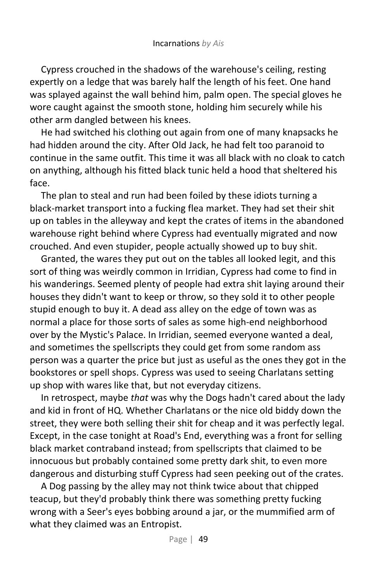Cypress crouched in the shadows of the warehouse's ceiling, resting expertly on a ledge that was barely half the length of his feet. One hand was splayed against the wall behind him, palm open. The special gloves he wore caught against the smooth stone, holding him securely while his other arm dangled between his knees.

He had switched his clothing out again from one of many knapsacks he had hidden around the city. After Old Jack, he had felt too paranoid to continue in the same outfit. This time it was all black with no cloak to catch on anything, although his fitted black tunic held a hood that sheltered his face.

The plan to steal and run had been foiled by these idiots turning a black-market transport into a fucking flea market. They had set their shit up on tables in the alleyway and kept the crates of items in the abandoned warehouse right behind where Cypress had eventually migrated and now crouched. And even stupider, people actually showed up to buy shit.

Granted, the wares they put out on the tables all looked legit, and this sort of thing was weirdly common in Irridian, Cypress had come to find in his wanderings. Seemed plenty of people had extra shit laying around their houses they didn't want to keep or throw, so they sold it to other people stupid enough to buy it. A dead ass alley on the edge of town was as normal a place for those sorts of sales as some high-end neighborhood over by the Mystic's Palace. In Irridian, seemed everyone wanted a deal, and sometimes the spellscripts they could get from some random ass person was a quarter the price but just as useful as the ones they got in the bookstores or spell shops. Cypress was used to seeing Charlatans setting up shop with wares like that, but not everyday citizens.

In retrospect, maybe *that* was why the Dogs hadn't cared about the lady and kid in front of HQ. Whether Charlatans or the nice old biddy down the street, they were both selling their shit for cheap and it was perfectly legal. Except, in the case tonight at Road's End, everything was a front for selling black market contraband instead; from spellscripts that claimed to be innocuous but probably contained some pretty dark shit, to even more dangerous and disturbing stuff Cypress had seen peeking out of the crates.

A Dog passing by the alley may not think twice about that chipped teacup, but they'd probably think there was something pretty fucking wrong with a Seer's eyes bobbing around a jar, or the mummified arm of what they claimed was an Entropist.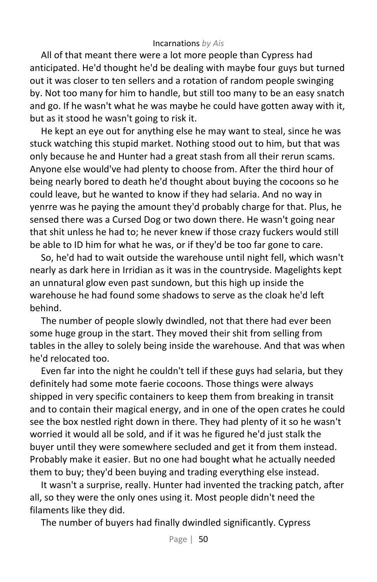All of that meant there were a lot more people than Cypress had anticipated. He'd thought he'd be dealing with maybe four guys but turned out it was closer to ten sellers and a rotation of random people swinging by. Not too many for him to handle, but still too many to be an easy snatch and go. If he wasn't what he was maybe he could have gotten away with it, but as it stood he wasn't going to risk it.

He kept an eye out for anything else he may want to steal, since he was stuck watching this stupid market. Nothing stood out to him, but that was only because he and Hunter had a great stash from all their rerun scams. Anyone else would've had plenty to choose from. After the third hour of being nearly bored to death he'd thought about buying the cocoons so he could leave, but he wanted to know if they had selaria. And no way in yenrre was he paying the amount they'd probably charge for that. Plus, he sensed there was a Cursed Dog or two down there. He wasn't going near that shit unless he had to; he never knew if those crazy fuckers would still be able to ID him for what he was, or if they'd be too far gone to care.

So, he'd had to wait outside the warehouse until night fell, which wasn't nearly as dark here in Irridian as it was in the countryside. Magelights kept an unnatural glow even past sundown, but this high up inside the warehouse he had found some shadows to serve as the cloak he'd left behind.

The number of people slowly dwindled, not that there had ever been some huge group in the start. They moved their shit from selling from tables in the alley to solely being inside the warehouse. And that was when he'd relocated too.

Even far into the night he couldn't tell if these guys had selaria, but they definitely had some mote faerie cocoons. Those things were always shipped in very specific containers to keep them from breaking in transit and to contain their magical energy, and in one of the open crates he could see the box nestled right down in there. They had plenty of it so he wasn't worried it would all be sold, and if it was he figured he'd just stalk the buyer until they were somewhere secluded and get it from them instead. Probably make it easier. But no one had bought what he actually needed them to buy; they'd been buying and trading everything else instead.

It wasn't a surprise, really. Hunter had invented the tracking patch, after all, so they were the only ones using it. Most people didn't need the filaments like they did.

The number of buyers had finally dwindled significantly. Cypress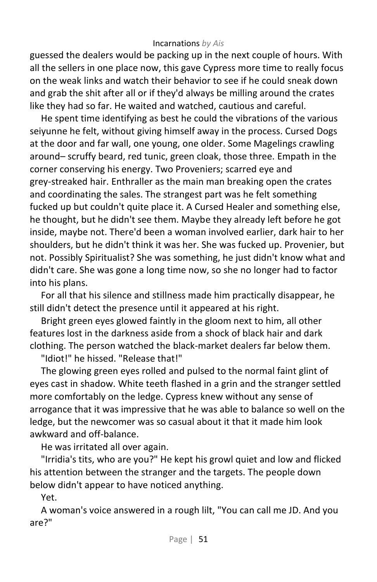guessed the dealers would be packing up in the next couple of hours. With all the sellers in one place now, this gave Cypress more time to really focus on the weak links and watch their behavior to see if he could sneak down and grab the shit after all or if they'd always be milling around the crates like they had so far. He waited and watched, cautious and careful.

He spent time identifying as best he could the vibrations of the various seiyunne he felt, without giving himself away in the process. Cursed Dogs at the door and far wall, one young, one older. Some Magelings crawling around– scruffy beard, red tunic, green cloak, those three. Empath in the corner conserving his energy. Two Proveniers; scarred eye and grey-streaked hair. Enthraller as the main man breaking open the crates and coordinating the sales. The strangest part was he felt something fucked up but couldn't quite place it. A Cursed Healer and something else, he thought, but he didn't see them. Maybe they already left before he got inside, maybe not. There'd been a woman involved earlier, dark hair to her shoulders, but he didn't think it was her. She was fucked up. Provenier, but not. Possibly Spiritualist? She was something, he just didn't know what and didn't care. She was gone a long time now, so she no longer had to factor into his plans.

For all that his silence and stillness made him practically disappear, he still didn't detect the presence until it appeared at his right.

Bright green eyes glowed faintly in the gloom next to him, all other features lost in the darkness aside from a shock of black hair and dark clothing. The person watched the black-market dealers far below them.

"Idiot!" he hissed. "Release that!"

The glowing green eyes rolled and pulsed to the normal faint glint of eyes cast in shadow. White teeth flashed in a grin and the stranger settled more comfortably on the ledge. Cypress knew without any sense of arrogance that it was impressive that he was able to balance so well on the ledge, but the newcomer was so casual about it that it made him look awkward and off-balance.

He was irritated all over again.

"Irridia's tits, who are you?" He kept his growl quiet and low and flicked his attention between the stranger and the targets. The people down below didn't appear to have noticed anything.

Yet.

A woman's voice answered in a rough lilt, "You can call me JD. And you are?"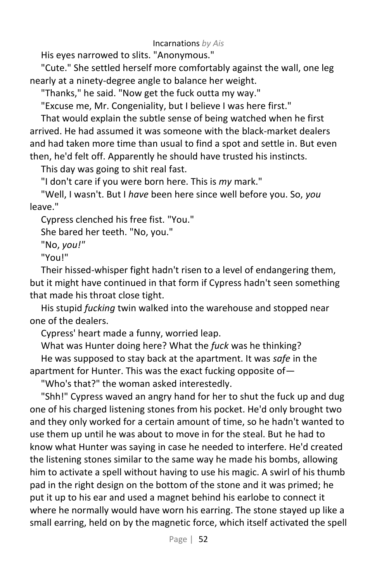His eyes narrowed to slits. "Anonymous."

"Cute." She settled herself more comfortably against the wall, one leg nearly at a ninety-degree angle to balance her weight.

"Thanks," he said. "Now get the fuck outta my way."

"Excuse me, Mr. Congeniality, but I believe I was here first."

That would explain the subtle sense of being watched when he first arrived. He had assumed it was someone with the black-market dealers and had taken more time than usual to find a spot and settle in. But even then, he'd felt off. Apparently he should have trusted his instincts.

This day was going to shit real fast.

"I don't care if you were born here. This is *my* mark."

"Well, I wasn't. But I *have* been here since well before you. So, *you* leave."

Cypress clenched his free fist. "You."

She bared her teeth. "No, you."

"No, *you!"*

"You!"

Their hissed-whisper fight hadn't risen to a level of endangering them, but it might have continued in that form if Cypress hadn't seen something that made his throat close tight.

His stupid *fucking* twin walked into the warehouse and stopped near one of the dealers.

Cypress' heart made a funny, worried leap.

What was Hunter doing here? What the *fuck* was he thinking? He was supposed to stay back at the apartment. It was *safe* in the apartment for Hunter. This was the exact fucking opposite of—

"Who's that?" the woman asked interestedly.

"Shh!" Cypress waved an angry hand for her to shut the fuck up and dug one of his charged listening stones from his pocket. He'd only brought two and they only worked for a certain amount of time, so he hadn't wanted to use them up until he was about to move in for the steal. But he had to know what Hunter was saying in case he needed to interfere. He'd created the listening stones similar to the same way he made his bombs, allowing him to activate a spell without having to use his magic. A swirl of his thumb pad in the right design on the bottom of the stone and it was primed; he put it up to his ear and used a magnet behind his earlobe to connect it where he normally would have worn his earring. The stone stayed up like a small earring, held on by the magnetic force, which itself activated the spell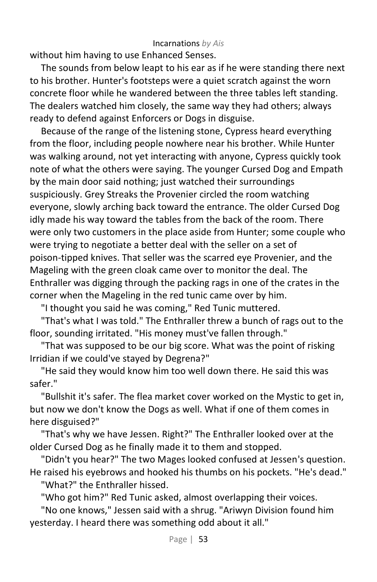without him having to use Enhanced Senses.

The sounds from below leapt to his ear as if he were standing there next to his brother. Hunter's footsteps were a quiet scratch against the worn concrete floor while he wandered between the three tables left standing. The dealers watched him closely, the same way they had others; always ready to defend against Enforcers or Dogs in disguise.

Because of the range of the listening stone, Cypress heard everything from the floor, including people nowhere near his brother. While Hunter was walking around, not yet interacting with anyone, Cypress quickly took note of what the others were saying. The younger Cursed Dog and Empath by the main door said nothing; just watched their surroundings suspiciously. Grey Streaks the Provenier circled the room watching everyone, slowly arching back toward the entrance. The older Cursed Dog idly made his way toward the tables from the back of the room. There were only two customers in the place aside from Hunter; some couple who were trying to negotiate a better deal with the seller on a set of poison-tipped knives. That seller was the scarred eye Provenier, and the Mageling with the green cloak came over to monitor the deal. The Enthraller was digging through the packing rags in one of the crates in the corner when the Mageling in the red tunic came over by him.

"I thought you said he was coming," Red Tunic muttered.

"That's what I was told." The Enthraller threw a bunch of rags out to the floor, sounding irritated. "His money must've fallen through."

"That was supposed to be our big score. What was the point of risking Irridian if we could've stayed by Degrena?"

"He said they would know him too well down there. He said this was safer."

"Bullshit it's safer. The flea market cover worked on the Mystic to get in, but now we don't know the Dogs as well. What if one of them comes in here disguised?"

"That's why we have Jessen. Right?" The Enthraller looked over at the older Cursed Dog as he finally made it to them and stopped.

"Didn't you hear?" The two Mages looked confused at Jessen's question. He raised his eyebrows and hooked his thumbs on his pockets. "He's dead."

"What?" the Enthraller hissed.

"Who got him?" Red Tunic asked, almost overlapping their voices.

"No one knows," Jessen said with a shrug. "Ariwyn Division found him yesterday. I heard there was something odd about it all."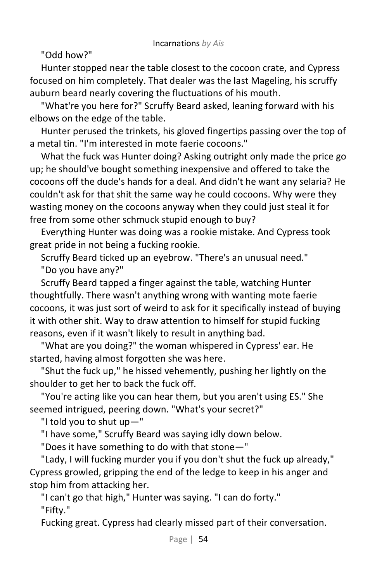"Odd how?"

Hunter stopped near the table closest to the cocoon crate, and Cypress focused on him completely. That dealer was the last Mageling, his scruffy auburn beard nearly covering the fluctuations of his mouth.

"What're you here for?" Scruffy Beard asked, leaning forward with his elbows on the edge of the table.

Hunter perused the trinkets, his gloved fingertips passing over the top of a metal tin. "I'm interested in mote faerie cocoons."

What the fuck was Hunter doing? Asking outright only made the price go up; he should've bought something inexpensive and offered to take the cocoons off the dude's hands for a deal. And didn't he want any selaria? He couldn't ask for that shit the same way he could cocoons. Why were they wasting money on the cocoons anyway when they could just steal it for free from some other schmuck stupid enough to buy?

Everything Hunter was doing was a rookie mistake. And Cypress took great pride in not being a fucking rookie.

Scruffy Beard ticked up an eyebrow. "There's an unusual need." "Do you have any?"

Scruffy Beard tapped a finger against the table, watching Hunter thoughtfully. There wasn't anything wrong with wanting mote faerie cocoons, it was just sort of weird to ask for it specifically instead of buying it with other shit. Way to draw attention to himself for stupid fucking reasons, even if it wasn't likely to result in anything bad.

"What are you doing?" the woman whispered in Cypress' ear. He started, having almost forgotten she was here.

"Shut the fuck up," he hissed vehemently, pushing her lightly on the shoulder to get her to back the fuck off.

"You're acting like you can hear them, but you aren't using ES." She seemed intrigued, peering down. "What's your secret?"

"I told you to shut up—"

"I have some," Scruffy Beard was saying idly down below.

"Does it have something to do with that stone—"

"Lady, I will fucking murder you if you don't shut the fuck up already," Cypress growled, gripping the end of the ledge to keep in his anger and stop him from attacking her.

"I can't go that high," Hunter was saying. "I can do forty." "Fifty."

Fucking great. Cypress had clearly missed part of their conversation.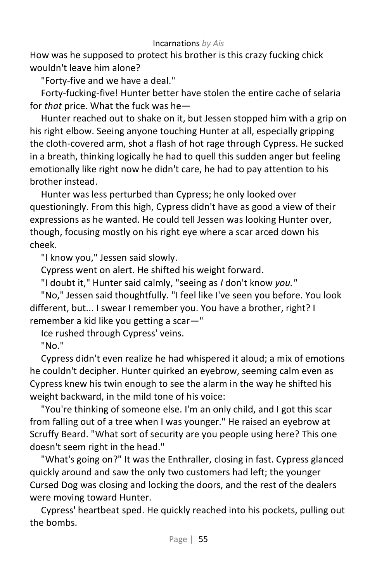How was he supposed to protect his brother is this crazy fucking chick wouldn't leave him alone?

"Forty-five and we have a deal."

Forty-fucking-five! Hunter better have stolen the entire cache of selaria for *that* price. What the fuck was he—

Hunter reached out to shake on it, but Jessen stopped him with a grip on his right elbow. Seeing anyone touching Hunter at all, especially gripping the cloth-covered arm, shot a flash of hot rage through Cypress. He sucked in a breath, thinking logically he had to quell this sudden anger but feeling emotionally like right now he didn't care, he had to pay attention to his brother instead.

Hunter was less perturbed than Cypress; he only looked over questioningly. From this high, Cypress didn't have as good a view of their expressions as he wanted. He could tell Jessen was looking Hunter over, though, focusing mostly on his right eye where a scar arced down his cheek.

"I know you," Jessen said slowly.

Cypress went on alert. He shifted his weight forward.

"I doubt it," Hunter said calmly, "seeing as *I* don't know *you."*

"No," Jessen said thoughtfully. "I feel like I've seen you before. You look different, but... I swear I remember you. You have a brother, right? I remember a kid like you getting a scar—"

Ice rushed through Cypress' veins.

"No."

Cypress didn't even realize he had whispered it aloud; a mix of emotions he couldn't decipher. Hunter quirked an eyebrow, seeming calm even as Cypress knew his twin enough to see the alarm in the way he shifted his weight backward, in the mild tone of his voice:

"You're thinking of someone else. I'm an only child, and I got this scar from falling out of a tree when I was younger." He raised an eyebrow at Scruffy Beard. "What sort of security are you people using here? This one doesn't seem right in the head."

"What's going on?" It was the Enthraller, closing in fast. Cypress glanced quickly around and saw the only two customers had left; the younger Cursed Dog was closing and locking the doors, and the rest of the dealers were moving toward Hunter.

Cypress' heartbeat sped. He quickly reached into his pockets, pulling out the bombs.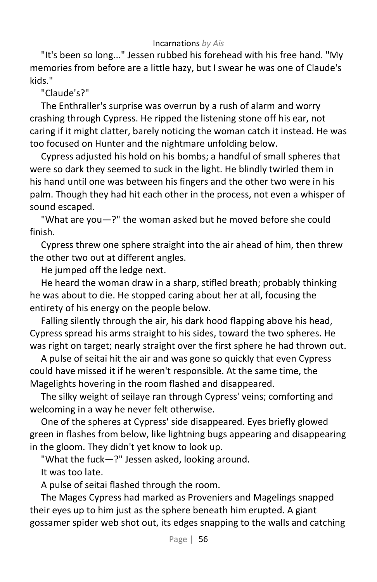"It's been so long..." Jessen rubbed his forehead with his free hand. "My memories from before are a little hazy, but I swear he was one of Claude's kids."

"Claude's?"

The Enthraller's surprise was overrun by a rush of alarm and worry crashing through Cypress. He ripped the listening stone off his ear, not caring if it might clatter, barely noticing the woman catch it instead. He was too focused on Hunter and the nightmare unfolding below.

Cypress adjusted his hold on his bombs; a handful of small spheres that were so dark they seemed to suck in the light. He blindly twirled them in his hand until one was between his fingers and the other two were in his palm. Though they had hit each other in the process, not even a whisper of sound escaped.

"What are you—?" the woman asked but he moved before she could finish.

Cypress threw one sphere straight into the air ahead of him, then threw the other two out at different angles.

He jumped off the ledge next.

He heard the woman draw in a sharp, stifled breath; probably thinking he was about to die. He stopped caring about her at all, focusing the entirety of his energy on the people below.

Falling silently through the air, his dark hood flapping above his head, Cypress spread his arms straight to his sides, toward the two spheres. He was right on target; nearly straight over the first sphere he had thrown out.

A pulse of seitai hit the air and was gone so quickly that even Cypress could have missed it if he weren't responsible. At the same time, the Magelights hovering in the room flashed and disappeared.

The silky weight of seilaye ran through Cypress' veins; comforting and welcoming in a way he never felt otherwise.

One of the spheres at Cypress' side disappeared. Eyes briefly glowed green in flashes from below, like lightning bugs appearing and disappearing in the gloom. They didn't yet know to look up.

"What the fuck—?" Jessen asked, looking around.

It was too late.

A pulse of seitai flashed through the room.

The Mages Cypress had marked as Proveniers and Magelings snapped their eyes up to him just as the sphere beneath him erupted. A giant gossamer spider web shot out, its edges snapping to the walls and catching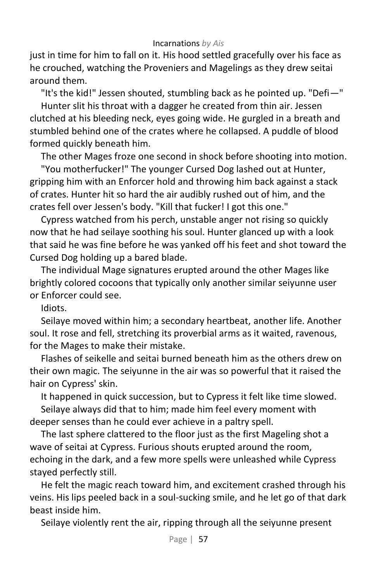just in time for him to fall on it. His hood settled gracefully over his face as he crouched, watching the Proveniers and Magelings as they drew seitai around them.

"It's the kid!" Jessen shouted, stumbling back as he pointed up. "Defi—"

Hunter slit his throat with a dagger he created from thin air. Jessen clutched at his bleeding neck, eyes going wide. He gurgled in a breath and stumbled behind one of the crates where he collapsed. A puddle of blood formed quickly beneath him.

The other Mages froze one second in shock before shooting into motion.

"You motherfucker!" The younger Cursed Dog lashed out at Hunter, gripping him with an Enforcer hold and throwing him back against a stack of crates. Hunter hit so hard the air audibly rushed out of him, and the crates fell over Jessen's body. "Kill that fucker! I got this one."

Cypress watched from his perch, unstable anger not rising so quickly now that he had seilaye soothing his soul. Hunter glanced up with a look that said he was fine before he was yanked off his feet and shot toward the Cursed Dog holding up a bared blade.

The individual Mage signatures erupted around the other Mages like brightly colored cocoons that typically only another similar seiyunne user or Enforcer could see.

Idiots.

Seilaye moved within him; a secondary heartbeat, another life. Another soul. It rose and fell, stretching its proverbial arms as it waited, ravenous, for the Mages to make their mistake.

Flashes of seikelle and seitai burned beneath him as the others drew on their own magic. The seiyunne in the air was so powerful that it raised the hair on Cypress' skin.

It happened in quick succession, but to Cypress it felt like time slowed.

Seilaye always did that to him; made him feel every moment with deeper senses than he could ever achieve in a paltry spell.

The last sphere clattered to the floor just as the first Mageling shot a wave of seitai at Cypress. Furious shouts erupted around the room, echoing in the dark, and a few more spells were unleashed while Cypress stayed perfectly still.

He felt the magic reach toward him, and excitement crashed through his veins. His lips peeled back in a soul-sucking smile, and he let go of that dark beast inside him.

Seilaye violently rent the air, ripping through all the seiyunne present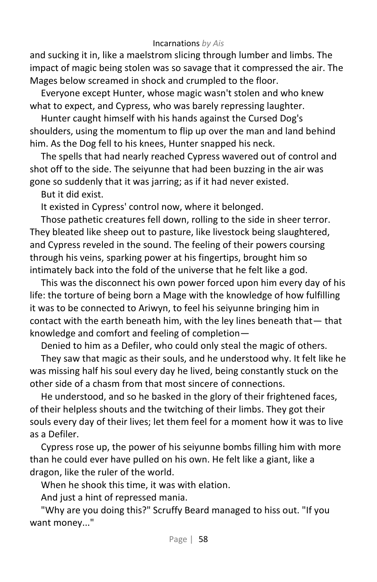and sucking it in, like a maelstrom slicing through lumber and limbs. The impact of magic being stolen was so savage that it compressed the air. The Mages below screamed in shock and crumpled to the floor.

Everyone except Hunter, whose magic wasn't stolen and who knew what to expect, and Cypress, who was barely repressing laughter.

Hunter caught himself with his hands against the Cursed Dog's shoulders, using the momentum to flip up over the man and land behind him. As the Dog fell to his knees, Hunter snapped his neck.

The spells that had nearly reached Cypress wavered out of control and shot off to the side. The seiyunne that had been buzzing in the air was gone so suddenly that it was jarring; as if it had never existed.

But it did exist.

It existed in Cypress' control now, where it belonged.

Those pathetic creatures fell down, rolling to the side in sheer terror. They bleated like sheep out to pasture, like livestock being slaughtered, and Cypress reveled in the sound. The feeling of their powers coursing through his veins, sparking power at his fingertips, brought him so intimately back into the fold of the universe that he felt like a god.

This was the disconnect his own power forced upon him every day of his life: the torture of being born a Mage with the knowledge of how fulfilling it was to be connected to Ariwyn, to feel his seiyunne bringing him in contact with the earth beneath him, with the ley lines beneath that— that knowledge and comfort and feeling of completion—

Denied to him as a Defiler, who could only steal the magic of others.

They saw that magic as their souls, and he understood why. It felt like he was missing half his soul every day he lived, being constantly stuck on the other side of a chasm from that most sincere of connections.

He understood, and so he basked in the glory of their frightened faces, of their helpless shouts and the twitching of their limbs. They got their souls every day of their lives; let them feel for a moment how it was to live as a Defiler.

Cypress rose up, the power of his seiyunne bombs filling him with more than he could ever have pulled on his own. He felt like a giant, like a dragon, like the ruler of the world.

When he shook this time, it was with elation.

And just a hint of repressed mania.

"Why are you doing this?" Scruffy Beard managed to hiss out. "If you want money..."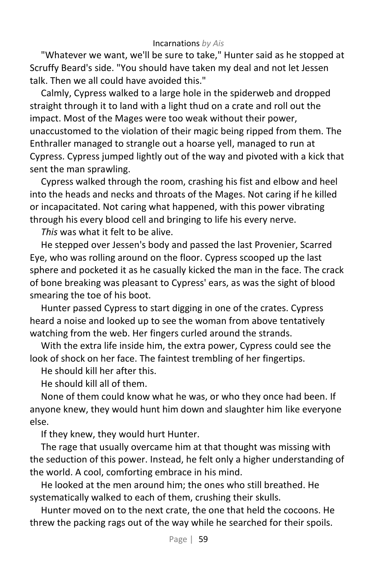"Whatever we want, we'll be sure to take," Hunter said as he stopped at Scruffy Beard's side. "You should have taken my deal and not let Jessen talk. Then we all could have avoided this."

Calmly, Cypress walked to a large hole in the spiderweb and dropped straight through it to land with a light thud on a crate and roll out the impact. Most of the Mages were too weak without their power, unaccustomed to the violation of their magic being ripped from them. The Enthraller managed to strangle out a hoarse yell, managed to run at Cypress. Cypress jumped lightly out of the way and pivoted with a kick that sent the man sprawling.

Cypress walked through the room, crashing his fist and elbow and heel into the heads and necks and throats of the Mages. Not caring if he killed or incapacitated. Not caring what happened, with this power vibrating through his every blood cell and bringing to life his every nerve.

*This* was what it felt to be alive.

He stepped over Jessen's body and passed the last Provenier, Scarred Eye, who was rolling around on the floor. Cypress scooped up the last sphere and pocketed it as he casually kicked the man in the face. The crack of bone breaking was pleasant to Cypress' ears, as was the sight of blood smearing the toe of his boot.

Hunter passed Cypress to start digging in one of the crates. Cypress heard a noise and looked up to see the woman from above tentatively watching from the web. Her fingers curled around the strands.

With the extra life inside him, the extra power, Cypress could see the look of shock on her face. The faintest trembling of her fingertips.

He should kill her after this.

He should kill all of them.

None of them could know what he was, or who they once had been. If anyone knew, they would hunt him down and slaughter him like everyone else.

If they knew, they would hurt Hunter.

The rage that usually overcame him at that thought was missing with the seduction of this power. Instead, he felt only a higher understanding of the world. A cool, comforting embrace in his mind.

He looked at the men around him; the ones who still breathed. He systematically walked to each of them, crushing their skulls.

Hunter moved on to the next crate, the one that held the cocoons. He threw the packing rags out of the way while he searched for their spoils.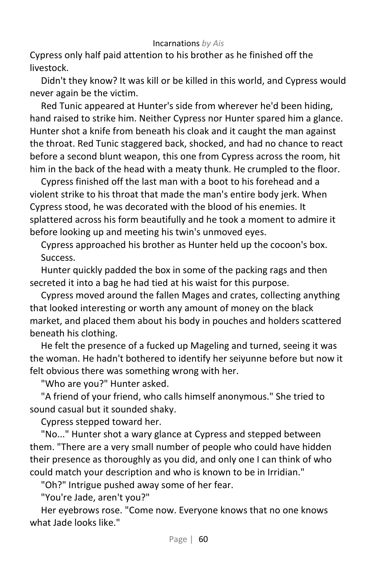Cypress only half paid attention to his brother as he finished off the livestock.

Didn't they know? It was kill or be killed in this world, and Cypress would never again be the victim.

Red Tunic appeared at Hunter's side from wherever he'd been hiding, hand raised to strike him. Neither Cypress nor Hunter spared him a glance. Hunter shot a knife from beneath his cloak and it caught the man against the throat. Red Tunic staggered back, shocked, and had no chance to react before a second blunt weapon, this one from Cypress across the room, hit him in the back of the head with a meaty thunk. He crumpled to the floor.

Cypress finished off the last man with a boot to his forehead and a violent strike to his throat that made the man's entire body jerk. When Cypress stood, he was decorated with the blood of his enemies. It splattered across his form beautifully and he took a moment to admire it before looking up and meeting his twin's unmoved eyes.

Cypress approached his brother as Hunter held up the cocoon's box. Success.

Hunter quickly padded the box in some of the packing rags and then secreted it into a bag he had tied at his waist for this purpose.

Cypress moved around the fallen Mages and crates, collecting anything that looked interesting or worth any amount of money on the black market, and placed them about his body in pouches and holders scattered beneath his clothing.

He felt the presence of a fucked up Mageling and turned, seeing it was the woman. He hadn't bothered to identify her seiyunne before but now it felt obvious there was something wrong with her.

"Who are you?" Hunter asked.

"A friend of your friend, who calls himself anonymous." She tried to sound casual but it sounded shaky.

Cypress stepped toward her.

"No..." Hunter shot a wary glance at Cypress and stepped between them. "There are a very small number of people who could have hidden their presence as thoroughly as you did, and only one I can think of who could match your description and who is known to be in Irridian."

"Oh?" Intrigue pushed away some of her fear.

"You're Jade, aren't you?"

Her eyebrows rose. "Come now. Everyone knows that no one knows what Jade looks like."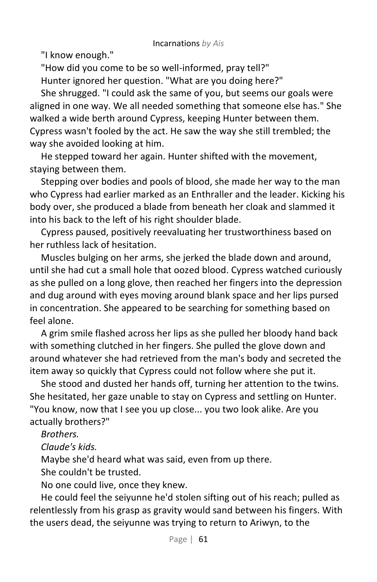"I know enough."

"How did you come to be so well-informed, pray tell?" Hunter ignored her question. "What are you doing here?"

She shrugged. "I could ask the same of you, but seems our goals were aligned in one way. We all needed something that someone else has." She walked a wide berth around Cypress, keeping Hunter between them. Cypress wasn't fooled by the act. He saw the way she still trembled; the way she avoided looking at him.

He stepped toward her again. Hunter shifted with the movement, staying between them.

Stepping over bodies and pools of blood, she made her way to the man who Cypress had earlier marked as an Enthraller and the leader. Kicking his body over, she produced a blade from beneath her cloak and slammed it into his back to the left of his right shoulder blade.

Cypress paused, positively reevaluating her trustworthiness based on her ruthless lack of hesitation.

Muscles bulging on her arms, she jerked the blade down and around, until she had cut a small hole that oozed blood. Cypress watched curiously as she pulled on a long glove, then reached her fingers into the depression and dug around with eyes moving around blank space and her lips pursed in concentration. She appeared to be searching for something based on feel alone.

A grim smile flashed across her lips as she pulled her bloody hand back with something clutched in her fingers. She pulled the glove down and around whatever she had retrieved from the man's body and secreted the item away so quickly that Cypress could not follow where she put it.

She stood and dusted her hands off, turning her attention to the twins. She hesitated, her gaze unable to stay on Cypress and settling on Hunter. "You know, now that I see you up close... you two look alike. Are you actually brothers?"

*Brothers.*

*Claude's kids.*

Maybe she'd heard what was said, even from up there.

She couldn't be trusted.

No one could live, once they knew.

He could feel the seiyunne he'd stolen sifting out of his reach; pulled as relentlessly from his grasp as gravity would sand between his fingers. With the users dead, the seiyunne was trying to return to Ariwyn, to the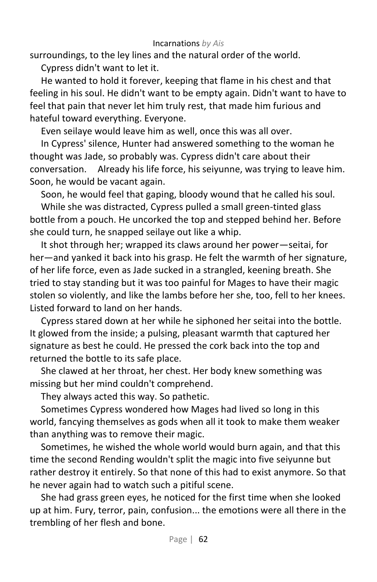surroundings, to the ley lines and the natural order of the world.

Cypress didn't want to let it.

He wanted to hold it forever, keeping that flame in his chest and that feeling in his soul. He didn't want to be empty again. Didn't want to have to feel that pain that never let him truly rest, that made him furious and hateful toward everything. Everyone.

Even seilaye would leave him as well, once this was all over.

In Cypress' silence, Hunter had answered something to the woman he thought was Jade, so probably was. Cypress didn't care about their conversation. Already his life force, his seiyunne, was trying to leave him. Soon, he would be vacant again.

Soon, he would feel that gaping, bloody wound that he called his soul.

While she was distracted, Cypress pulled a small green-tinted glass bottle from a pouch. He uncorked the top and stepped behind her. Before she could turn, he snapped seilaye out like a whip.

It shot through her; wrapped its claws around her power—seitai, for her—and yanked it back into his grasp. He felt the warmth of her signature, of her life force, even as Jade sucked in a strangled, keening breath. She tried to stay standing but it was too painful for Mages to have their magic stolen so violently, and like the lambs before her she, too, fell to her knees. Listed forward to land on her hands.

Cypress stared down at her while he siphoned her seitai into the bottle. It glowed from the inside; a pulsing, pleasant warmth that captured her signature as best he could. He pressed the cork back into the top and returned the bottle to its safe place.

She clawed at her throat, her chest. Her body knew something was missing but her mind couldn't comprehend.

They always acted this way. So pathetic.

Sometimes Cypress wondered how Mages had lived so long in this world, fancying themselves as gods when all it took to make them weaker than anything was to remove their magic.

Sometimes, he wished the whole world would burn again, and that this time the second Rending wouldn't split the magic into five seiyunne but rather destroy it entirely. So that none of this had to exist anymore. So that he never again had to watch such a pitiful scene.

She had grass green eyes, he noticed for the first time when she looked up at him. Fury, terror, pain, confusion... the emotions were all there in the trembling of her flesh and bone.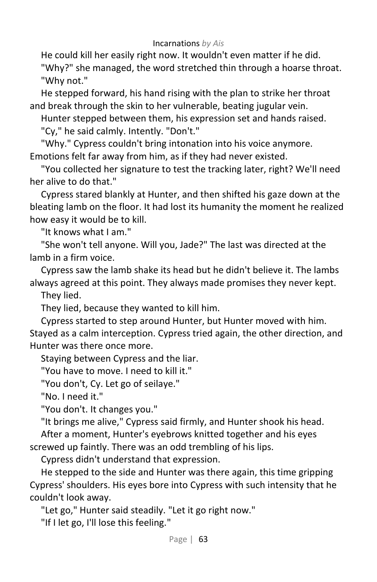He could kill her easily right now. It wouldn't even matter if he did. "Why?" she managed, the word stretched thin through a hoarse throat. "Why not."

He stepped forward, his hand rising with the plan to strike her throat and break through the skin to her vulnerable, beating jugular vein.

Hunter stepped between them, his expression set and hands raised.

"Cy," he said calmly. Intently. "Don't."

"Why." Cypress couldn't bring intonation into his voice anymore. Emotions felt far away from him, as if they had never existed.

"You collected her signature to test the tracking later, right? We'll need her alive to do that."

Cypress stared blankly at Hunter, and then shifted his gaze down at the bleating lamb on the floor. It had lost its humanity the moment he realized how easy it would be to kill.

"It knows what I am."

"She won't tell anyone. Will you, Jade?" The last was directed at the lamb in a firm voice.

Cypress saw the lamb shake its head but he didn't believe it. The lambs always agreed at this point. They always made promises they never kept.

They lied.

They lied, because they wanted to kill him.

Cypress started to step around Hunter, but Hunter moved with him. Stayed as a calm interception. Cypress tried again, the other direction, and Hunter was there once more.

Staying between Cypress and the liar.

"You have to move. I need to kill it."

"You don't, Cy. Let go of seilaye."

"No. I need it."

"You don't. It changes you."

"It brings me alive," Cypress said firmly, and Hunter shook his head. After a moment, Hunter's eyebrows knitted together and his eyes

screwed up faintly. There was an odd trembling of his lips.

Cypress didn't understand that expression.

He stepped to the side and Hunter was there again, this time gripping Cypress' shoulders. His eyes bore into Cypress with such intensity that he couldn't look away.

"Let go," Hunter said steadily. "Let it go right now."

"If I let go, I'll lose this feeling."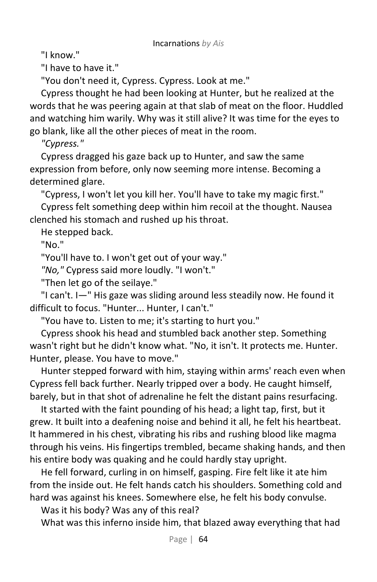"I know."

"I have to have it."

"You don't need it, Cypress. Cypress. Look at me."

Cypress thought he had been looking at Hunter, but he realized at the words that he was peering again at that slab of meat on the floor. Huddled and watching him warily. Why was it still alive? It was time for the eyes to go blank, like all the other pieces of meat in the room.

*"Cypress."*

Cypress dragged his gaze back up to Hunter, and saw the same expression from before, only now seeming more intense. Becoming a determined glare.

"Cypress, I won't let you kill her. You'll have to take my magic first."

Cypress felt something deep within him recoil at the thought. Nausea clenched his stomach and rushed up his throat.

He stepped back.

"No."

"You'll have to. I won't get out of your way."

*"No,"* Cypress said more loudly. "I won't."

"Then let go of the seilaye."

"I can't. I—" His gaze was sliding around less steadily now. He found it difficult to focus. "Hunter... Hunter, I can't."

"You have to. Listen to me; it's starting to hurt you."

Cypress shook his head and stumbled back another step. Something wasn't right but he didn't know what. "No, it isn't. It protects me. Hunter. Hunter, please. You have to move."

Hunter stepped forward with him, staying within arms' reach even when Cypress fell back further. Nearly tripped over a body. He caught himself, barely, but in that shot of adrenaline he felt the distant pains resurfacing.

It started with the faint pounding of his head; a light tap, first, but it grew. It built into a deafening noise and behind it all, he felt his heartbeat. It hammered in his chest, vibrating his ribs and rushing blood like magma through his veins. His fingertips trembled, became shaking hands, and then his entire body was quaking and he could hardly stay upright.

He fell forward, curling in on himself, gasping. Fire felt like it ate him from the inside out. He felt hands catch his shoulders. Something cold and hard was against his knees. Somewhere else, he felt his body convulse.

Was it his body? Was any of this real?

What was this inferno inside him, that blazed away everything that had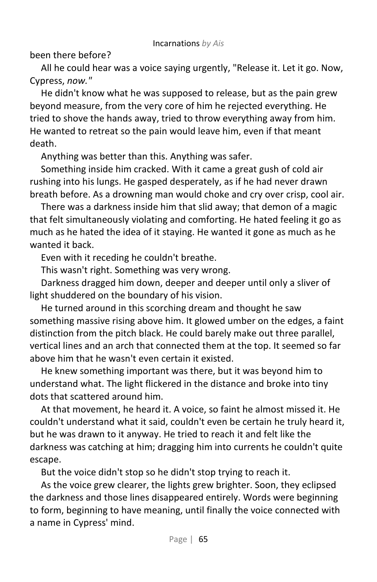been there before?

All he could hear was a voice saying urgently, "Release it. Let it go. Now, Cypress, *now."*

He didn't know what he was supposed to release, but as the pain grew beyond measure, from the very core of him he rejected everything. He tried to shove the hands away, tried to throw everything away from him. He wanted to retreat so the pain would leave him, even if that meant death.

Anything was better than this. Anything was safer.

Something inside him cracked. With it came a great gush of cold air rushing into his lungs. He gasped desperately, as if he had never drawn breath before. As a drowning man would choke and cry over crisp, cool air.

There was a darkness inside him that slid away; that demon of a magic that felt simultaneously violating and comforting. He hated feeling it go as much as he hated the idea of it staying. He wanted it gone as much as he wanted it back.

Even with it receding he couldn't breathe.

This wasn't right. Something was very wrong.

Darkness dragged him down, deeper and deeper until only a sliver of light shuddered on the boundary of his vision.

He turned around in this scorching dream and thought he saw something massive rising above him. It glowed umber on the edges, a faint distinction from the pitch black. He could barely make out three parallel, vertical lines and an arch that connected them at the top. It seemed so far above him that he wasn't even certain it existed.

He knew something important was there, but it was beyond him to understand what. The light flickered in the distance and broke into tiny dots that scattered around him.

At that movement, he heard it. A voice, so faint he almost missed it. He couldn't understand what it said, couldn't even be certain he truly heard it, but he was drawn to it anyway. He tried to reach it and felt like the darkness was catching at him; dragging him into currents he couldn't quite escape.

But the voice didn't stop so he didn't stop trying to reach it.

As the voice grew clearer, the lights grew brighter. Soon, they eclipsed the darkness and those lines disappeared entirely. Words were beginning to form, beginning to have meaning, until finally the voice connected with a name in Cypress' mind.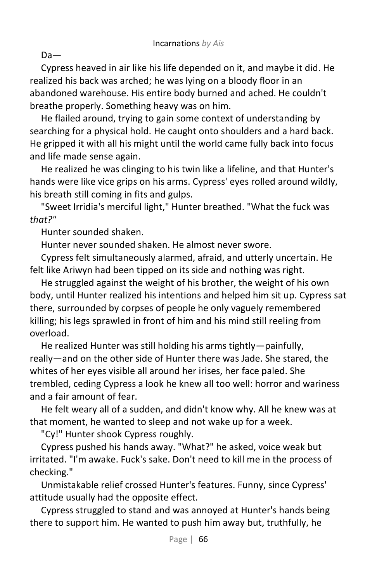Da—

Cypress heaved in air like his life depended on it, and maybe it did. He realized his back was arched; he was lying on a bloody floor in an abandoned warehouse. His entire body burned and ached. He couldn't breathe properly. Something heavy was on him.

He flailed around, trying to gain some context of understanding by searching for a physical hold. He caught onto shoulders and a hard back. He gripped it with all his might until the world came fully back into focus and life made sense again.

He realized he was clinging to his twin like a lifeline, and that Hunter's hands were like vice grips on his arms. Cypress' eyes rolled around wildly, his breath still coming in fits and gulps.

"Sweet Irridia's merciful light," Hunter breathed. "What the fuck was *that?"*

Hunter sounded shaken.

Hunter never sounded shaken. He almost never swore.

Cypress felt simultaneously alarmed, afraid, and utterly uncertain. He felt like Ariwyn had been tipped on its side and nothing was right.

He struggled against the weight of his brother, the weight of his own body, until Hunter realized his intentions and helped him sit up. Cypress sat there, surrounded by corpses of people he only vaguely remembered killing; his legs sprawled in front of him and his mind still reeling from overload.

He realized Hunter was still holding his arms tightly—painfully, really—and on the other side of Hunter there was Jade. She stared, the whites of her eyes visible all around her irises, her face paled. She trembled, ceding Cypress a look he knew all too well: horror and wariness and a fair amount of fear.

He felt weary all of a sudden, and didn't know why. All he knew was at that moment, he wanted to sleep and not wake up for a week.

"Cy!" Hunter shook Cypress roughly.

Cypress pushed his hands away. "What?" he asked, voice weak but irritated. "I'm awake. Fuck's sake. Don't need to kill me in the process of checking."

Unmistakable relief crossed Hunter's features. Funny, since Cypress' attitude usually had the opposite effect.

Cypress struggled to stand and was annoyed at Hunter's hands being there to support him. He wanted to push him away but, truthfully, he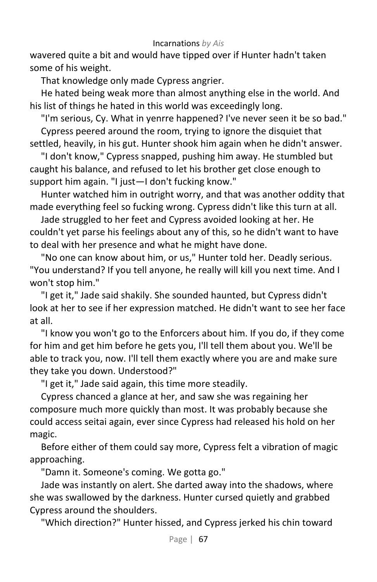wavered quite a bit and would have tipped over if Hunter hadn't taken some of his weight.

That knowledge only made Cypress angrier.

He hated being weak more than almost anything else in the world. And his list of things he hated in this world was exceedingly long.

"I'm serious, Cy. What in yenrre happened? I've never seen it be so bad." Cypress peered around the room, trying to ignore the disquiet that

settled, heavily, in his gut. Hunter shook him again when he didn't answer.

"I don't know," Cypress snapped, pushing him away. He stumbled but caught his balance, and refused to let his brother get close enough to support him again. "I just—I don't fucking know."

Hunter watched him in outright worry, and that was another oddity that made everything feel so fucking wrong. Cypress didn't like this turn at all.

Jade struggled to her feet and Cypress avoided looking at her. He couldn't yet parse his feelings about any of this, so he didn't want to have to deal with her presence and what he might have done.

"No one can know about him, or us," Hunter told her. Deadly serious. "You understand? If you tell anyone, he really will kill you next time. And I won't stop him."

"I get it," Jade said shakily. She sounded haunted, but Cypress didn't look at her to see if her expression matched. He didn't want to see her face at all.

"I know you won't go to the Enforcers about him. If you do, if they come for him and get him before he gets you, I'll tell them about you. We'll be able to track you, now. I'll tell them exactly where you are and make sure they take you down. Understood?"

"I get it," Jade said again, this time more steadily.

Cypress chanced a glance at her, and saw she was regaining her composure much more quickly than most. It was probably because she could access seitai again, ever since Cypress had released his hold on her magic.

Before either of them could say more, Cypress felt a vibration of magic approaching.

"Damn it. Someone's coming. We gotta go."

Jade was instantly on alert. She darted away into the shadows, where she was swallowed by the darkness. Hunter cursed quietly and grabbed Cypress around the shoulders.

"Which direction?" Hunter hissed, and Cypress jerked his chin toward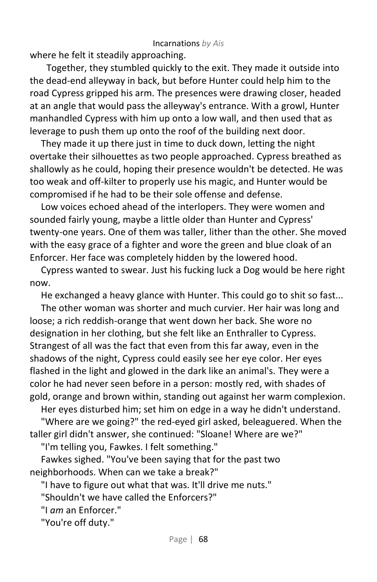where he felt it steadily approaching.

Together, they stumbled quickly to the exit. They made it outside into the dead-end alleyway in back, but before Hunter could help him to the road Cypress gripped his arm. The presences were drawing closer, headed at an angle that would pass the alleyway's entrance. With a growl, Hunter manhandled Cypress with him up onto a low wall, and then used that as leverage to push them up onto the roof of the building next door.

They made it up there just in time to duck down, letting the night overtake their silhouettes as two people approached. Cypress breathed as shallowly as he could, hoping their presence wouldn't be detected. He was too weak and off-kilter to properly use his magic, and Hunter would be compromised if he had to be their sole offense and defense.

Low voices echoed ahead of the interlopers. They were women and sounded fairly young, maybe a little older than Hunter and Cypress' twenty-one years. One of them was taller, lither than the other. She moved with the easy grace of a fighter and wore the green and blue cloak of an Enforcer. Her face was completely hidden by the lowered hood.

Cypress wanted to swear. Just his fucking luck a Dog would be here right now.

He exchanged a heavy glance with Hunter. This could go to shit so fast...

The other woman was shorter and much curvier. Her hair was long and loose; a rich reddish-orange that went down her back. She wore no designation in her clothing, but she felt like an Enthraller to Cypress. Strangest of all was the fact that even from this far away, even in the shadows of the night, Cypress could easily see her eye color. Her eyes flashed in the light and glowed in the dark like an animal's. They were a color he had never seen before in a person: mostly red, with shades of gold, orange and brown within, standing out against her warm complexion.

Her eyes disturbed him; set him on edge in a way he didn't understand. "Where are we going?" the red-eyed girl asked, beleaguered. When the taller girl didn't answer, she continued: "Sloane! Where are we?"

"I'm telling you, Fawkes. I felt something."

Fawkes sighed. "You've been saying that for the past two neighborhoods. When can we take a break?"

"I have to figure out what that was. It'll drive me nuts."

"Shouldn't we have called the Enforcers?"

"I *am* an Enforcer."

"You're off duty."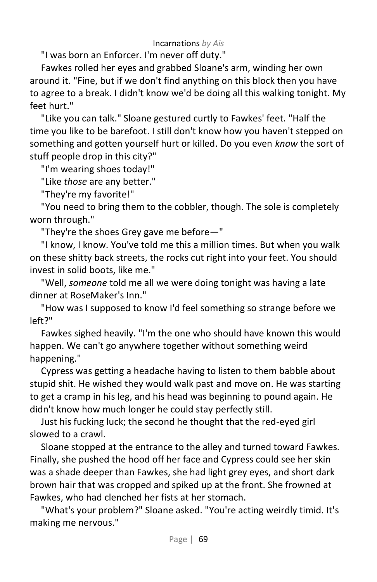"I was born an Enforcer. I'm never off duty."

Fawkes rolled her eyes and grabbed Sloane's arm, winding her own around it. "Fine, but if we don't find anything on this block then you have to agree to a break. I didn't know we'd be doing all this walking tonight. My feet hurt."

"Like you can talk." Sloane gestured curtly to Fawkes' feet. "Half the time you like to be barefoot. I still don't know how you haven't stepped on something and gotten yourself hurt or killed. Do you even *know* the sort of stuff people drop in this city?"

"I'm wearing shoes today!"

"Like *those* are any better."

"They're my favorite!"

"You need to bring them to the cobbler, though. The sole is completely worn through."

"They're the shoes Grey gave me before—"

"I know, I know. You've told me this a million times. But when you walk on these shitty back streets, the rocks cut right into your feet. You should invest in solid boots, like me."

"Well, *someone* told me all we were doing tonight was having a late dinner at RoseMaker's Inn."

"How was I supposed to know I'd feel something so strange before we left?"

Fawkes sighed heavily. "I'm the one who should have known this would happen. We can't go anywhere together without something weird happening."

Cypress was getting a headache having to listen to them babble about stupid shit. He wished they would walk past and move on. He was starting to get a cramp in his leg, and his head was beginning to pound again. He didn't know how much longer he could stay perfectly still.

Just his fucking luck; the second he thought that the red-eyed girl slowed to a crawl.

Sloane stopped at the entrance to the alley and turned toward Fawkes. Finally, she pushed the hood off her face and Cypress could see her skin was a shade deeper than Fawkes, she had light grey eyes, and short dark brown hair that was cropped and spiked up at the front. She frowned at Fawkes, who had clenched her fists at her stomach.

"What's your problem?" Sloane asked. "You're acting weirdly timid. It's making me nervous."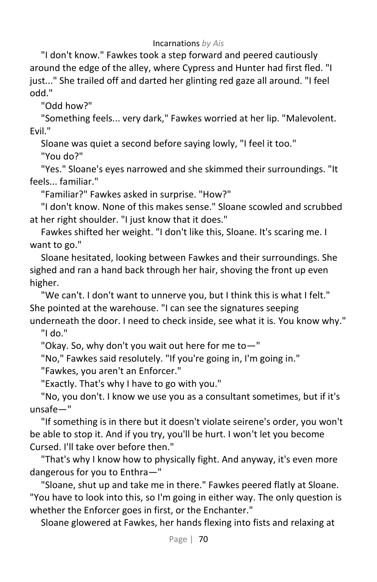"I don't know." Fawkes took a step forward and peered cautiously around the edge of the alley, where Cypress and Hunter had first fled. "I just..." She trailed off and darted her glinting red gaze all around. "I feel odd."

"Odd how?"

"Something feels... very dark," Fawkes worried at her lip. "Malevolent. Evil."

Sloane was quiet a second before saying lowly, "I feel it too."

"You do?"

"Yes." Sloane's eyes narrowed and she skimmed their surroundings. "It feels... familiar."

"Familiar?" Fawkes asked in surprise. "How?"

"I don't know. None of this makes sense." Sloane scowled and scrubbed at her right shoulder. "I just know that it does."

Fawkes shifted her weight. "I don't like this, Sloane. It's scaring me. I want to go."

Sloane hesitated, looking between Fawkes and their surroundings. She sighed and ran a hand back through her hair, shoving the front up even higher.

"We can't. I don't want to unnerve you, but I think this is what I felt." She pointed at the warehouse. "I can see the signatures seeping underneath the door. I need to check inside, see what it is. You know why."

"I do."

"Okay. So, why don't you wait out here for me to—"

"No," Fawkes said resolutely. "If you're going in, I'm going in."

"Fawkes, you aren't an Enforcer."

"Exactly. That's why I have to go with you."

"No, you don't. I know we use you as a consultant sometimes, but if it's unsafe—"

"If something is in there but it doesn't violate seirene's order, you won't be able to stop it. And if you try, you'll be hurt. I won't let you become Cursed. I'll take over before then."

"That's why I know how to physically fight. And anyway, it's even more dangerous for you to Enthra—"

"Sloane, shut up and take me in there." Fawkes peered flatly at Sloane. "You have to look into this, so I'm going in either way. The only question is whether the Enforcer goes in first, or the Enchanter."

Sloane glowered at Fawkes, her hands flexing into fists and relaxing at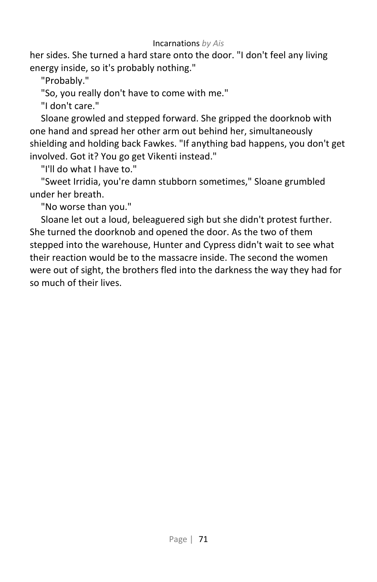her sides. She turned a hard stare onto the door. "I don't feel any living energy inside, so it's probably nothing."

"Probably."

"So, you really don't have to come with me."

"I don't care."

Sloane growled and stepped forward. She gripped the doorknob with one hand and spread her other arm out behind her, simultaneously shielding and holding back Fawkes. "If anything bad happens, you don't get involved. Got it? You go get Vikenti instead."

"I'll do what I have to."

"Sweet Irridia, you're damn stubborn sometimes," Sloane grumbled under her breath.

"No worse than you."

Sloane let out a loud, beleaguered sigh but she didn't protest further. She turned the doorknob and opened the door. As the two of them stepped into the warehouse, Hunter and Cypress didn't wait to see what their reaction would be to the massacre inside. The second the women were out of sight, the brothers fled into the darkness the way they had for so much of their lives.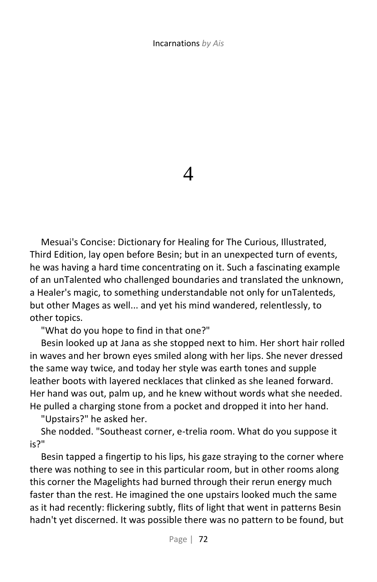4

Mesuai's Concise: Dictionary for Healing for The Curious, Illustrated, Third Edition, lay open before Besin; but in an unexpected turn of events, he was having a hard time concentrating on it. Such a fascinating example of an unTalented who challenged boundaries and translated the unknown, a Healer's magic, to something understandable not only for unTalenteds, but other Mages as well... and yet his mind wandered, relentlessly, to other topics.

"What do you hope to find in that one?"

Besin looked up at Jana as she stopped next to him. Her short hair rolled in waves and her brown eyes smiled along with her lips. She never dressed the same way twice, and today her style was earth tones and supple leather boots with layered necklaces that clinked as she leaned forward. Her hand was out, palm up, and he knew without words what she needed. He pulled a charging stone from a pocket and dropped it into her hand.

"Upstairs?" he asked her.

She nodded. "Southeast corner, e-trelia room. What do you suppose it is?"

Besin tapped a fingertip to his lips, his gaze straying to the corner where there was nothing to see in this particular room, but in other rooms along this corner the Magelights had burned through their rerun energy much faster than the rest. He imagined the one upstairs looked much the same as it had recently: flickering subtly, flits of light that went in patterns Besin hadn't yet discerned. It was possible there was no pattern to be found, but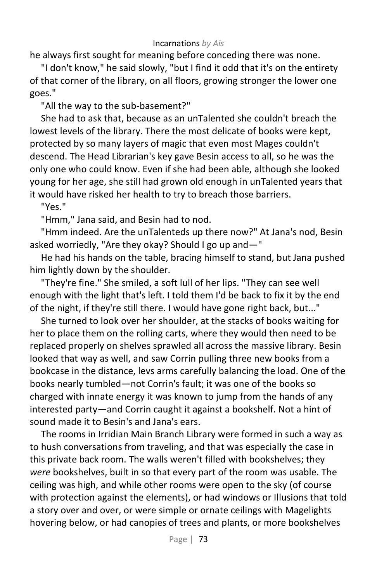he always first sought for meaning before conceding there was none.

"I don't know," he said slowly, "but I find it odd that it's on the entirety of that corner of the library, on all floors, growing stronger the lower one goes."

"All the way to the sub-basement?"

She had to ask that, because as an unTalented she couldn't breach the lowest levels of the library. There the most delicate of books were kept, protected by so many layers of magic that even most Mages couldn't descend. The Head Librarian's key gave Besin access to all, so he was the only one who could know. Even if she had been able, although she looked young for her age, she still had grown old enough in unTalented years that it would have risked her health to try to breach those barriers.

"Yes."

"Hmm," Jana said, and Besin had to nod.

"Hmm indeed. Are the unTalenteds up there now?" At Jana's nod, Besin asked worriedly, "Are they okay? Should I go up and—"

He had his hands on the table, bracing himself to stand, but Jana pushed him lightly down by the shoulder.

"They're fine." She smiled, a soft lull of her lips. "They can see well enough with the light that's left. I told them I'd be back to fix it by the end of the night, if they're still there. I would have gone right back, but..."

She turned to look over her shoulder, at the stacks of books waiting for her to place them on the rolling carts, where they would then need to be replaced properly on shelves sprawled all across the massive library. Besin looked that way as well, and saw Corrin pulling three new books from a bookcase in the distance, levs arms carefully balancing the load. One of the books nearly tumbled—not Corrin's fault; it was one of the books so charged with innate energy it was known to jump from the hands of any interested party—and Corrin caught it against a bookshelf. Not a hint of sound made it to Besin's and Jana's ears.

The rooms in Irridian Main Branch Library were formed in such a way as to hush conversations from traveling, and that was especially the case in this private back room. The walls weren't filled with bookshelves; they *were* bookshelves, built in so that every part of the room was usable. The ceiling was high, and while other rooms were open to the sky (of course with protection against the elements), or had windows or Illusions that told a story over and over, or were simple or ornate ceilings with Magelights hovering below, or had canopies of trees and plants, or more bookshelves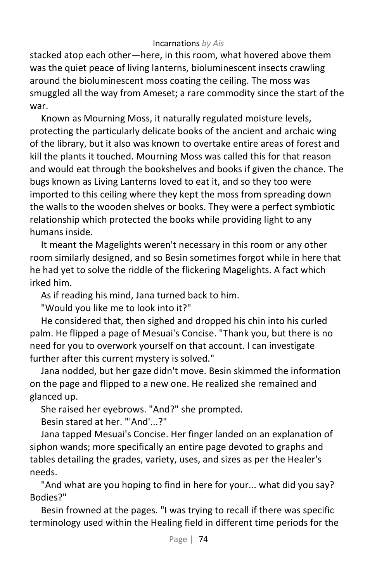stacked atop each other—here, in this room, what hovered above them was the quiet peace of living lanterns, bioluminescent insects crawling around the bioluminescent moss coating the ceiling. The moss was smuggled all the way from Ameset; a rare commodity since the start of the war.

Known as Mourning Moss, it naturally regulated moisture levels, protecting the particularly delicate books of the ancient and archaic wing of the library, but it also was known to overtake entire areas of forest and kill the plants it touched. Mourning Moss was called this for that reason and would eat through the bookshelves and books if given the chance. The bugs known as Living Lanterns loved to eat it, and so they too were imported to this ceiling where they kept the moss from spreading down the walls to the wooden shelves or books. They were a perfect symbiotic relationship which protected the books while providing light to any humans inside.

It meant the Magelights weren't necessary in this room or any other room similarly designed, and so Besin sometimes forgot while in here that he had yet to solve the riddle of the flickering Magelights. A fact which irked him.

As if reading his mind, Jana turned back to him.

"Would you like me to look into it?"

He considered that, then sighed and dropped his chin into his curled palm. He flipped a page of Mesuai's Concise. "Thank you, but there is no need for you to overwork yourself on that account. I can investigate further after this current mystery is solved."

Jana nodded, but her gaze didn't move. Besin skimmed the information on the page and flipped to a new one. He realized she remained and glanced up.

She raised her eyebrows. "And?" she prompted.

Besin stared at her. "'And'...?"

Jana tapped Mesuai's Concise. Her finger landed on an explanation of siphon wands; more specifically an entire page devoted to graphs and tables detailing the grades, variety, uses, and sizes as per the Healer's needs.

"And what are you hoping to find in here for your... what did you say? Bodies?"

Besin frowned at the pages. "I was trying to recall if there was specific terminology used within the Healing field in different time periods for the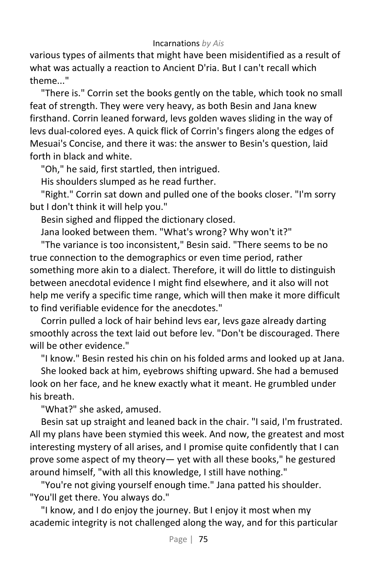various types of ailments that might have been misidentified as a result of what was actually a reaction to Ancient D'ria. But I can't recall which theme..."

"There is." Corrin set the books gently on the table, which took no small feat of strength. They were very heavy, as both Besin and Jana knew firsthand. Corrin leaned forward, levs golden waves sliding in the way of levs dual-colored eyes. A quick flick of Corrin's fingers along the edges of Mesuai's Concise, and there it was: the answer to Besin's question, laid forth in black and white.

"Oh," he said, first startled, then intrigued.

His shoulders slumped as he read further.

"Right." Corrin sat down and pulled one of the books closer. "I'm sorry but I don't think it will help you."

Besin sighed and flipped the dictionary closed.

Jana looked between them. "What's wrong? Why won't it?"

"The variance is too inconsistent," Besin said. "There seems to be no true connection to the demographics or even time period, rather something more akin to a dialect. Therefore, it will do little to distinguish between anecdotal evidence I might find elsewhere, and it also will not help me verify a specific time range, which will then make it more difficult to find verifiable evidence for the anecdotes."

Corrin pulled a lock of hair behind levs ear, levs gaze already darting smoothly across the text laid out before lev. "Don't be discouraged. There will be other evidence."

"I know." Besin rested his chin on his folded arms and looked up at Jana.

She looked back at him, eyebrows shifting upward. She had a bemused look on her face, and he knew exactly what it meant. He grumbled under his breath.

"What?" she asked, amused.

Besin sat up straight and leaned back in the chair. "I said, I'm frustrated. All my plans have been stymied this week. And now, the greatest and most interesting mystery of all arises, and I promise quite confidently that I can prove some aspect of my theory— yet with all these books," he gestured around himself, "with all this knowledge, I still have nothing."

"You're not giving yourself enough time." Jana patted his shoulder. "You'll get there. You always do."

"I know, and I do enjoy the journey. But I enjoy it most when my academic integrity is not challenged along the way, and for this particular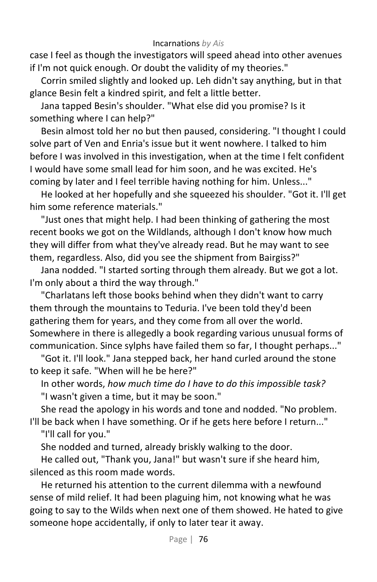case I feel as though the investigators will speed ahead into other avenues if I'm not quick enough. Or doubt the validity of my theories."

Corrin smiled slightly and looked up. Leh didn't say anything, but in that glance Besin felt a kindred spirit, and felt a little better.

Jana tapped Besin's shoulder. "What else did you promise? Is it something where I can help?"

Besin almost told her no but then paused, considering. "I thought I could solve part of Ven and Enria's issue but it went nowhere. I talked to him before I was involved in this investigation, when at the time I felt confident I would have some small lead for him soon, and he was excited. He's coming by later and I feel terrible having nothing for him. Unless..."

He looked at her hopefully and she squeezed his shoulder. "Got it. I'll get him some reference materials."

"Just ones that might help. I had been thinking of gathering the most recent books we got on the Wildlands, although I don't know how much they will differ from what they've already read. But he may want to see them, regardless. Also, did you see the shipment from Bairgiss?"

Jana nodded. "I started sorting through them already. But we got a lot. I'm only about a third the way through."

"Charlatans left those books behind when they didn't want to carry them through the mountains to Teduria. I've been told they'd been gathering them for years, and they come from all over the world. Somewhere in there is allegedly a book regarding various unusual forms of communication. Since sylphs have failed them so far, I thought perhaps..."

"Got it. I'll look." Jana stepped back, her hand curled around the stone to keep it safe. "When will he be here?"

In other words, *how much time do I have to do this impossible task?* "I wasn't given a time, but it may be soon."

She read the apology in his words and tone and nodded. "No problem. I'll be back when I have something. Or if he gets here before I return..."

"I'll call for you."

She nodded and turned, already briskly walking to the door.

He called out, "Thank you, Jana!" but wasn't sure if she heard him, silenced as this room made words.

He returned his attention to the current dilemma with a newfound sense of mild relief. It had been plaguing him, not knowing what he was going to say to the Wilds when next one of them showed. He hated to give someone hope accidentally, if only to later tear it away.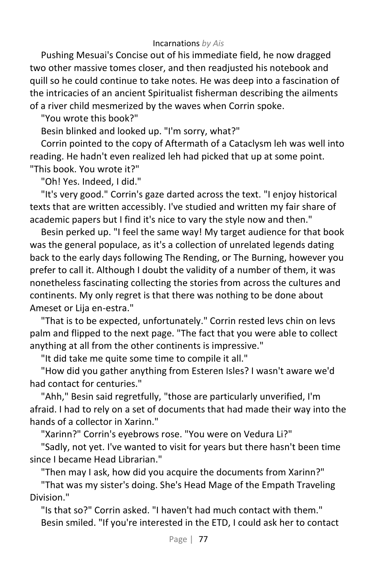Pushing Mesuai's Concise out of his immediate field, he now dragged two other massive tomes closer, and then readjusted his notebook and quill so he could continue to take notes. He was deep into a fascination of the intricacies of an ancient Spiritualist fisherman describing the ailments of a river child mesmerized by the waves when Corrin spoke.

"You wrote this book?"

Besin blinked and looked up. "I'm sorry, what?"

Corrin pointed to the copy of Aftermath of a Cataclysm leh was well into reading. He hadn't even realized leh had picked that up at some point. "This book. You wrote it?"

"Oh! Yes. Indeed, I did."

"It's very good." Corrin's gaze darted across the text. "I enjoy historical texts that are written accessibly. I've studied and written my fair share of academic papers but I find it's nice to vary the style now and then."

Besin perked up. "I feel the same way! My target audience for that book was the general populace, as it's a collection of unrelated legends dating back to the early days following The Rending, or The Burning, however you prefer to call it. Although I doubt the validity of a number of them, it was nonetheless fascinating collecting the stories from across the cultures and continents. My only regret is that there was nothing to be done about Ameset or Lija en-estra."

"That is to be expected, unfortunately." Corrin rested levs chin on levs palm and flipped to the next page. "The fact that you were able to collect anything at all from the other continents is impressive."

"It did take me quite some time to compile it all."

"How did you gather anything from Esteren Isles? I wasn't aware we'd had contact for centuries."

"Ahh," Besin said regretfully, "those are particularly unverified, I'm afraid. I had to rely on a set of documents that had made their way into the hands of a collector in Xarinn."

"Xarinn?" Corrin's eyebrows rose. "You were on Vedura Li?"

"Sadly, not yet. I've wanted to visit for years but there hasn't been time since I became Head Librarian."

"Then may I ask, how did you acquire the documents from Xarinn?"

"That was my sister's doing. She's Head Mage of the Empath Traveling Division."

"Is that so?" Corrin asked. "I haven't had much contact with them." Besin smiled. "If you're interested in the ETD, I could ask her to contact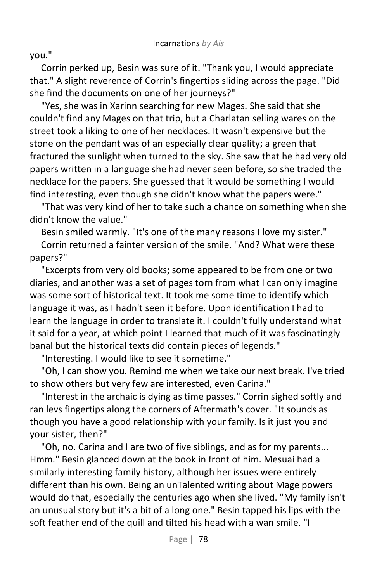you."

Corrin perked up, Besin was sure of it. "Thank you, I would appreciate that." A slight reverence of Corrin's fingertips sliding across the page. "Did she find the documents on one of her journeys?"

"Yes, she was in Xarinn searching for new Mages. She said that she couldn't find any Mages on that trip, but a Charlatan selling wares on the street took a liking to one of her necklaces. It wasn't expensive but the stone on the pendant was of an especially clear quality; a green that fractured the sunlight when turned to the sky. She saw that he had very old papers written in a language she had never seen before, so she traded the necklace for the papers. She guessed that it would be something I would find interesting, even though she didn't know what the papers were."

"That was very kind of her to take such a chance on something when she didn't know the value."

Besin smiled warmly. "It's one of the many reasons I love my sister."

Corrin returned a fainter version of the smile. "And? What were these papers?"

"Excerpts from very old books; some appeared to be from one or two diaries, and another was a set of pages torn from what I can only imagine was some sort of historical text. It took me some time to identify which language it was, as I hadn't seen it before. Upon identification I had to learn the language in order to translate it. I couldn't fully understand what it said for a year, at which point I learned that much of it was fascinatingly banal but the historical texts did contain pieces of legends."

"Interesting. I would like to see it sometime."

"Oh, I can show you. Remind me when we take our next break. I've tried to show others but very few are interested, even Carina."

"Interest in the archaic is dying as time passes." Corrin sighed softly and ran levs fingertips along the corners of Aftermath's cover. "It sounds as though you have a good relationship with your family. Is it just you and your sister, then?"

"Oh, no. Carina and I are two of five siblings, and as for my parents... Hmm." Besin glanced down at the book in front of him. Mesuai had a similarly interesting family history, although her issues were entirely different than his own. Being an unTalented writing about Mage powers would do that, especially the centuries ago when she lived. "My family isn't an unusual story but it's a bit of a long one." Besin tapped his lips with the soft feather end of the quill and tilted his head with a wan smile. "I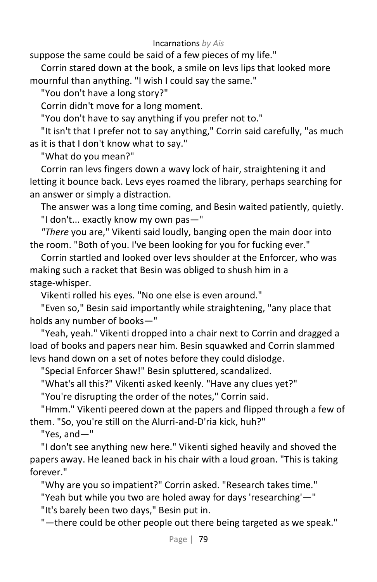suppose the same could be said of a few pieces of my life."

Corrin stared down at the book, a smile on levs lips that looked more mournful than anything. "I wish I could say the same."

"You don't have a long story?"

Corrin didn't move for a long moment.

"You don't have to say anything if you prefer not to."

"It isn't that I prefer not to say anything," Corrin said carefully, "as much as it is that I don't know what to say."

"What do you mean?"

Corrin ran levs fingers down a wavy lock of hair, straightening it and letting it bounce back. Levs eyes roamed the library, perhaps searching for an answer or simply a distraction.

The answer was a long time coming, and Besin waited patiently, quietly. "I don't... exactly know my own pas—"

*"There* you are," Vikenti said loudly, banging open the main door into the room. "Both of you. I've been looking for you for fucking ever."

Corrin startled and looked over levs shoulder at the Enforcer, who was making such a racket that Besin was obliged to shush him in a stage-whisper.

Vikenti rolled his eyes. "No one else is even around."

"Even so," Besin said importantly while straightening, "any place that holds any number of books—"

"Yeah, yeah." Vikenti dropped into a chair next to Corrin and dragged a load of books and papers near him. Besin squawked and Corrin slammed levs hand down on a set of notes before they could dislodge.

"Special Enforcer Shaw!" Besin spluttered, scandalized.

"What's all this?" Vikenti asked keenly. "Have any clues yet?"

"You're disrupting the order of the notes," Corrin said.

"Hmm." Vikenti peered down at the papers and flipped through a few of them. "So, you're still on the Alurri-and-D'ria kick, huh?"

"Yes, and—"

"I don't see anything new here." Vikenti sighed heavily and shoved the papers away. He leaned back in his chair with a loud groan. "This is taking forever."

"Why are you so impatient?" Corrin asked. "Research takes time."

"Yeah but while you two are holed away for days 'researching'—"

"It's barely been two days," Besin put in.

"—there could be other people out there being targeted as we speak."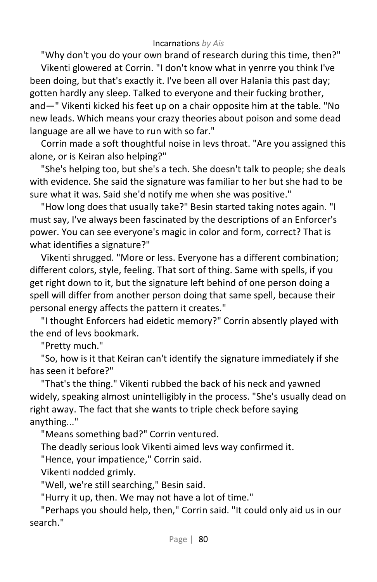"Why don't you do your own brand of research during this time, then?"

Vikenti glowered at Corrin. "I don't know what in yenrre you think I've been doing, but that's exactly it. I've been all over Halania this past day; gotten hardly any sleep. Talked to everyone and their fucking brother, and—" Vikenti kicked his feet up on a chair opposite him at the table. "No new leads. Which means your crazy theories about poison and some dead language are all we have to run with so far."

Corrin made a soft thoughtful noise in levs throat. "Are you assigned this alone, or is Keiran also helping?"

"She's helping too, but she's a tech. She doesn't talk to people; she deals with evidence. She said the signature was familiar to her but she had to be sure what it was. Said she'd notify me when she was positive."

"How long does that usually take?" Besin started taking notes again. "I must say, I've always been fascinated by the descriptions of an Enforcer's power. You can see everyone's magic in color and form, correct? That is what identifies a signature?"

Vikenti shrugged. "More or less. Everyone has a different combination; different colors, style, feeling. That sort of thing. Same with spells, if you get right down to it, but the signature left behind of one person doing a spell will differ from another person doing that same spell, because their personal energy affects the pattern it creates."

"I thought Enforcers had eidetic memory?" Corrin absently played with the end of levs bookmark.

"Pretty much."

"So, how is it that Keiran can't identify the signature immediately if she has seen it before?"

"That's the thing." Vikenti rubbed the back of his neck and yawned widely, speaking almost unintelligibly in the process. "She's usually dead on right away. The fact that she wants to triple check before saying anything..."

"Means something bad?" Corrin ventured.

The deadly serious look Vikenti aimed levs way confirmed it.

"Hence, your impatience," Corrin said.

Vikenti nodded grimly.

"Well, we're still searching," Besin said.

"Hurry it up, then. We may not have a lot of time."

"Perhaps you should help, then," Corrin said. "It could only aid us in our search."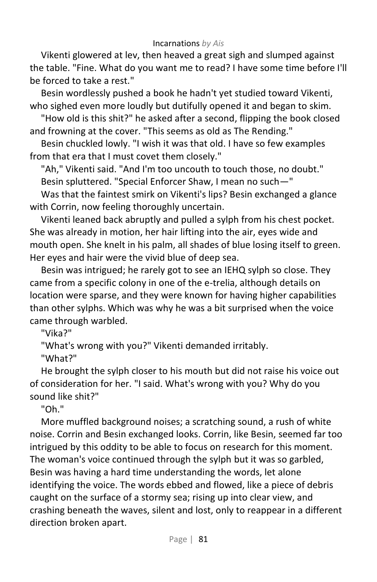Vikenti glowered at lev, then heaved a great sigh and slumped against the table. "Fine. What do you want me to read? I have some time before I'll be forced to take a rest."

Besin wordlessly pushed a book he hadn't yet studied toward Vikenti, who sighed even more loudly but dutifully opened it and began to skim.

"How old is this shit?" he asked after a second, flipping the book closed and frowning at the cover. "This seems as old as The Rending."

Besin chuckled lowly. "I wish it was that old. I have so few examples from that era that I must covet them closely."

"Ah," Vikenti said. "And I'm too uncouth to touch those, no doubt." Besin spluttered. "Special Enforcer Shaw, I mean no such—"

Was that the faintest smirk on Vikenti's lips? Besin exchanged a glance with Corrin, now feeling thoroughly uncertain.

Vikenti leaned back abruptly and pulled a sylph from his chest pocket. She was already in motion, her hair lifting into the air, eyes wide and mouth open. She knelt in his palm, all shades of blue losing itself to green. Her eyes and hair were the vivid blue of deep sea.

Besin was intrigued; he rarely got to see an IEHQ sylph so close. They came from a specific colony in one of the e-trelia, although details on location were sparse, and they were known for having higher capabilities than other sylphs. Which was why he was a bit surprised when the voice came through warbled.

"Vika?"

"What's wrong with you?" Vikenti demanded irritably.

"What?"

He brought the sylph closer to his mouth but did not raise his voice out of consideration for her. "I said. What's wrong with you? Why do you sound like shit?"

"Oh."

More muffled background noises; a scratching sound, a rush of white noise. Corrin and Besin exchanged looks. Corrin, like Besin, seemed far too intrigued by this oddity to be able to focus on research for this moment. The woman's voice continued through the sylph but it was so garbled, Besin was having a hard time understanding the words, let alone identifying the voice. The words ebbed and flowed, like a piece of debris caught on the surface of a stormy sea; rising up into clear view, and crashing beneath the waves, silent and lost, only to reappear in a different direction broken apart.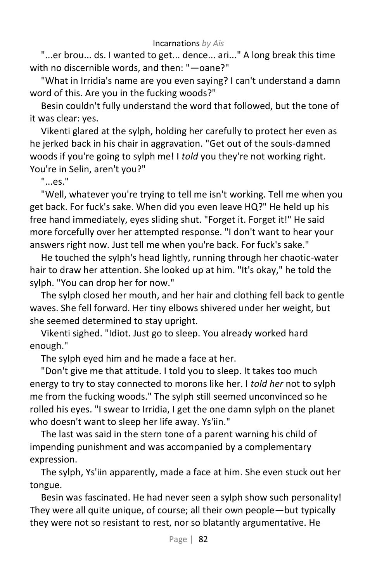"...er brou... ds. I wanted to get... dence... ari..." A long break this time with no discernible words, and then: "—oane?"

"What in Irridia's name are you even saying? I can't understand a damn word of this. Are you in the fucking woods?"

Besin couldn't fully understand the word that followed, but the tone of it was clear: yes.

Vikenti glared at the sylph, holding her carefully to protect her even as he jerked back in his chair in aggravation. "Get out of the souls-damned woods if you're going to sylph me! I *told* you they're not working right. You're in Selin, aren't you?"

"...es."

"Well, whatever you're trying to tell me isn't working. Tell me when you get back. For fuck's sake. When did you even leave HQ?" He held up his free hand immediately, eyes sliding shut. "Forget it. Forget it!" He said more forcefully over her attempted response. "I don't want to hear your answers right now. Just tell me when you're back. For fuck's sake."

He touched the sylph's head lightly, running through her chaotic-water hair to draw her attention. She looked up at him. "It's okay," he told the sylph. "You can drop her for now."

The sylph closed her mouth, and her hair and clothing fell back to gentle waves. She fell forward. Her tiny elbows shivered under her weight, but she seemed determined to stay upright.

Vikenti sighed. "Idiot. Just go to sleep. You already worked hard enough."

The sylph eyed him and he made a face at her.

"Don't give me that attitude. I told you to sleep. It takes too much energy to try to stay connected to morons like her. I *told her* not to sylph me from the fucking woods." The sylph still seemed unconvinced so he rolled his eyes. "I swear to Irridia, I get the one damn sylph on the planet who doesn't want to sleep her life away. Ys'iin."

The last was said in the stern tone of a parent warning his child of impending punishment and was accompanied by a complementary expression.

The sylph, Ys'iin apparently, made a face at him. She even stuck out her tongue.

Besin was fascinated. He had never seen a sylph show such personality! They were all quite unique, of course; all their own people—but typically they were not so resistant to rest, nor so blatantly argumentative. He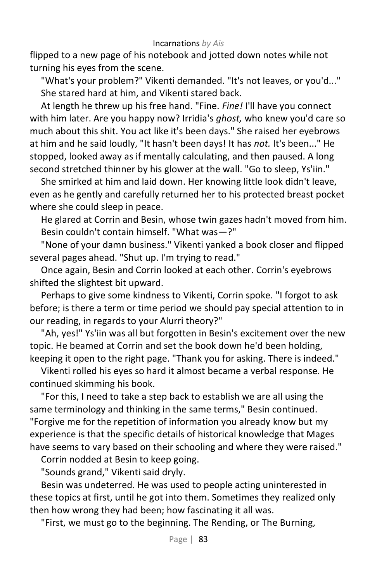flipped to a new page of his notebook and jotted down notes while not turning his eyes from the scene.

"What's your problem?" Vikenti demanded. "It's not leaves, or you'd..." She stared hard at him, and Vikenti stared back.

At length he threw up his free hand. "Fine. *Fine!* I'll have you connect with him later. Are you happy now? Irridia's *ghost,* who knew you'd care so much about this shit. You act like it's been days." She raised her eyebrows at him and he said loudly, "It hasn't been days! It has *not.* It's been..." He stopped, looked away as if mentally calculating, and then paused. A long second stretched thinner by his glower at the wall. "Go to sleep, Ys'iin."

She smirked at him and laid down. Her knowing little look didn't leave, even as he gently and carefully returned her to his protected breast pocket where she could sleep in peace.

He glared at Corrin and Besin, whose twin gazes hadn't moved from him. Besin couldn't contain himself. "What was—?"

"None of your damn business." Vikenti yanked a book closer and flipped several pages ahead. "Shut up. I'm trying to read."

Once again, Besin and Corrin looked at each other. Corrin's eyebrows shifted the slightest bit upward.

Perhaps to give some kindness to Vikenti, Corrin spoke. "I forgot to ask before; is there a term or time period we should pay special attention to in our reading, in regards to your Alurri theory?"

"Ah, yes!" Ys'iin was all but forgotten in Besin's excitement over the new topic. He beamed at Corrin and set the book down he'd been holding, keeping it open to the right page. "Thank you for asking. There is indeed."

Vikenti rolled his eyes so hard it almost became a verbal response. He continued skimming his book.

"For this, I need to take a step back to establish we are all using the same terminology and thinking in the same terms," Besin continued. "Forgive me for the repetition of information you already know but my experience is that the specific details of historical knowledge that Mages have seems to vary based on their schooling and where they were raised."

Corrin nodded at Besin to keep going.

"Sounds grand," Vikenti said dryly.

Besin was undeterred. He was used to people acting uninterested in these topics at first, until he got into them. Sometimes they realized only then how wrong they had been; how fascinating it all was.

"First, we must go to the beginning. The Rending, or The Burning,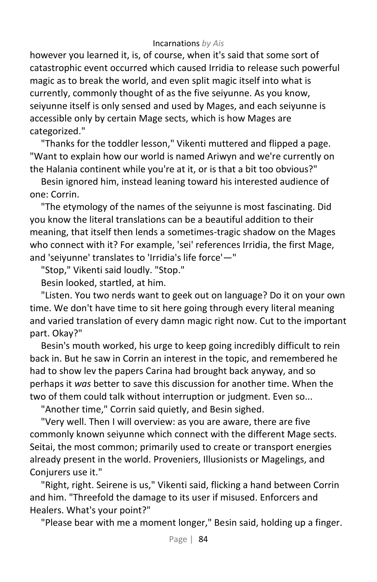however you learned it, is, of course, when it's said that some sort of catastrophic event occurred which caused Irridia to release such powerful magic as to break the world, and even split magic itself into what is currently, commonly thought of as the five seiyunne. As you know, seiyunne itself is only sensed and used by Mages, and each seiyunne is accessible only by certain Mage sects, which is how Mages are categorized."

"Thanks for the toddler lesson," Vikenti muttered and flipped a page. "Want to explain how our world is named Ariwyn and we're currently on the Halania continent while you're at it, or is that a bit too obvious?"

Besin ignored him, instead leaning toward his interested audience of one: Corrin.

"The etymology of the names of the seiyunne is most fascinating. Did you know the literal translations can be a beautiful addition to their meaning, that itself then lends a sometimes-tragic shadow on the Mages who connect with it? For example, 'sei' references Irridia, the first Mage, and 'seiyunne' translates to 'Irridia's life force'—"

"Stop," Vikenti said loudly. "Stop."

Besin looked, startled, at him.

"Listen. You two nerds want to geek out on language? Do it on your own time. We don't have time to sit here going through every literal meaning and varied translation of every damn magic right now. Cut to the important part. Okay?"

Besin's mouth worked, his urge to keep going incredibly difficult to rein back in. But he saw in Corrin an interest in the topic, and remembered he had to show lev the papers Carina had brought back anyway, and so perhaps it *was* better to save this discussion for another time. When the two of them could talk without interruption or judgment. Even so...

"Another time," Corrin said quietly, and Besin sighed.

"Very well. Then I will overview: as you are aware, there are five commonly known seiyunne which connect with the different Mage sects. Seitai, the most common; primarily used to create or transport energies already present in the world. Proveniers, Illusionists or Magelings, and Conjurers use it."

"Right, right. Seirene is us," Vikenti said, flicking a hand between Corrin and him. "Threefold the damage to its user if misused. Enforcers and Healers. What's your point?"

"Please bear with me a moment longer," Besin said, holding up a finger.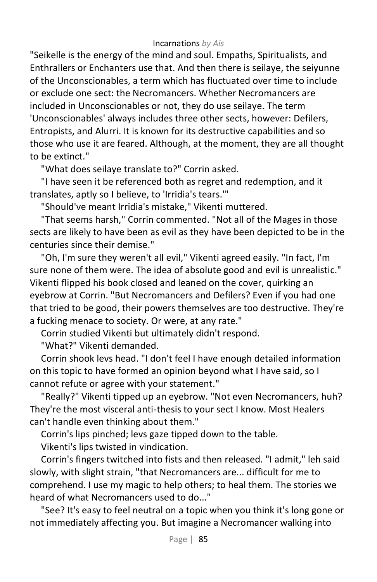"Seikelle is the energy of the mind and soul. Empaths, Spiritualists, and Enthrallers or Enchanters use that. And then there is seilaye, the seiyunne of the Unconscionables, a term which has fluctuated over time to include or exclude one sect: the Necromancers. Whether Necromancers are included in Unconscionables or not, they do use seilaye. The term 'Unconscionables' always includes three other sects, however: Defilers, Entropists, and Alurri. It is known for its destructive capabilities and so those who use it are feared. Although, at the moment, they are all thought to be extinct."

"What does seilaye translate to?" Corrin asked.

"I have seen it be referenced both as regret and redemption, and it translates, aptly so I believe, to 'Irridia's tears.'"

"Should've meant Irridia's mistake," Vikenti muttered.

"That seems harsh," Corrin commented. "Not all of the Mages in those sects are likely to have been as evil as they have been depicted to be in the centuries since their demise."

"Oh, I'm sure they weren't all evil," Vikenti agreed easily. "In fact, I'm sure none of them were. The idea of absolute good and evil is unrealistic." Vikenti flipped his book closed and leaned on the cover, quirking an eyebrow at Corrin. "But Necromancers and Defilers? Even if you had one that tried to be good, their powers themselves are too destructive. They're a fucking menace to society. Or were, at any rate."

Corrin studied Vikenti but ultimately didn't respond.

"What?" Vikenti demanded.

Corrin shook levs head. "I don't feel I have enough detailed information on this topic to have formed an opinion beyond what I have said, so I cannot refute or agree with your statement."

"Really?" Vikenti tipped up an eyebrow. "Not even Necromancers, huh? They're the most visceral anti-thesis to your sect I know. Most Healers can't handle even thinking about them."

Corrin's lips pinched; levs gaze tipped down to the table.

Vikenti's lips twisted in vindication.

Corrin's fingers twitched into fists and then released. "I admit," leh said slowly, with slight strain, "that Necromancers are... difficult for me to comprehend. I use my magic to help others; to heal them. The stories we heard of what Necromancers used to do..."

"See? It's easy to feel neutral on a topic when you think it's long gone or not immediately affecting you. But imagine a Necromancer walking into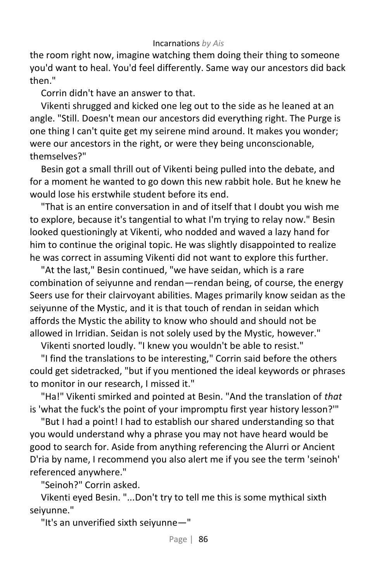the room right now, imagine watching them doing their thing to someone you'd want to heal. You'd feel differently. Same way our ancestors did back then."

Corrin didn't have an answer to that.

Vikenti shrugged and kicked one leg out to the side as he leaned at an angle. "Still. Doesn't mean our ancestors did everything right. The Purge is one thing I can't quite get my seirene mind around. It makes you wonder; were our ancestors in the right, or were they being unconscionable, themselves?"

Besin got a small thrill out of Vikenti being pulled into the debate, and for a moment he wanted to go down this new rabbit hole. But he knew he would lose his erstwhile student before its end.

"That is an entire conversation in and of itself that I doubt you wish me to explore, because it's tangential to what I'm trying to relay now." Besin looked questioningly at Vikenti, who nodded and waved a lazy hand for him to continue the original topic. He was slightly disappointed to realize he was correct in assuming Vikenti did not want to explore this further.

"At the last," Besin continued, "we have seidan, which is a rare combination of seiyunne and rendan—rendan being, of course, the energy Seers use for their clairvoyant abilities. Mages primarily know seidan as the seiyunne of the Mystic, and it is that touch of rendan in seidan which affords the Mystic the ability to know who should and should not be allowed in Irridian. Seidan is not solely used by the Mystic, however."

Vikenti snorted loudly. "I knew you wouldn't be able to resist."

"I find the translations to be interesting," Corrin said before the others could get sidetracked, "but if you mentioned the ideal keywords or phrases to monitor in our research, I missed it."

"Ha!" Vikenti smirked and pointed at Besin. "And the translation of *that*  is 'what the fuck's the point of your impromptu first year history lesson?'"

"But I had a point! I had to establish our shared understanding so that you would understand why a phrase you may not have heard would be good to search for. Aside from anything referencing the Alurri or Ancient D'ria by name, I recommend you also alert me if you see the term 'seinoh' referenced anywhere."

"Seinoh?" Corrin asked.

Vikenti eyed Besin. "...Don't try to tell me this is some mythical sixth seiyunne."

"It's an unverified sixth seiyunne—"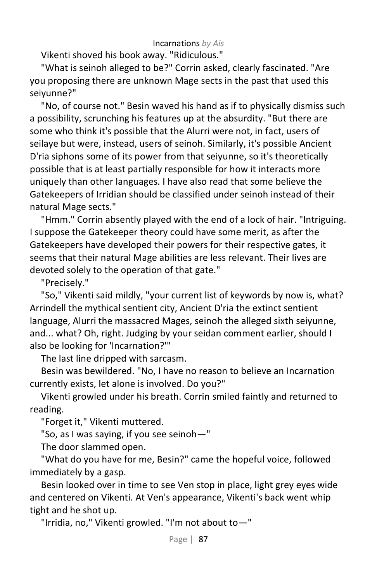Vikenti shoved his book away. "Ridiculous."

"What is seinoh alleged to be?" Corrin asked, clearly fascinated. "Are you proposing there are unknown Mage sects in the past that used this seiyunne?"

"No, of course not." Besin waved his hand as if to physically dismiss such a possibility, scrunching his features up at the absurdity. "But there are some who think it's possible that the Alurri were not, in fact, users of seilaye but were, instead, users of seinoh. Similarly, it's possible Ancient D'ria siphons some of its power from that seiyunne, so it's theoretically possible that is at least partially responsible for how it interacts more uniquely than other languages. I have also read that some believe the Gatekeepers of Irridian should be classified under seinoh instead of their natural Mage sects."

"Hmm." Corrin absently played with the end of a lock of hair. "Intriguing. I suppose the Gatekeeper theory could have some merit, as after the Gatekeepers have developed their powers for their respective gates, it seems that their natural Mage abilities are less relevant. Their lives are devoted solely to the operation of that gate."

"Precisely."

"So," Vikenti said mildly, "your current list of keywords by now is, what? Arrindell the mythical sentient city, Ancient D'ria the extinct sentient language, Alurri the massacred Mages, seinoh the alleged sixth seiyunne, and... what? Oh, right. Judging by your seidan comment earlier, should I also be looking for 'Incarnation?'"

The last line dripped with sarcasm.

Besin was bewildered. "No, I have no reason to believe an Incarnation currently exists, let alone is involved. Do you?"

Vikenti growled under his breath. Corrin smiled faintly and returned to reading.

"Forget it," Vikenti muttered.

"So, as I was saying, if you see seinoh—"

The door slammed open.

"What do you have for me, Besin?" came the hopeful voice, followed immediately by a gasp.

Besin looked over in time to see Ven stop in place, light grey eyes wide and centered on Vikenti. At Ven's appearance, Vikenti's back went whip tight and he shot up.

"Irridia, no," Vikenti growled. "I'm not about to—"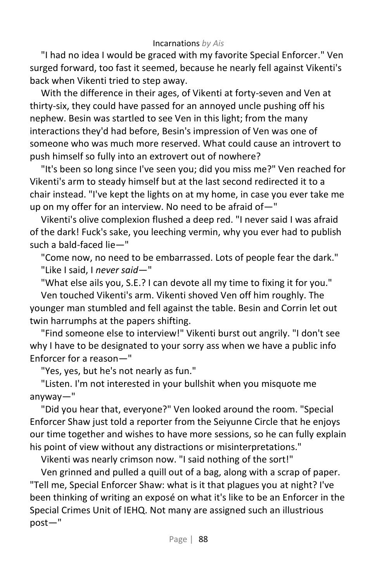"I had no idea I would be graced with my favorite Special Enforcer." Ven surged forward, too fast it seemed, because he nearly fell against Vikenti's back when Vikenti tried to step away.

With the difference in their ages, of Vikenti at forty-seven and Ven at thirty-six, they could have passed for an annoyed uncle pushing off his nephew. Besin was startled to see Ven in this light; from the many interactions they'd had before, Besin's impression of Ven was one of someone who was much more reserved. What could cause an introvert to push himself so fully into an extrovert out of nowhere?

"It's been so long since I've seen you; did you miss me?" Ven reached for Vikenti's arm to steady himself but at the last second redirected it to a chair instead. "I've kept the lights on at my home, in case you ever take me up on my offer for an interview. No need to be afraid of—"

Vikenti's olive complexion flushed a deep red. "I never said I was afraid of the dark! Fuck's sake, you leeching vermin, why you ever had to publish such a bald-faced lie—"

"Come now, no need to be embarrassed. Lots of people fear the dark." "Like I said, I *never said*—"

"What else ails you, S.E.? I can devote all my time to fixing it for you."

Ven touched Vikenti's arm. Vikenti shoved Ven off him roughly. The younger man stumbled and fell against the table. Besin and Corrin let out twin harrumphs at the papers shifting.

"Find someone else to interview!" Vikenti burst out angrily. "I don't see why I have to be designated to your sorry ass when we have a public info Enforcer for a reason—"

"Yes, yes, but he's not nearly as fun."

"Listen. I'm not interested in your bullshit when you misquote me anyway—"

"Did you hear that, everyone?" Ven looked around the room. "Special Enforcer Shaw just told a reporter from the Seiyunne Circle that he enjoys our time together and wishes to have more sessions, so he can fully explain his point of view without any distractions or misinterpretations."

Vikenti was nearly crimson now. "I said nothing of the sort!"

Ven grinned and pulled a quill out of a bag, along with a scrap of paper. "Tell me, Special Enforcer Shaw: what is it that plagues you at night? I've been thinking of writing an exposé on what it's like to be an Enforcer in the Special Crimes Unit of IEHQ. Not many are assigned such an illustrious post—"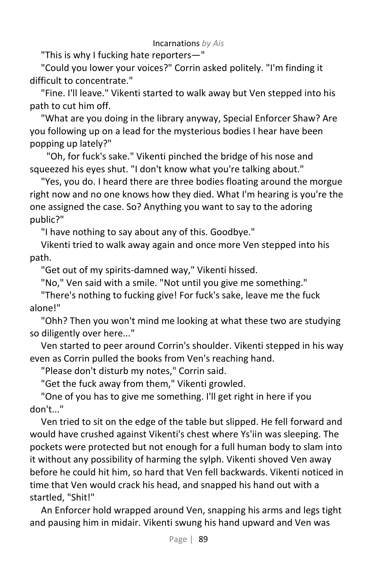"This is why I fucking hate reporters—"

"Could you lower your voices?" Corrin asked politely. "I'm finding it difficult to concentrate."

"Fine. I'll leave." Vikenti started to walk away but Ven stepped into his path to cut him off.

"What are you doing in the library anyway, Special Enforcer Shaw? Are you following up on a lead for the mysterious bodies I hear have been popping up lately?"

"Oh, for fuck's sake." Vikenti pinched the bridge of his nose and squeezed his eyes shut. "I don't know what you're talking about."

"Yes, you do. I heard there are three bodies floating around the morgue right now and no one knows how they died. What I'm hearing is you're the one assigned the case. So? Anything you want to say to the adoring public?"

"I have nothing to say about any of this. Goodbye."

Vikenti tried to walk away again and once more Ven stepped into his path.

"Get out of my spirits-damned way," Vikenti hissed.

"No," Ven said with a smile. "Not until you give me something."

"There's nothing to fucking give! For fuck's sake, leave me the fuck alone!"

"Ohh? Then you won't mind me looking at what these two are studying so diligently over here..."

Ven started to peer around Corrin's shoulder. Vikenti stepped in his way even as Corrin pulled the books from Ven's reaching hand.

"Please don't disturb my notes," Corrin said.

"Get the fuck away from them," Vikenti growled.

"One of you has to give me something. I'll get right in here if you don't..."

Ven tried to sit on the edge of the table but slipped. He fell forward and would have crushed against Vikenti's chest where Ys'iin was sleeping. The pockets were protected but not enough for a full human body to slam into it without any possibility of harming the sylph. Vikenti shoved Ven away before he could hit him, so hard that Ven fell backwards. Vikenti noticed in time that Ven would crack his head, and snapped his hand out with a startled, "Shit!"

An Enforcer hold wrapped around Ven, snapping his arms and legs tight and pausing him in midair. Vikenti swung his hand upward and Ven was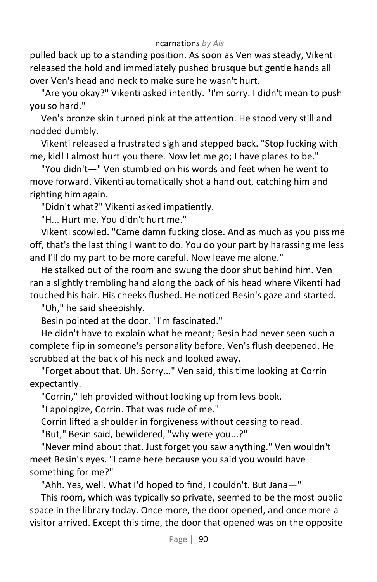pulled back up to a standing position. As soon as Ven was steady, Vikenti released the hold and immediately pushed brusque but gentle hands all over Ven's head and neck to make sure he wasn't hurt.

"Are you okay?" Vikenti asked intently. "I'm sorry. I didn't mean to push you so hard."

Ven's bronze skin turned pink at the attention. He stood very still and nodded dumbly.

Vikenti released a frustrated sigh and stepped back. "Stop fucking with me, kid! I almost hurt you there. Now let me go; I have places to be."

"You didn't—" Ven stumbled on his words and feet when he went to move forward. Vikenti automatically shot a hand out, catching him and righting him again.

"Didn't what?" Vikenti asked impatiently.

"H... Hurt me. You didn't hurt me."

Vikenti scowled. "Came damn fucking close. And as much as you piss me off, that's the last thing I want to do. You do your part by harassing me less and I'll do my part to be more careful. Now leave me alone."

He stalked out of the room and swung the door shut behind him. Ven ran a slightly trembling hand along the back of his head where Vikenti had touched his hair. His cheeks flushed. He noticed Besin's gaze and started.

"Uh," he said sheepishly.

Besin pointed at the door. "I'm fascinated."

He didn't have to explain what he meant; Besin had never seen such a complete flip in someone's personality before. Ven's flush deepened. He scrubbed at the back of his neck and looked away.

"Forget about that. Uh. Sorry..." Ven said, this time looking at Corrin expectantly.

"Corrin," leh provided without looking up from levs book.

"I apologize, Corrin. That was rude of me."

Corrin lifted a shoulder in forgiveness without ceasing to read.

"But," Besin said, bewildered, "why were you...?"

"Never mind about that. Just forget you saw anything." Ven wouldn't meet Besin's eyes. "I came here because you said you would have something for me?"

"Ahh. Yes, well. What I'd hoped to find, I couldn't. But Jana—"

This room, which was typically so private, seemed to be the most public space in the library today. Once more, the door opened, and once more a visitor arrived. Except this time, the door that opened was on the opposite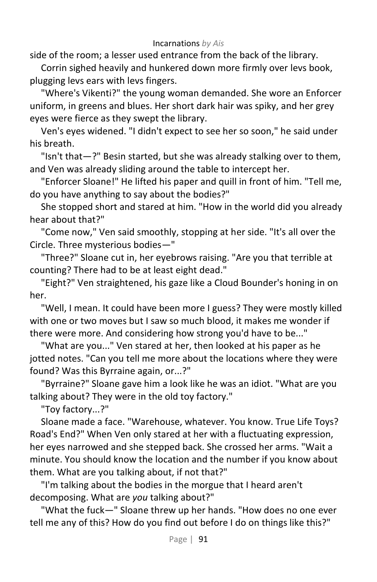side of the room; a lesser used entrance from the back of the library.

Corrin sighed heavily and hunkered down more firmly over levs book, plugging levs ears with levs fingers.

"Where's Vikenti?" the young woman demanded. She wore an Enforcer uniform, in greens and blues. Her short dark hair was spiky, and her grey eyes were fierce as they swept the library.

Ven's eyes widened. "I didn't expect to see her so soon," he said under his breath.

"Isn't that—?" Besin started, but she was already stalking over to them, and Ven was already sliding around the table to intercept her.

"Enforcer Sloane!" He lifted his paper and quill in front of him. "Tell me, do you have anything to say about the bodies?"

She stopped short and stared at him. "How in the world did you already hear about that?"

"Come now," Ven said smoothly, stopping at her side. "It's all over the Circle. Three mysterious bodies—"

"Three?" Sloane cut in, her eyebrows raising. "Are you that terrible at counting? There had to be at least eight dead."

"Eight?" Ven straightened, his gaze like a Cloud Bounder's honing in on her.

"Well, I mean. It could have been more I guess? They were mostly killed with one or two moves but I saw so much blood, it makes me wonder if there were more. And considering how strong you'd have to be..."

"What are you..." Ven stared at her, then looked at his paper as he jotted notes. "Can you tell me more about the locations where they were found? Was this Byrraine again, or...?"

"Byrraine?" Sloane gave him a look like he was an idiot. "What are you talking about? They were in the old toy factory."

"Toy factory...?"

Sloane made a face. "Warehouse, whatever. You know. True Life Toys? Road's End?" When Ven only stared at her with a fluctuating expression, her eyes narrowed and she stepped back. She crossed her arms. "Wait a minute. You should know the location and the number if you know about them. What are you talking about, if not that?"

"I'm talking about the bodies in the morgue that I heard aren't decomposing. What are *you* talking about?"

"What the fuck—" Sloane threw up her hands. "How does no one ever tell me any of this? How do you find out before I do on things like this?"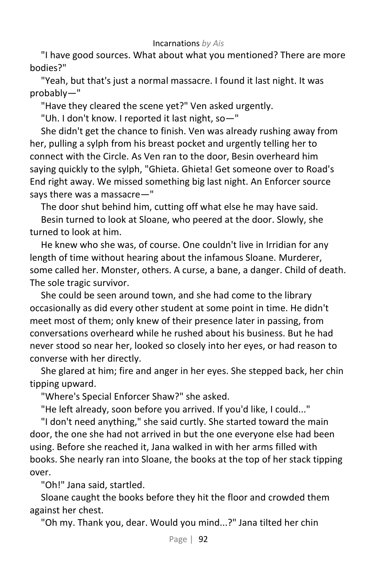"I have good sources. What about what you mentioned? There are more bodies?"

"Yeah, but that's just a normal massacre. I found it last night. It was probably—"

"Have they cleared the scene yet?" Ven asked urgently.

"Uh. I don't know. I reported it last night, so—"

She didn't get the chance to finish. Ven was already rushing away from her, pulling a sylph from his breast pocket and urgently telling her to connect with the Circle. As Ven ran to the door, Besin overheard him saying quickly to the sylph, "Ghieta. Ghieta! Get someone over to Road's End right away. We missed something big last night. An Enforcer source says there was a massacre—"

The door shut behind him, cutting off what else he may have said.

Besin turned to look at Sloane, who peered at the door. Slowly, she turned to look at him.

He knew who she was, of course. One couldn't live in Irridian for any length of time without hearing about the infamous Sloane. Murderer, some called her. Monster, others. A curse, a bane, a danger. Child of death. The sole tragic survivor.

She could be seen around town, and she had come to the library occasionally as did every other student at some point in time. He didn't meet most of them; only knew of their presence later in passing, from conversations overheard while he rushed about his business. But he had never stood so near her, looked so closely into her eyes, or had reason to converse with her directly.

She glared at him; fire and anger in her eyes. She stepped back, her chin tipping upward.

"Where's Special Enforcer Shaw?" she asked.

"He left already, soon before you arrived. If you'd like, I could..."

"I don't need anything," she said curtly. She started toward the main door, the one she had not arrived in but the one everyone else had been using. Before she reached it, Jana walked in with her arms filled with books. She nearly ran into Sloane, the books at the top of her stack tipping over.

"Oh!" Jana said, startled.

Sloane caught the books before they hit the floor and crowded them against her chest.

"Oh my. Thank you, dear. Would you mind...?" Jana tilted her chin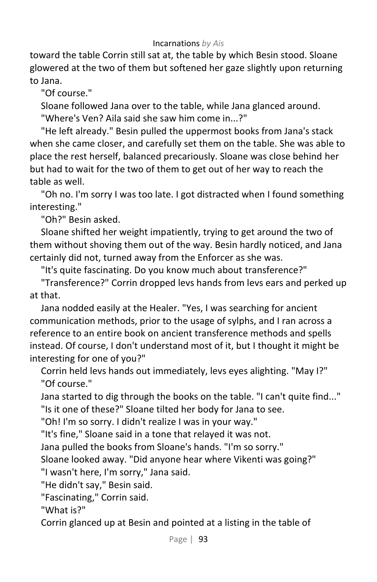toward the table Corrin still sat at, the table by which Besin stood. Sloane glowered at the two of them but softened her gaze slightly upon returning to Jana.

"Of course."

Sloane followed Jana over to the table, while Jana glanced around. "Where's Ven? Aila said she saw him come in...?"

"He left already." Besin pulled the uppermost books from Jana's stack when she came closer, and carefully set them on the table. She was able to place the rest herself, balanced precariously. Sloane was close behind her but had to wait for the two of them to get out of her way to reach the table as well.

"Oh no. I'm sorry I was too late. I got distracted when I found something interesting."

"Oh?" Besin asked.

Sloane shifted her weight impatiently, trying to get around the two of them without shoving them out of the way. Besin hardly noticed, and Jana certainly did not, turned away from the Enforcer as she was.

"It's quite fascinating. Do you know much about transference?"

"Transference?" Corrin dropped levs hands from levs ears and perked up at that.

Jana nodded easily at the Healer. "Yes, I was searching for ancient communication methods, prior to the usage of sylphs, and I ran across a reference to an entire book on ancient transference methods and spells instead. Of course, I don't understand most of it, but I thought it might be interesting for one of you?"

Corrin held levs hands out immediately, levs eyes alighting. "May I?" "Of course."

Jana started to dig through the books on the table. "I can't quite find..." "Is it one of these?" Sloane tilted her body for Jana to see.

"Oh! I'm so sorry. I didn't realize I was in your way."

"It's fine," Sloane said in a tone that relayed it was not.

Jana pulled the books from Sloane's hands. "I'm so sorry."

Sloane looked away. "Did anyone hear where Vikenti was going?"

"I wasn't here, I'm sorry," Jana said.

"He didn't say," Besin said.

"Fascinating," Corrin said.

"What is?"

Corrin glanced up at Besin and pointed at a listing in the table of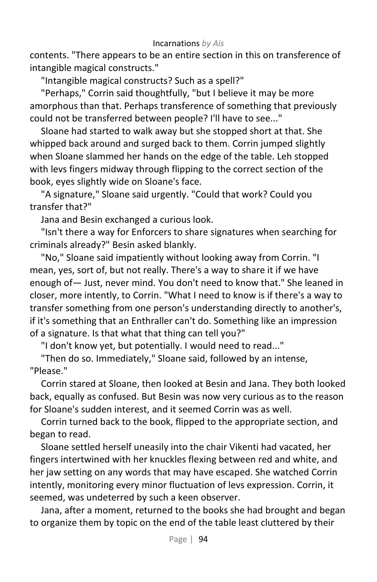contents. "There appears to be an entire section in this on transference of intangible magical constructs."

"Intangible magical constructs? Such as a spell?"

"Perhaps," Corrin said thoughtfully, "but I believe it may be more amorphous than that. Perhaps transference of something that previously could not be transferred between people? I'll have to see..."

Sloane had started to walk away but she stopped short at that. She whipped back around and surged back to them. Corrin jumped slightly when Sloane slammed her hands on the edge of the table. Leh stopped with levs fingers midway through flipping to the correct section of the book, eyes slightly wide on Sloane's face.

"A signature," Sloane said urgently. "Could that work? Could you transfer that?"

Jana and Besin exchanged a curious look.

"Isn't there a way for Enforcers to share signatures when searching for criminals already?" Besin asked blankly.

"No," Sloane said impatiently without looking away from Corrin. "I mean, yes, sort of, but not really. There's a way to share it if we have enough of— Just, never mind. You don't need to know that." She leaned in closer, more intently, to Corrin. "What I need to know is if there's a way to transfer something from one person's understanding directly to another's, if it's something that an Enthraller can't do. Something like an impression of a signature. Is that what that thing can tell you?"

"I don't know yet, but potentially. I would need to read..."

"Then do so. Immediately," Sloane said, followed by an intense, "Please."

Corrin stared at Sloane, then looked at Besin and Jana. They both looked back, equally as confused. But Besin was now very curious as to the reason for Sloane's sudden interest, and it seemed Corrin was as well.

Corrin turned back to the book, flipped to the appropriate section, and began to read.

Sloane settled herself uneasily into the chair Vikenti had vacated, her fingers intertwined with her knuckles flexing between red and white, and her jaw setting on any words that may have escaped. She watched Corrin intently, monitoring every minor fluctuation of levs expression. Corrin, it seemed, was undeterred by such a keen observer.

Jana, after a moment, returned to the books she had brought and began to organize them by topic on the end of the table least cluttered by their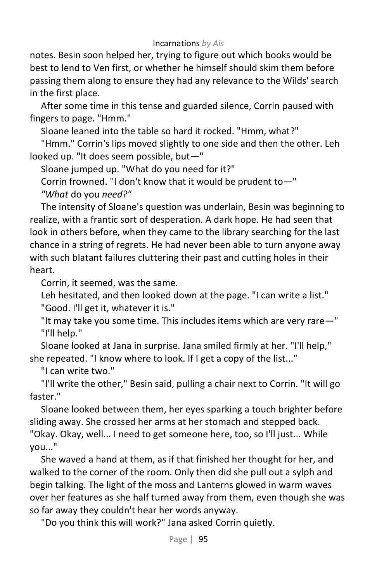notes. Besin soon helped her, trying to figure out which books would be best to lend to Ven first, or whether he himself should skim them before passing them along to ensure they had any relevance to the Wilds' search in the first place.

After some time in this tense and guarded silence, Corrin paused with fingers to page. "Hmm."

Sloane leaned into the table so hard it rocked. "Hmm, what?"

"Hmm." Corrin's lips moved slightly to one side and then the other. Leh looked up. "It does seem possible, but—"

Sloane jumped up. "What do you need for it?"

Corrin frowned. "I don't know that it would be prudent to—"

*"What* do you *need?"*

The intensity of Sloane's question was underlain, Besin was beginning to realize, with a frantic sort of desperation. A dark hope. He had seen that look in others before, when they came to the library searching for the last chance in a string of regrets. He had never been able to turn anyone away with such blatant failures cluttering their past and cutting holes in their heart.

Corrin, it seemed, was the same.

Leh hesitated, and then looked down at the page. "I can write a list." "Good. I'll get it, whatever it is."

"It may take you some time. This includes items which are very rare—" "I'll help."

Sloane looked at Jana in surprise. Jana smiled firmly at her. "I'll help," she repeated. "I know where to look. If I get a copy of the list..."

"I can write two."

"I'll write the other," Besin said, pulling a chair next to Corrin. "It will go faster."

Sloane looked between them, her eyes sparking a touch brighter before sliding away. She crossed her arms at her stomach and stepped back. "Okay. Okay, well... I need to get someone here, too, so I'll just... While you..."

She waved a hand at them, as if that finished her thought for her, and walked to the corner of the room. Only then did she pull out a sylph and begin talking. The light of the moss and Lanterns glowed in warm waves over her features as she half turned away from them, even though she was so far away they couldn't hear her words anyway.

"Do you think this will work?" Jana asked Corrin quietly.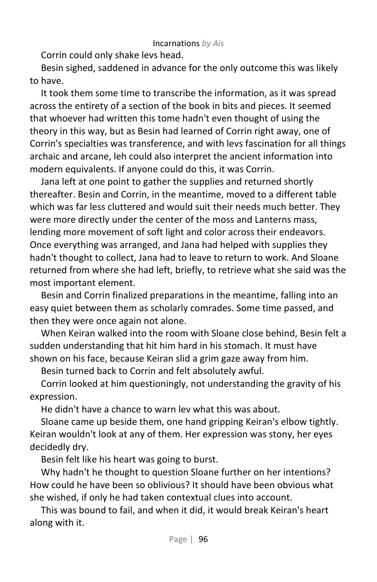Corrin could only shake levs head.

Besin sighed, saddened in advance for the only outcome this was likely to have.

It took them some time to transcribe the information, as it was spread across the entirety of a section of the book in bits and pieces. It seemed that whoever had written this tome hadn't even thought of using the theory in this way, but as Besin had learned of Corrin right away, one of Corrin's specialties was transference, and with levs fascination for all things archaic and arcane, leh could also interpret the ancient information into modern equivalents. If anyone could do this, it was Corrin.

Jana left at one point to gather the supplies and returned shortly thereafter. Besin and Corrin, in the meantime, moved to a different table which was far less cluttered and would suit their needs much better. They were more directly under the center of the moss and Lanterns mass, lending more movement of soft light and color across their endeavors. Once everything was arranged, and Jana had helped with supplies they hadn't thought to collect, Jana had to leave to return to work. And Sloane returned from where she had left, briefly, to retrieve what she said was the most important element.

Besin and Corrin finalized preparations in the meantime, falling into an easy quiet between them as scholarly comrades. Some time passed, and then they were once again not alone.

When Keiran walked into the room with Sloane close behind, Besin felt a sudden understanding that hit him hard in his stomach. It must have shown on his face, because Keiran slid a grim gaze away from him.

Besin turned back to Corrin and felt absolutely awful.

Corrin looked at him questioningly, not understanding the gravity of his expression.

He didn't have a chance to warn lev what this was about.

Sloane came up beside them, one hand gripping Keiran's elbow tightly. Keiran wouldn't look at any of them. Her expression was stony, her eyes decidedly dry.

Besin felt like his heart was going to burst.

Why hadn't he thought to question Sloane further on her intentions? How could he have been so oblivious? It should have been obvious what she wished, if only he had taken contextual clues into account.

This was bound to fail, and when it did, it would break Keiran's heart along with it.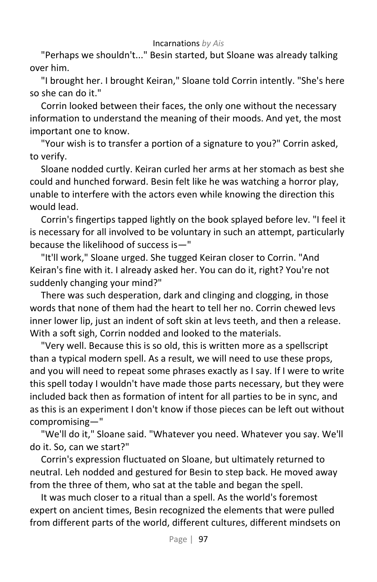"Perhaps we shouldn't..." Besin started, but Sloane was already talking over him.

"I brought her. I brought Keiran," Sloane told Corrin intently. "She's here so she can do it."

Corrin looked between their faces, the only one without the necessary information to understand the meaning of their moods. And yet, the most important one to know.

"Your wish is to transfer a portion of a signature to you?" Corrin asked, to verify.

Sloane nodded curtly. Keiran curled her arms at her stomach as best she could and hunched forward. Besin felt like he was watching a horror play, unable to interfere with the actors even while knowing the direction this would lead.

Corrin's fingertips tapped lightly on the book splayed before lev. "I feel it is necessary for all involved to be voluntary in such an attempt, particularly because the likelihood of success is—"

"It'll work," Sloane urged. She tugged Keiran closer to Corrin. "And Keiran's fine with it. I already asked her. You can do it, right? You're not suddenly changing your mind?"

There was such desperation, dark and clinging and clogging, in those words that none of them had the heart to tell her no. Corrin chewed levs inner lower lip, just an indent of soft skin at levs teeth, and then a release. With a soft sigh, Corrin nodded and looked to the materials.

"Very well. Because this is so old, this is written more as a spellscript than a typical modern spell. As a result, we will need to use these props, and you will need to repeat some phrases exactly as I say. If I were to write this spell today I wouldn't have made those parts necessary, but they were included back then as formation of intent for all parties to be in sync, and as this is an experiment I don't know if those pieces can be left out without compromising—"

"We'll do it," Sloane said. "Whatever you need. Whatever you say. We'll do it. So, can we start?"

Corrin's expression fluctuated on Sloane, but ultimately returned to neutral. Leh nodded and gestured for Besin to step back. He moved away from the three of them, who sat at the table and began the spell.

It was much closer to a ritual than a spell. As the world's foremost expert on ancient times, Besin recognized the elements that were pulled from different parts of the world, different cultures, different mindsets on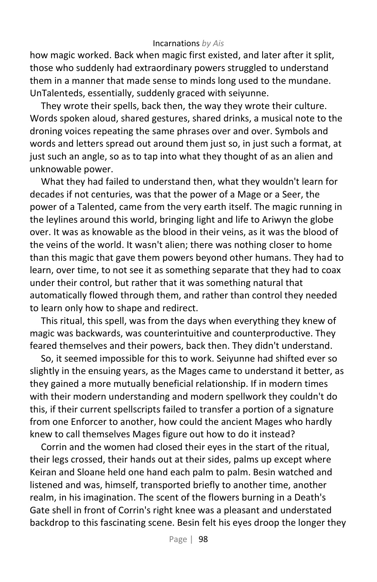how magic worked. Back when magic first existed, and later after it split, those who suddenly had extraordinary powers struggled to understand them in a manner that made sense to minds long used to the mundane. UnTalenteds, essentially, suddenly graced with seiyunne.

They wrote their spells, back then, the way they wrote their culture. Words spoken aloud, shared gestures, shared drinks, a musical note to the droning voices repeating the same phrases over and over. Symbols and words and letters spread out around them just so, in just such a format, at just such an angle, so as to tap into what they thought of as an alien and unknowable power.

What they had failed to understand then, what they wouldn't learn for decades if not centuries, was that the power of a Mage or a Seer, the power of a Talented, came from the very earth itself. The magic running in the leylines around this world, bringing light and life to Ariwyn the globe over. It was as knowable as the blood in their veins, as it was the blood of the veins of the world. It wasn't alien; there was nothing closer to home than this magic that gave them powers beyond other humans. They had to learn, over time, to not see it as something separate that they had to coax under their control, but rather that it was something natural that automatically flowed through them, and rather than control they needed to learn only how to shape and redirect.

This ritual, this spell, was from the days when everything they knew of magic was backwards, was counterintuitive and counterproductive. They feared themselves and their powers, back then. They didn't understand.

So, it seemed impossible for this to work. Seiyunne had shifted ever so slightly in the ensuing years, as the Mages came to understand it better, as they gained a more mutually beneficial relationship. If in modern times with their modern understanding and modern spellwork they couldn't do this, if their current spellscripts failed to transfer a portion of a signature from one Enforcer to another, how could the ancient Mages who hardly knew to call themselves Mages figure out how to do it instead?

Corrin and the women had closed their eyes in the start of the ritual, their legs crossed, their hands out at their sides, palms up except where Keiran and Sloane held one hand each palm to palm. Besin watched and listened and was, himself, transported briefly to another time, another realm, in his imagination. The scent of the flowers burning in a Death's Gate shell in front of Corrin's right knee was a pleasant and understated backdrop to this fascinating scene. Besin felt his eyes droop the longer they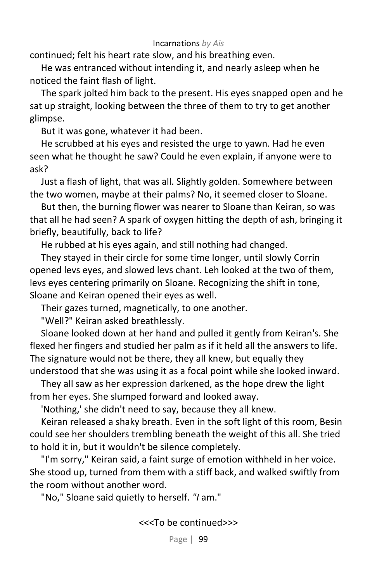continued; felt his heart rate slow, and his breathing even.

He was entranced without intending it, and nearly asleep when he noticed the faint flash of light.

The spark jolted him back to the present. His eyes snapped open and he sat up straight, looking between the three of them to try to get another glimpse.

But it was gone, whatever it had been.

He scrubbed at his eyes and resisted the urge to yawn. Had he even seen what he thought he saw? Could he even explain, if anyone were to ask?

Just a flash of light, that was all. Slightly golden. Somewhere between the two women, maybe at their palms? No, it seemed closer to Sloane.

But then, the burning flower was nearer to Sloane than Keiran, so was that all he had seen? A spark of oxygen hitting the depth of ash, bringing it briefly, beautifully, back to life?

He rubbed at his eyes again, and still nothing had changed.

They stayed in their circle for some time longer, until slowly Corrin opened levs eyes, and slowed levs chant. Leh looked at the two of them, levs eyes centering primarily on Sloane. Recognizing the shift in tone, Sloane and Keiran opened their eyes as well.

Their gazes turned, magnetically, to one another.

"Well?" Keiran asked breathlessly.

Sloane looked down at her hand and pulled it gently from Keiran's. She flexed her fingers and studied her palm as if it held all the answers to life. The signature would not be there, they all knew, but equally they understood that she was using it as a focal point while she looked inward.

They all saw as her expression darkened, as the hope drew the light from her eyes. She slumped forward and looked away.

'Nothing,' she didn't need to say, because they all knew.

Keiran released a shaky breath. Even in the soft light of this room, Besin could see her shoulders trembling beneath the weight of this all. She tried to hold it in, but it wouldn't be silence completely.

"I'm sorry," Keiran said, a faint surge of emotion withheld in her voice. She stood up, turned from them with a stiff back, and walked swiftly from the room without another word.

"No," Sloane said quietly to herself. *"I* am."

<<<To be continued>>>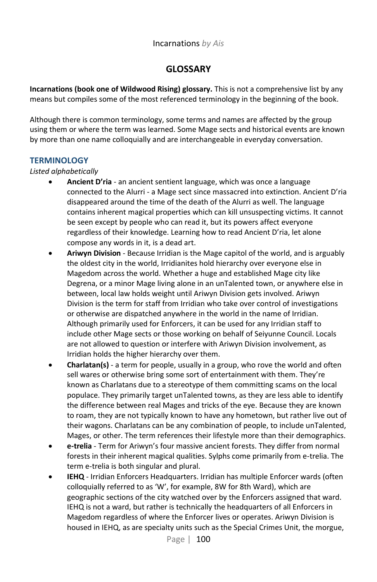# **GLOSSARY**

**Incarnations (book one of Wildwood Rising) glossary.** This is not a comprehensive list by any means but compiles some of the most referenced terminology in the beginning of the book.

Although there is common terminology, some terms and names are affected by the group using them or where the term was learned. Some Mage sects and historical events are known by more than one name colloquially and are interchangeable in everyday conversation.

### **TERMINOLOGY**

### *Listed alphabetically*

- **Ancient D'ria**  an ancient sentient language, which was once a language connected to the Alurri - a Mage sect since massacred into extinction. Ancient D'ria disappeared around the time of the death of the Alurri as well. The language contains inherent magical properties which can kill unsuspecting victims. It cannot be seen except by people who can read it, but its powers affect everyone regardless of their knowledge. Learning how to read Ancient D'ria, let alone compose any words in it, is a dead art.
- **Ariwyn Division**  Because Irridian is the Mage capitol of the world, and is arguably the oldest city in the world, Irridianites hold hierarchy over everyone else in Magedom across the world. Whether a huge and established Mage city like Degrena, or a minor Mage living alone in an unTalented town, or anywhere else in between, local law holds weight until Ariwyn Division gets involved. Ariwyn Division is the term for staff from Irridian who take over control of investigations or otherwise are dispatched anywhere in the world in the name of Irridian. Although primarily used for Enforcers, it can be used for any Irridian staff to include other Mage sects or those working on behalf of Seiyunne Council. Locals are not allowed to question or interfere with Ariwyn Division involvement, as Irridian holds the higher hierarchy over them.
- **Charlatan(s)**  a term for people, usually in a group, who rove the world and often sell wares or otherwise bring some sort of entertainment with them. They're known as Charlatans due to a stereotype of them committing scams on the local populace. They primarily target unTalented towns, as they are less able to identify the difference between real Mages and tricks of the eye. Because they are known to roam, they are not typically known to have any hometown, but rather live out of their wagons. Charlatans can be any combination of people, to include unTalented, Mages, or other. The term references their lifestyle more than their demographics.
- **e-trelia**  Term for Ariwyn's four massive ancient forests. They differ from normal forests in their inherent magical qualities. Sylphs come primarily from e-trelia. The term e-trelia is both singular and plural.
- **IEHQ**  Irridian Enforcers Headquarters. Irridian has multiple Enforcer wards (often colloquially referred to as 'W', for example, 8W for 8th Ward), which are geographic sections of the city watched over by the Enforcers assigned that ward. IEHQ is not a ward, but rather is technically the headquarters of all Enforcers in Magedom regardless of where the Enforcer lives or operates. Ariwyn Division is housed in IEHQ, as are specialty units such as the Special Crimes Unit, the morgue,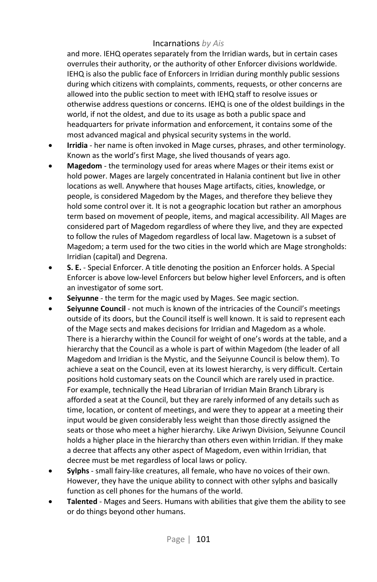and more. IEHQ operates separately from the Irridian wards, but in certain cases overrules their authority, or the authority of other Enforcer divisions worldwide. IEHQ is also the public face of Enforcers in Irridian during monthly public sessions during which citizens with complaints, comments, requests, or other concerns are allowed into the public section to meet with IEHQ staff to resolve issues or otherwise address questions or concerns. IEHQ is one of the oldest buildings in the world, if not the oldest, and due to its usage as both a public space and headquarters for private information and enforcement, it contains some of the most advanced magical and physical security systems in the world.

- **Irridia** her name is often invoked in Mage curses, phrases, and other terminology. Known as the world's first Mage, she lived thousands of years ago.
- **Magedom**  the terminology used for areas where Mages or their items exist or hold power. Mages are largely concentrated in Halania continent but live in other locations as well. Anywhere that houses Mage artifacts, cities, knowledge, or people, is considered Magedom by the Mages, and therefore they believe they hold some control over it. It is not a geographic location but rather an amorphous term based on movement of people, items, and magical accessibility. All Mages are considered part of Magedom regardless of where they live, and they are expected to follow the rules of Magedom regardless of local law. Magetown is a subset of Magedom; a term used for the two cities in the world which are Mage strongholds: Irridian (capital) and Degrena.
- **S. E.**  Special Enforcer. A title denoting the position an Enforcer holds. A Special Enforcer is above low-level Enforcers but below higher level Enforcers, and is often an investigator of some sort.
- **Seiyunne**  the term for the magic used by Mages. See magic section.
- **Seiyunne Council**  not much is known of the intricacies of the Council's meetings outside of its doors, but the Council itself is well known. It is said to represent each of the Mage sects and makes decisions for Irridian and Magedom as a whole. There is a hierarchy within the Council for weight of one's words at the table, and a hierarchy that the Council as a whole is part of within Magedom (the leader of all Magedom and Irridian is the Mystic, and the Seiyunne Council is below them). To achieve a seat on the Council, even at its lowest hierarchy, is very difficult. Certain positions hold customary seats on the Council which are rarely used in practice. For example, technically the Head Librarian of Irridian Main Branch Library is afforded a seat at the Council, but they are rarely informed of any details such as time, location, or content of meetings, and were they to appear at a meeting their input would be given considerably less weight than those directly assigned the seats or those who meet a higher hierarchy. Like Ariwyn Division, Seiyunne Council holds a higher place in the hierarchy than others even within Irridian. If they make a decree that affects any other aspect of Magedom, even within Irridian, that decree must be met regardless of local laws or policy.
- **Sylphs**  small fairy-like creatures, all female, who have no voices of their own. However, they have the unique ability to connect with other sylphs and basically function as cell phones for the humans of the world.
- **Talented**  Mages and Seers. Humans with abilities that give them the ability to see or do things beyond other humans.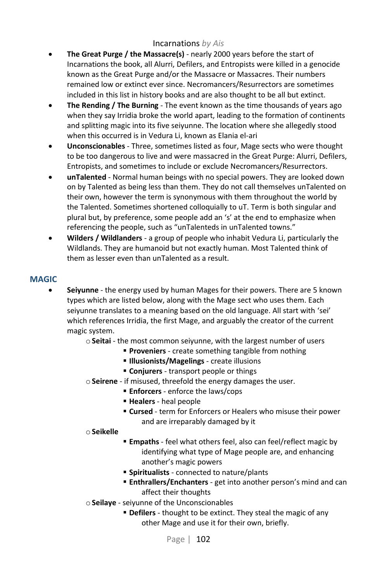- **The Great Purge / the Massacre(s)** nearly 2000 years before the start of Incarnations the book, all Alurri, Defilers, and Entropists were killed in a genocide known as the Great Purge and/or the Massacre or Massacres. Their numbers remained low or extinct ever since. Necromancers/Resurrectors are sometimes included in this list in history books and are also thought to be all but extinct.
- **The Rending / The Burning** The event known as the time thousands of years ago when they say Irridia broke the world apart, leading to the formation of continents and splitting magic into its five seiyunne. The location where she allegedly stood when this occurred is in Vedura Li, known as Elania el-ari
- **Unconscionables**  Three, sometimes listed as four, Mage sects who were thought to be too dangerous to live and were massacred in the Great Purge: Alurri, Defilers, Entropists, and sometimes to include or exclude Necromancers/Resurrectors.
- **unTalented** Normal human beings with no special powers. They are looked down on by Talented as being less than them. They do not call themselves unTalented on their own, however the term is synonymous with them throughout the world by the Talented. Sometimes shortened colloquially to uT. Term is both singular and plural but, by preference, some people add an 's' at the end to emphasize when referencing the people, such as "unTalenteds in unTalented towns."
- **Wilders / Wildlanders**  a group of people who inhabit Vedura Li, particularly the Wildlands. They are humanoid but not exactly human. Most Talented think of them as lesser even than unTalented as a result.

### **MAGIC**

- **Seiyunne** the energy used by human Mages for their powers. There are 5 known types which are listed below, along with the Mage sect who uses them. Each seiyunne translates to a meaning based on the old language. All start with 'sei' which references Irridia, the first Mage, and arguably the creator of the current magic system.
	- o**Seitai**  the most common seiyunne, with the largest number of users
		- **Proveniers** create something tangible from nothing
		- **Illusionists/Magelings** create illusions
		- **Conjurers** transport people or things
	- o**Seirene** if misused, threefold the energy damages the user.
		- **Enforcers** enforce the laws/cops
		- **Healers** heal people
		- **Example 2** term for Enforcers or Healers who misuse their power and are irreparably damaged by it

#### o**Seikelle**

- **Empaths** feel what others feel, also can feel/reflect magic by identifying what type of Mage people are, and enhancing another's magic powers
- **Spiritualists** connected to nature/plants
- **Enthrallers/Enchanters** get into another person's mind and can affect their thoughts
- o**Seilaye** seiyunne of the Unconscionables
	- **Defilers** thought to be extinct. They steal the magic of any other Mage and use it for their own, briefly.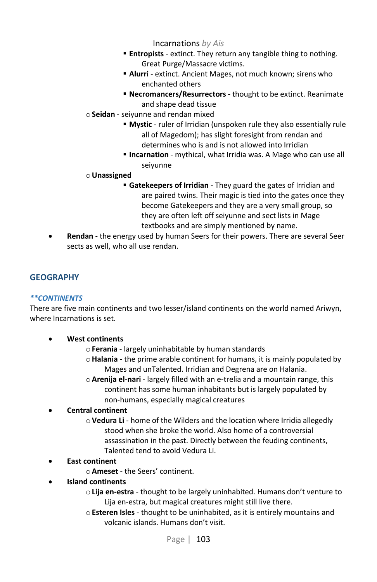- **Entropists** extinct. They return any tangible thing to nothing. Great Purge/Massacre victims.
- **Alurri** extinct. Ancient Mages, not much known; sirens who enchanted others
- **Necromancers/Resurrectors** thought to be extinct. Reanimate and shape dead tissue
- o**Seidan** seiyunne and rendan mixed
	- **Mystic** ruler of Irridian (unspoken rule they also essentially rule all of Magedom); has slight foresight from rendan and determines who is and is not allowed into Irridian
	- **EXTERNATION** mythical, what Irridia was. A Mage who can use all seiyunne

### o**Unassigned**

- **Gatekeepers of Irridian** They guard the gates of Irridian and are paired twins. Their magic is tied into the gates once they become Gatekeepers and they are a very small group, so they are often left off seiyunne and sect lists in Mage textbooks and are simply mentioned by name.
- **Rendan** the energy used by human Seers for their powers. There are several Seer sects as well, who all use rendan.

# **GEOGRAPHY**

### *\*\*CONTINENTS*

There are five main continents and two lesser/island continents on the world named Ariwyn, where Incarnations is set.

- **West continents**
	- o**Ferania** largely uninhabitable by human standards
	- o**Halania** the prime arable continent for humans, it is mainly populated by Mages and unTalented. Irridian and Degrena are on Halania.
	- o**Arenija el-nari** largely filled with an e-trelia and a mountain range, this continent has some human inhabitants but is largely populated by non-humans, especially magical creatures

### • **Central continent**

- o**Vedura Li** home of the Wilders and the location where Irridia allegedly stood when she broke the world. Also home of a controversial assassination in the past. Directly between the feuding continents, Talented tend to avoid Vedura Li.
- **East continent**
	- o**Ameset**  the Seers' continent.
- **Island continents**
	- o**Lija en-estra**  thought to be largely uninhabited. Humans don't venture to Lija en-estra, but magical creatures might still live there.
	- o**Esteren Isles**  thought to be uninhabited, as it is entirely mountains and volcanic islands. Humans don't visit.